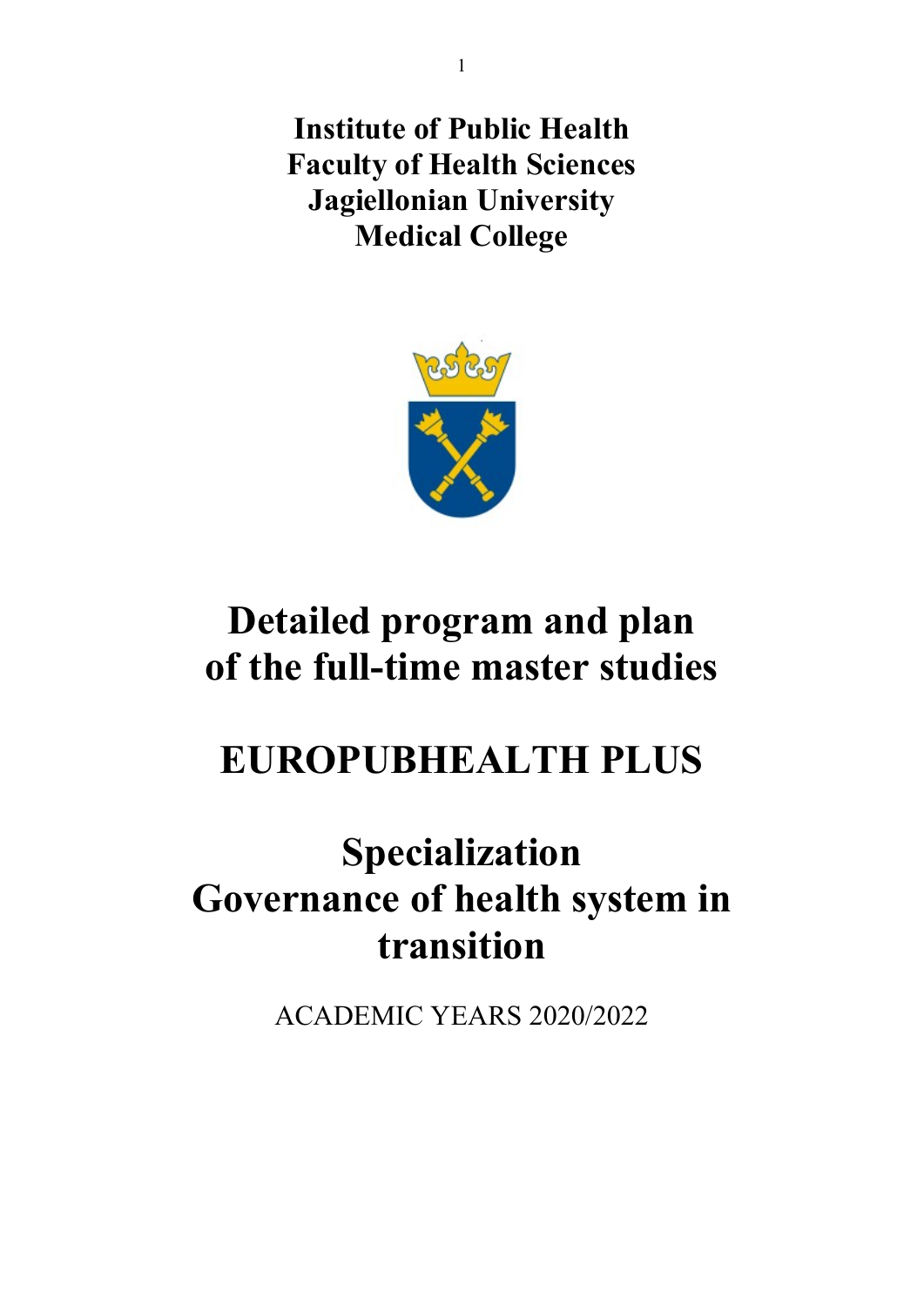Institute of Public Health Faculty of Health Sciences Jagiellonian University Medical College



# Detailed program and plan of the full-time master studies

# EUROPUBHEALTH PLUS

# Specialization Governance of health system in transition

ACADEMIC YEARS 2020/2022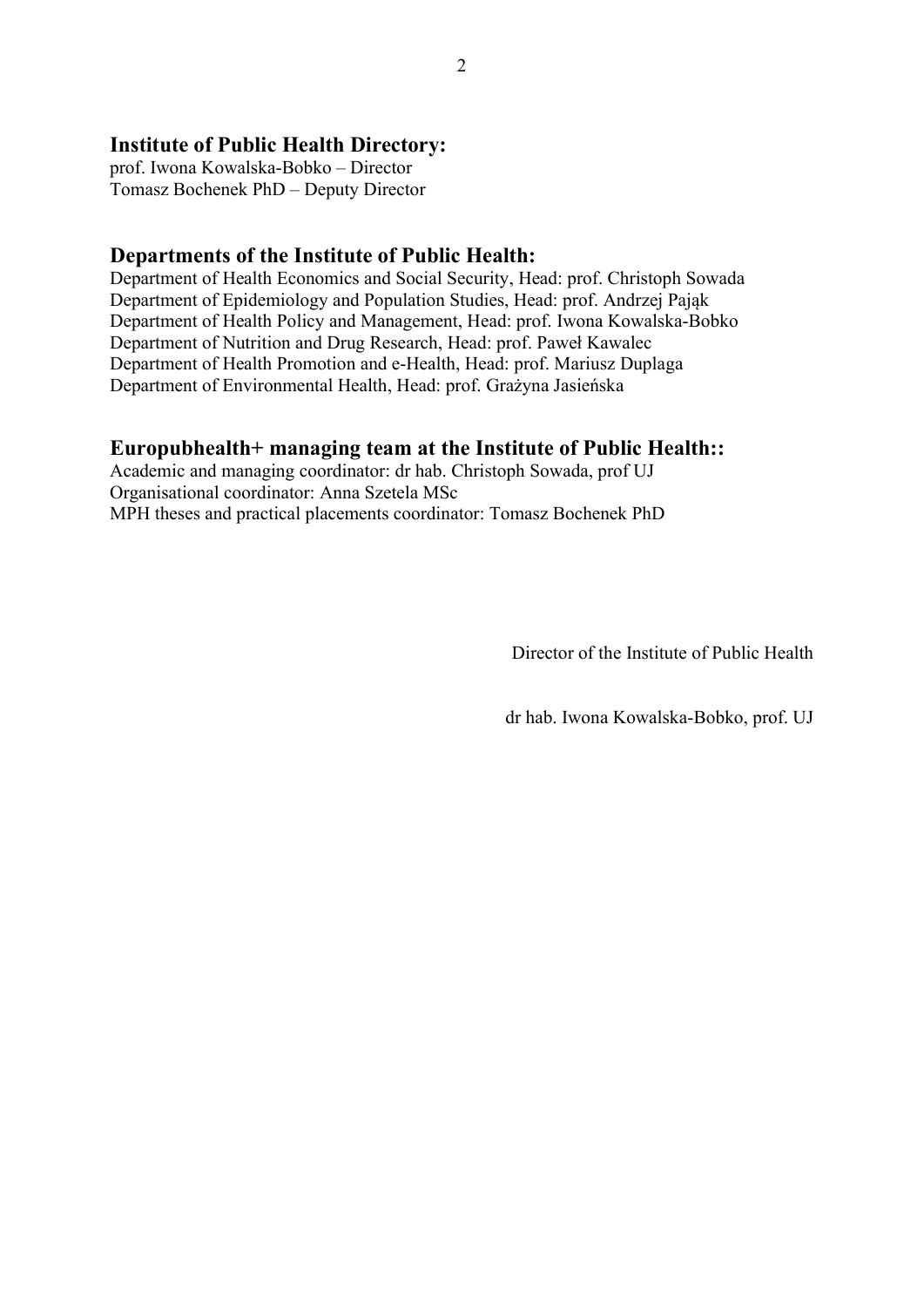## Institute of Public Health Directory:

prof. Iwona Kowalska-Bobko – Director Tomasz Bochenek PhD – Deputy Director

### Departments of the Institute of Public Health:

Department of Health Economics and Social Security, Head: prof. Christoph Sowada Department of Epidemiology and Population Studies, Head: prof. Andrzej Pająk Department of Health Policy and Management, Head: prof. Iwona Kowalska-Bobko Department of Nutrition and Drug Research, Head: prof. Paweł Kawalec Department of Health Promotion and e-Health, Head: prof. Mariusz Duplaga Department of Environmental Health, Head: prof. Grażyna Jasieńska

## Europubhealth+ managing team at the Institute of Public Health::

Academic and managing coordinator: dr hab. Christoph Sowada, prof UJ Organisational coordinator: Anna Szetela MSc MPH theses and practical placements coordinator: Tomasz Bochenek PhD

Director of the Institute of Public Health

dr hab. Iwona Kowalska-Bobko, prof. UJ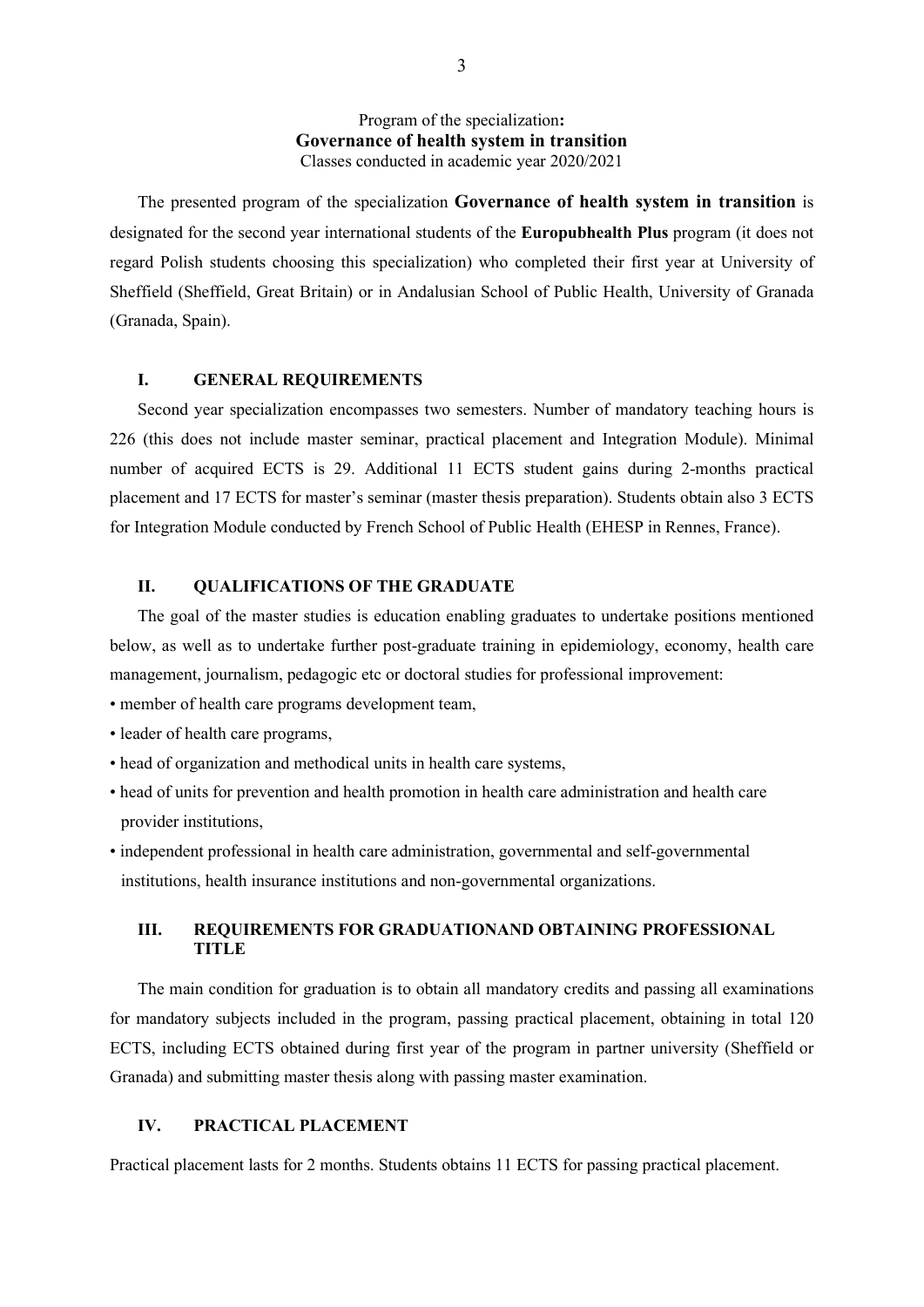#### Program of the specialization: Governance of health system in transition Classes conducted in academic year 2020/2021

The presented program of the specialization Governance of health system in transition is designated for the second year international students of the **Europubhealth Plus** program (it does not regard Polish students choosing this specialization) who completed their first year at University of Sheffield (Sheffield, Great Britain) or in Andalusian School of Public Health, University of Granada (Granada, Spain).

#### I. GENERAL REQUIREMENTS

Second year specialization encompasses two semesters. Number of mandatory teaching hours is 226 (this does not include master seminar, practical placement and Integration Module). Minimal number of acquired ECTS is 29. Additional 11 ECTS student gains during 2-months practical placement and 17 ECTS for master's seminar (master thesis preparation). Students obtain also 3 ECTS for Integration Module conducted by French School of Public Health (EHESP in Rennes, France).

#### II. QUALIFICATIONS OF THE GRADUATE

The goal of the master studies is education enabling graduates to undertake positions mentioned below, as well as to undertake further post-graduate training in epidemiology, economy, health care management, journalism, pedagogic etc or doctoral studies for professional improvement:

- member of health care programs development team,
- leader of health care programs,
- head of organization and methodical units in health care systems,
- head of units for prevention and health promotion in health care administration and health care provider institutions,
- independent professional in health care administration, governmental and self-governmental institutions, health insurance institutions and non-governmental organizations.

#### III. REQUIREMENTS FOR GRADUATIONAND OBTAINING PROFESSIONAL **TITLE**

The main condition for graduation is to obtain all mandatory credits and passing all examinations for mandatory subjects included in the program, passing practical placement, obtaining in total 120 ECTS, including ECTS obtained during first year of the program in partner university (Sheffield or Granada) and submitting master thesis along with passing master examination.

#### IV. PRACTICAL PLACEMENT

Practical placement lasts for 2 months. Students obtains 11 ECTS for passing practical placement.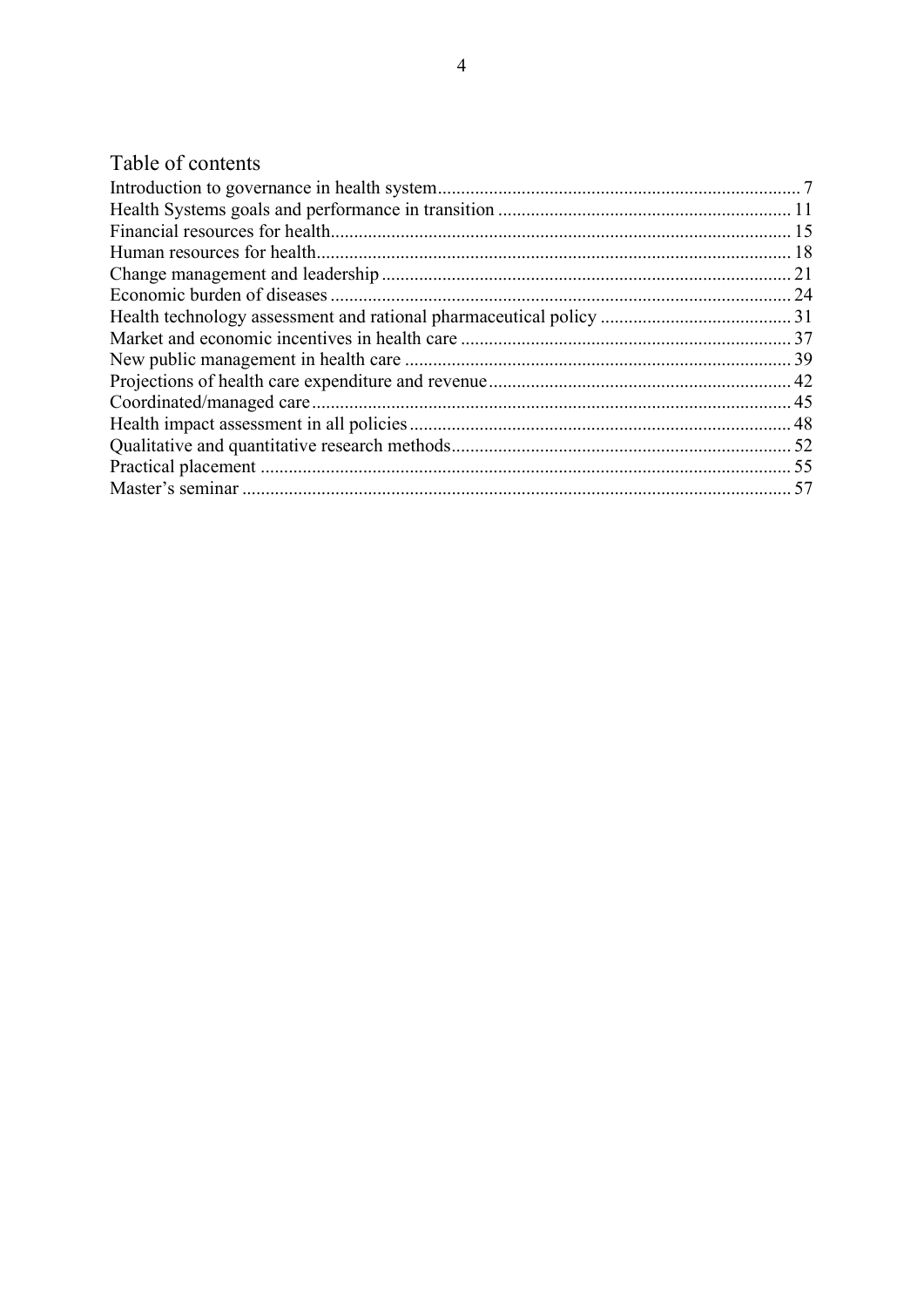## Table of contents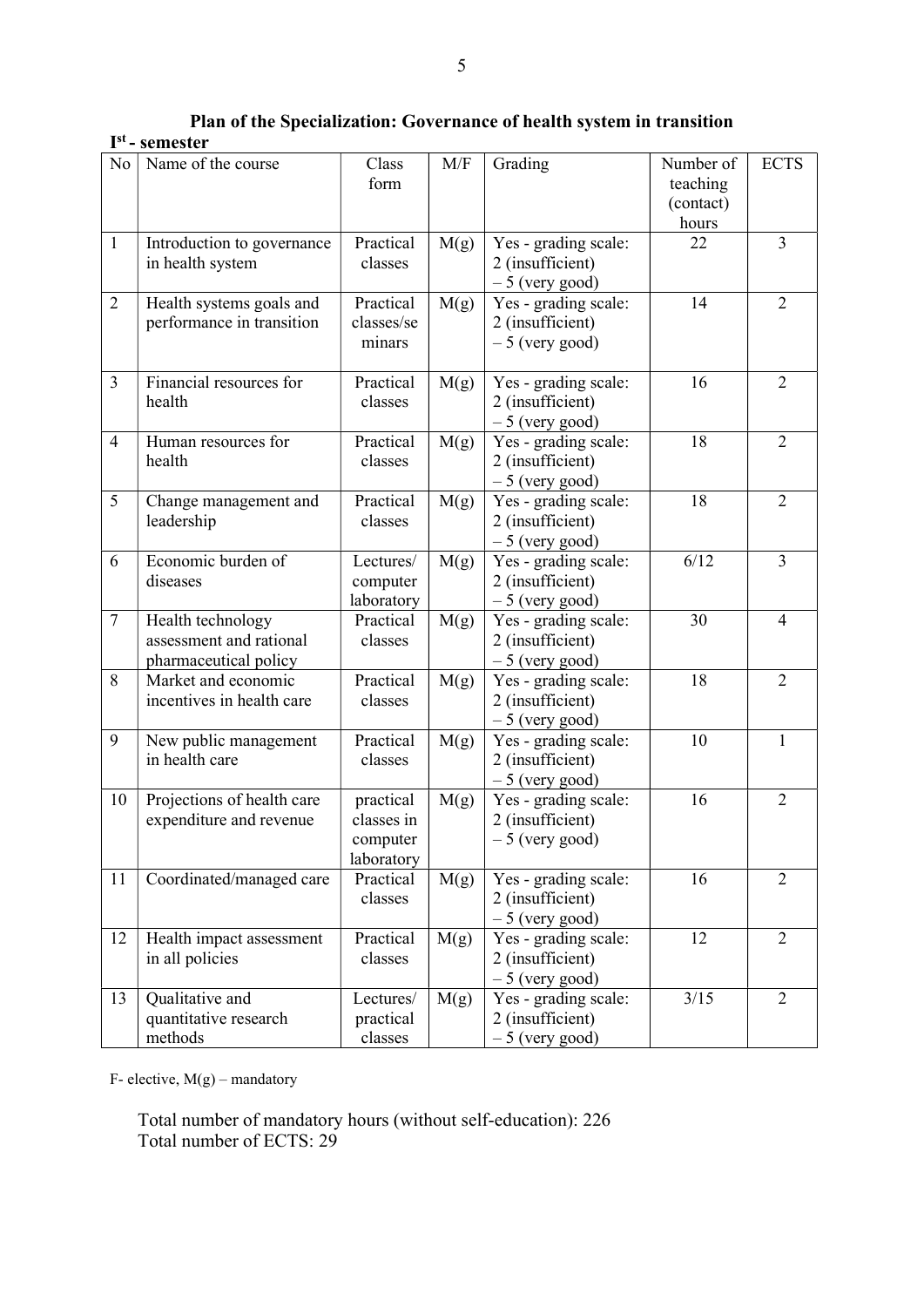Plan of the Specialization: Governance of health system in transition

### I st - semester

| N <sub>o</sub> | Name of the course         | Class      | M/F  | Grading              | Number of | <b>ECTS</b>    |
|----------------|----------------------------|------------|------|----------------------|-----------|----------------|
|                |                            | form       |      |                      | teaching  |                |
|                |                            |            |      |                      | (contact) |                |
|                |                            |            |      |                      | hours     |                |
| $\mathbf{1}$   | Introduction to governance | Practical  | M(g) | Yes - grading scale: | 22        | $\overline{3}$ |
|                | in health system           | classes    |      | 2 (insufficient)     |           |                |
|                |                            |            |      | $-5$ (very good)     |           |                |
| $\mathbf{2}$   | Health systems goals and   | Practical  | M(g) | Yes - grading scale: | 14        | $\overline{2}$ |
|                | performance in transition  | classes/se |      | 2 (insufficient)     |           |                |
|                |                            | minars     |      | $-5$ (very good)     |           |                |
|                |                            |            |      |                      |           |                |
| $\overline{3}$ | Financial resources for    | Practical  | M(g) | Yes - grading scale: | 16        | $\overline{2}$ |
|                | health                     | classes    |      | 2 (insufficient)     |           |                |
|                |                            |            |      | $-5$ (very good)     |           |                |
| $\overline{4}$ | Human resources for        | Practical  | M(g) | Yes - grading scale: | 18        | $\overline{2}$ |
|                | health                     | classes    |      | 2 (insufficient)     |           |                |
|                |                            |            |      | $-5$ (very good)     |           |                |
| 5              | Change management and      | Practical  | M(g) | Yes - grading scale: | 18        | $\overline{2}$ |
|                | leadership                 | classes    |      | 2 (insufficient)     |           |                |
|                |                            |            |      | $-5$ (very good)     |           |                |
| 6              | Economic burden of         | Lectures/  | M(g) | Yes - grading scale: | 6/12      | $\overline{3}$ |
|                | diseases                   | computer   |      | 2 (insufficient)     |           |                |
|                |                            | laboratory |      | $-5$ (very good)     |           |                |
| $\overline{7}$ | Health technology          | Practical  | M(g) | Yes - grading scale: | 30        | $\overline{4}$ |
|                | assessment and rational    | classes    |      | 2 (insufficient)     |           |                |
|                | pharmaceutical policy      |            |      | $-5$ (very good)     |           |                |
| 8              | Market and economic        | Practical  | M(g) | Yes - grading scale: | 18        | $\overline{2}$ |
|                | incentives in health care  | classes    |      | 2 (insufficient)     |           |                |
|                |                            |            |      | $-5$ (very good)     |           |                |
| 9              | New public management      | Practical  | M(g) | Yes - grading scale: | 10        | 1              |
|                | in health care             | classes    |      | 2 (insufficient)     |           |                |
|                |                            |            |      | $-5$ (very good)     |           |                |
| 10             | Projections of health care | practical  | M(g) | Yes - grading scale: | 16        | $\overline{2}$ |
|                | expenditure and revenue    | classes in |      | 2 (insufficient)     |           |                |
|                |                            | computer   |      | $-5$ (very good)     |           |                |
|                |                            | laboratory |      |                      |           |                |
| 11             | Coordinated/managed care   | Practical  | M(g) | Yes - grading scale: | 16        | $\overline{2}$ |
|                |                            | classes    |      | 2 (insufficient)     |           |                |
|                |                            |            |      | $-5$ (very good)     |           |                |
| 12             | Health impact assessment   | Practical  | M(g) | Yes - grading scale: | 12        | $\overline{2}$ |
|                | in all policies            | classes    |      | 2 (insufficient)     |           |                |
|                |                            |            |      | $-5$ (very good)     |           |                |
| 13             | Qualitative and            | Lectures/  | M(g) | Yes - grading scale: | 3/15      | $\overline{2}$ |
|                | quantitative research      | practical  |      | 2 (insufficient)     |           |                |
|                | methods                    | classes    |      | $-5$ (very good)     |           |                |

F- elective,  $M(g)$  – mandatory

Total number of mandatory hours (without self-education): 226 Total number of ECTS: 29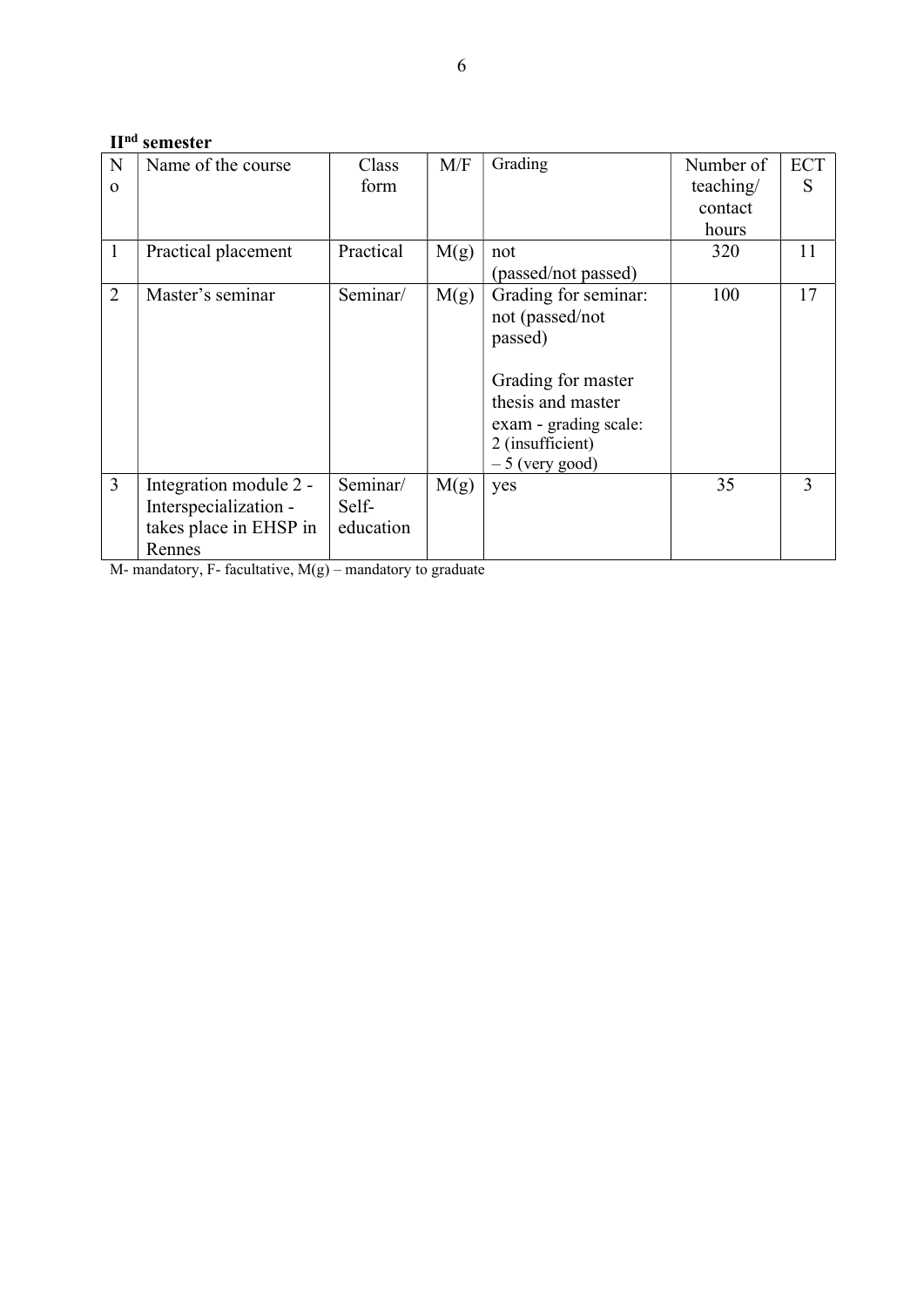## IInd semester

| N              | Name of the course     | Class     | M/F  | Grading               | Number of | <b>ECT</b> |
|----------------|------------------------|-----------|------|-----------------------|-----------|------------|
| $\Omega$       |                        | form      |      |                       | teaching/ | S          |
|                |                        |           |      |                       | contact   |            |
|                |                        |           |      |                       | hours     |            |
| $\mathbf{1}$   | Practical placement    | Practical | M(g) | not                   | 320       | 11         |
|                |                        |           |      | (passed/not passed)   |           |            |
| $\overline{2}$ | Master's seminar       | Seminar/  | M(g) | Grading for seminar:  | 100       | 17         |
|                |                        |           |      | not (passed/not       |           |            |
|                |                        |           |      | passed)               |           |            |
|                |                        |           |      |                       |           |            |
|                |                        |           |      | Grading for master    |           |            |
|                |                        |           |      | thesis and master     |           |            |
|                |                        |           |      | exam - grading scale: |           |            |
|                |                        |           |      | 2 (insufficient)      |           |            |
|                |                        |           |      | $-5$ (very good)      |           |            |
| $\overline{3}$ | Integration module 2 - | Seminar/  | M(g) | yes                   | 35        | 3          |
|                | Interspecialization -  | Self-     |      |                       |           |            |
|                | takes place in EHSP in | education |      |                       |           |            |
|                | Rennes                 |           |      |                       |           |            |

M- mandatory, F- facultative,  $M(g)$  – mandatory to graduate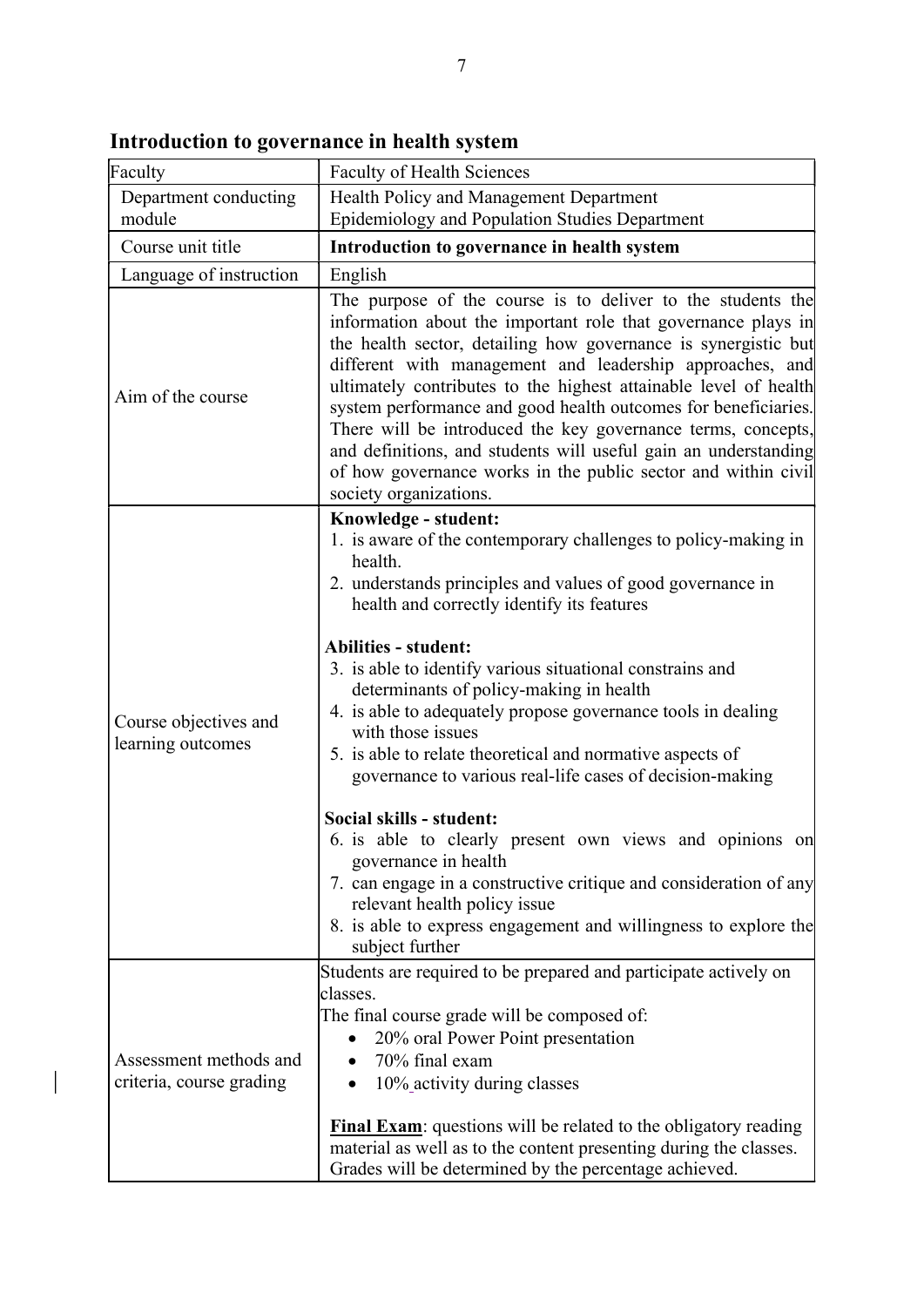| Faculty                                            | <b>Faculty of Health Sciences</b>                                                                                                                                                                                                                                                                                                                                                                                                                                                                                                                                                                                                                                                                                                                                                                                                                                            |
|----------------------------------------------------|------------------------------------------------------------------------------------------------------------------------------------------------------------------------------------------------------------------------------------------------------------------------------------------------------------------------------------------------------------------------------------------------------------------------------------------------------------------------------------------------------------------------------------------------------------------------------------------------------------------------------------------------------------------------------------------------------------------------------------------------------------------------------------------------------------------------------------------------------------------------------|
| Department conducting<br>module                    | Health Policy and Management Department<br><b>Epidemiology and Population Studies Department</b>                                                                                                                                                                                                                                                                                                                                                                                                                                                                                                                                                                                                                                                                                                                                                                             |
| Course unit title                                  | Introduction to governance in health system                                                                                                                                                                                                                                                                                                                                                                                                                                                                                                                                                                                                                                                                                                                                                                                                                                  |
| Language of instruction                            | English                                                                                                                                                                                                                                                                                                                                                                                                                                                                                                                                                                                                                                                                                                                                                                                                                                                                      |
| Aim of the course                                  | The purpose of the course is to deliver to the students the<br>information about the important role that governance plays in<br>the health sector, detailing how governance is synergistic but<br>different with management and leadership approaches, and<br>ultimately contributes to the highest attainable level of health<br>system performance and good health outcomes for beneficiaries.<br>There will be introduced the key governance terms, concepts,<br>and definitions, and students will useful gain an understanding<br>of how governance works in the public sector and within civil<br>society organizations.                                                                                                                                                                                                                                               |
| Course objectives and<br>learning outcomes         | Knowledge - student:<br>1. is aware of the contemporary challenges to policy-making in<br>health.<br>2. understands principles and values of good governance in<br>health and correctly identify its features<br><b>Abilities - student:</b><br>3. is able to identify various situational constrains and<br>determinants of policy-making in health<br>4. is able to adequately propose governance tools in dealing<br>with those issues<br>5. is able to relate theoretical and normative aspects of<br>governance to various real-life cases of decision-making<br>Social skills - student:<br>6. is able to clearly present own views and opinions on<br>governance in health<br>7. can engage in a constructive critique and consideration of any<br>relevant health policy issue<br>8. is able to express engagement and willingness to explore the<br>subject further |
| Assessment methods and<br>criteria, course grading | Students are required to be prepared and participate actively on<br>classes.<br>The final course grade will be composed of:<br>20% oral Power Point presentation<br>70% final exam<br>10% activity during classes<br><b>Final Exam:</b> questions will be related to the obligatory reading<br>material as well as to the content presenting during the classes.<br>Grades will be determined by the percentage achieved.                                                                                                                                                                                                                                                                                                                                                                                                                                                    |

Introduction to governance in health system

 $\overline{\phantom{a}}$ 

٦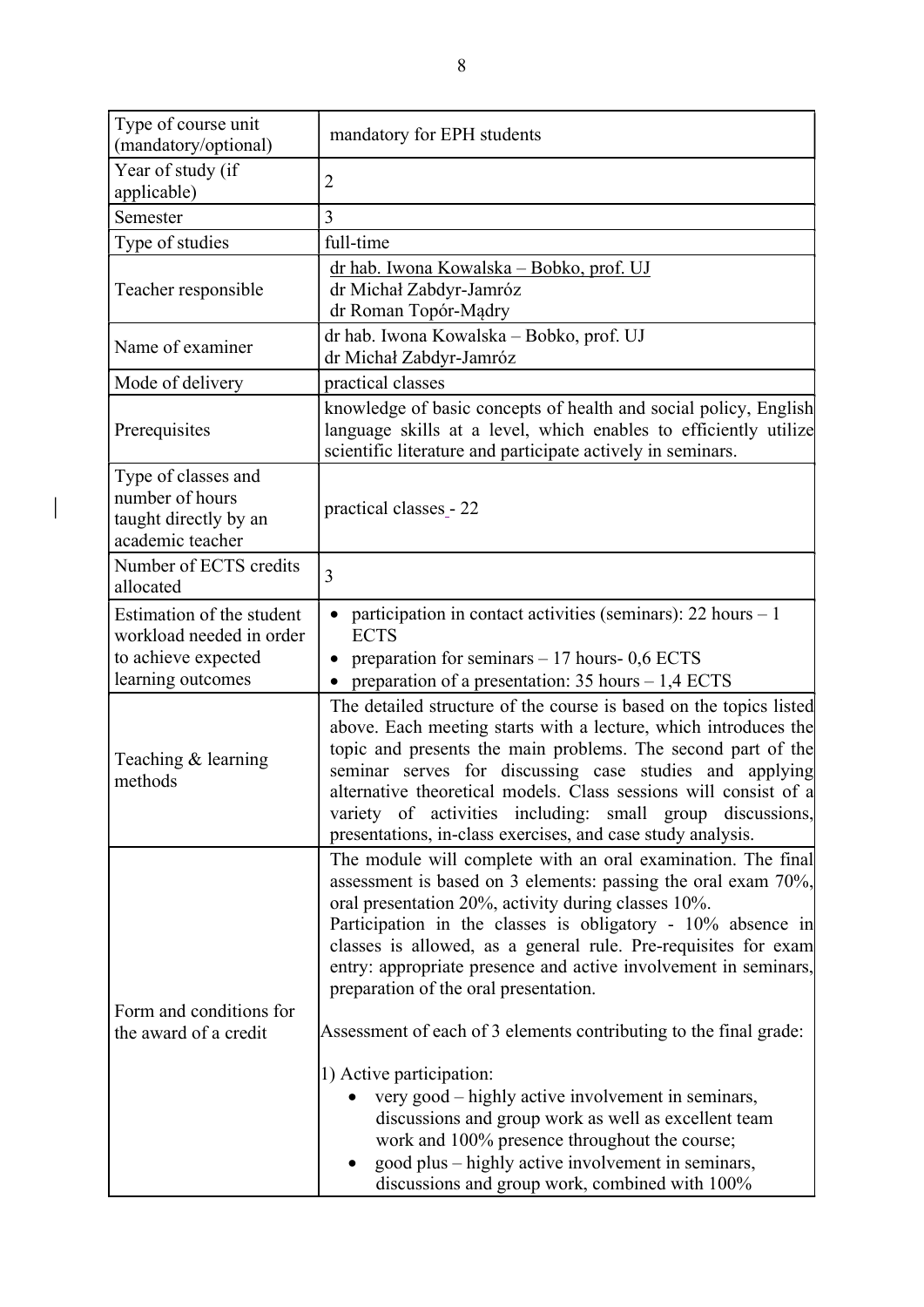| Type of course unit<br>(mandatory/optional)                                                       | mandatory for EPH students                                                                                                                                                                                                                                                                                                                                                                                                                                                                                                                                                                                                                                                                                                                                                                                |
|---------------------------------------------------------------------------------------------------|-----------------------------------------------------------------------------------------------------------------------------------------------------------------------------------------------------------------------------------------------------------------------------------------------------------------------------------------------------------------------------------------------------------------------------------------------------------------------------------------------------------------------------------------------------------------------------------------------------------------------------------------------------------------------------------------------------------------------------------------------------------------------------------------------------------|
| Year of study (if<br>applicable)                                                                  | 2                                                                                                                                                                                                                                                                                                                                                                                                                                                                                                                                                                                                                                                                                                                                                                                                         |
| Semester                                                                                          | 3                                                                                                                                                                                                                                                                                                                                                                                                                                                                                                                                                                                                                                                                                                                                                                                                         |
| Type of studies                                                                                   | full-time                                                                                                                                                                                                                                                                                                                                                                                                                                                                                                                                                                                                                                                                                                                                                                                                 |
| Teacher responsible                                                                               | dr hab. Iwona Kowalska – Bobko, prof. UJ<br>dr Michał Zabdyr-Jamróz<br>dr Roman Topór-Mądry                                                                                                                                                                                                                                                                                                                                                                                                                                                                                                                                                                                                                                                                                                               |
| Name of examiner                                                                                  | dr hab. Iwona Kowalska - Bobko, prof. UJ<br>dr Michał Zabdyr-Jamróz                                                                                                                                                                                                                                                                                                                                                                                                                                                                                                                                                                                                                                                                                                                                       |
| Mode of delivery                                                                                  | practical classes                                                                                                                                                                                                                                                                                                                                                                                                                                                                                                                                                                                                                                                                                                                                                                                         |
| Prerequisites                                                                                     | knowledge of basic concepts of health and social policy, English<br>language skills at a level, which enables to efficiently utilize<br>scientific literature and participate actively in seminars.                                                                                                                                                                                                                                                                                                                                                                                                                                                                                                                                                                                                       |
| Type of classes and<br>number of hours<br>taught directly by an<br>academic teacher               | practical classes - 22                                                                                                                                                                                                                                                                                                                                                                                                                                                                                                                                                                                                                                                                                                                                                                                    |
| Number of ECTS credits<br>allocated                                                               | 3                                                                                                                                                                                                                                                                                                                                                                                                                                                                                                                                                                                                                                                                                                                                                                                                         |
| Estimation of the student<br>workload needed in order<br>to achieve expected<br>learning outcomes | participation in contact activities (seminars): 22 hours - 1<br><b>ECTS</b><br>preparation for seminars $-17$ hours- 0,6 ECTS<br>preparation of a presentation: $35$ hours $-1,4$ ECTS                                                                                                                                                                                                                                                                                                                                                                                                                                                                                                                                                                                                                    |
| Teaching & learning<br>methods                                                                    | The detailed structure of the course is based on the topics listed<br>above. Each meeting starts with a lecture, which introduces the<br>topic and presents the main problems. The second part of the<br>seminar serves for discussing case studies and applying<br>alternative theoretical models. Class sessions will consist of a<br>variety of activities including: small group discussions,<br>presentations, in-class exercises, and case study analysis.                                                                                                                                                                                                                                                                                                                                          |
| Form and conditions for<br>the award of a credit                                                  | The module will complete with an oral examination. The final<br>assessment is based on 3 elements: passing the oral exam 70%,<br>oral presentation 20%, activity during classes 10%.<br>Participation in the classes is obligatory - 10% absence in<br>classes is allowed, as a general rule. Pre-requisites for exam<br>entry: appropriate presence and active involvement in seminars,<br>preparation of the oral presentation.<br>Assessment of each of 3 elements contributing to the final grade:<br>1) Active participation:<br>very good – highly active involvement in seminars,<br>discussions and group work as well as excellent team<br>work and 100% presence throughout the course;<br>good plus – highly active involvement in seminars,<br>discussions and group work, combined with 100% |

 $\begin{array}{c} \end{array}$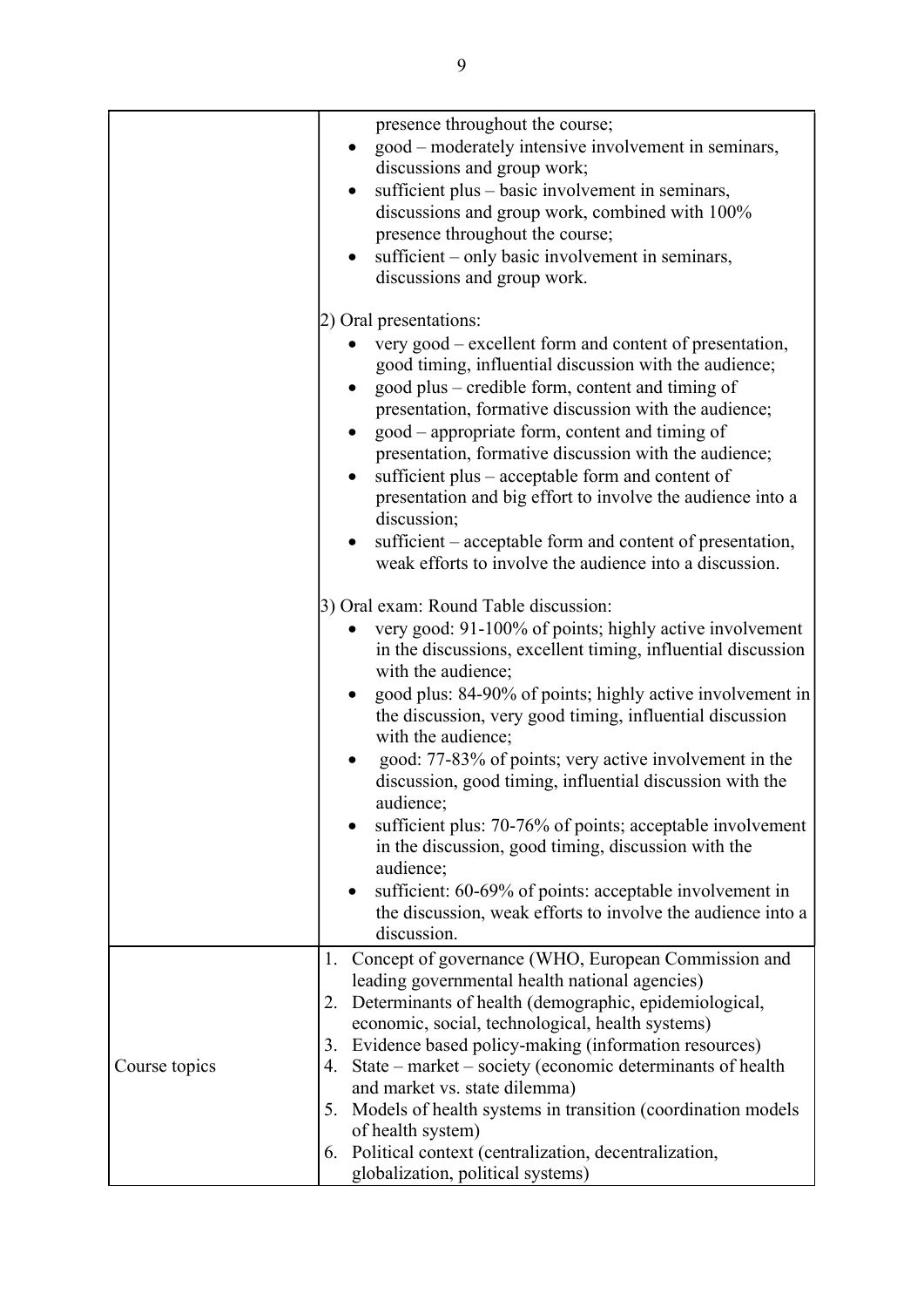|               | presence throughout the course;<br>good – moderately intensive involvement in seminars,<br>discussions and group work;<br>sufficient plus - basic involvement in seminars,<br>discussions and group work, combined with 100%<br>presence throughout the course;<br>sufficient – only basic involvement in seminars,<br>discussions and group work.                                                                                                                                                                                                                                                                                                                                                                                                 |
|---------------|----------------------------------------------------------------------------------------------------------------------------------------------------------------------------------------------------------------------------------------------------------------------------------------------------------------------------------------------------------------------------------------------------------------------------------------------------------------------------------------------------------------------------------------------------------------------------------------------------------------------------------------------------------------------------------------------------------------------------------------------------|
|               | 2) Oral presentations:<br>very good – excellent form and content of presentation,<br>good timing, influential discussion with the audience;<br>good plus – credible form, content and timing of<br>presentation, formative discussion with the audience;<br>good – appropriate form, content and timing of<br>presentation, formative discussion with the audience;<br>sufficient plus – acceptable form and content of<br>presentation and big effort to involve the audience into a<br>discussion;<br>sufficient – acceptable form and content of presentation,<br>weak efforts to involve the audience into a discussion.                                                                                                                       |
|               | 3) Oral exam: Round Table discussion:<br>very good: 91-100% of points; highly active involvement<br>in the discussions, excellent timing, influential discussion<br>with the audience;<br>good plus: 84-90% of points; highly active involvement in<br>the discussion, very good timing, influential discussion<br>with the audience;<br>good: 77-83% of points; very active involvement in the<br>discussion, good timing, influential discussion with the<br>audience;<br>sufficient plus: 70-76% of points; acceptable involvement<br>in the discussion, good timing, discussion with the<br>audience;<br>sufficient: 60-69% of points: acceptable involvement in<br>the discussion, weak efforts to involve the audience into a<br>discussion. |
| Course topics | 1. Concept of governance (WHO, European Commission and<br>leading governmental health national agencies)<br>2. Determinants of health (demographic, epidemiological,<br>economic, social, technological, health systems)<br>Evidence based policy-making (information resources)<br>3.<br>State – market – society (economic determinants of health<br>4.<br>and market vs. state dilemma)<br>Models of health systems in transition (coordination models<br>5.<br>of health system)<br>6. Political context (centralization, decentralization,<br>globalization, political systems)                                                                                                                                                               |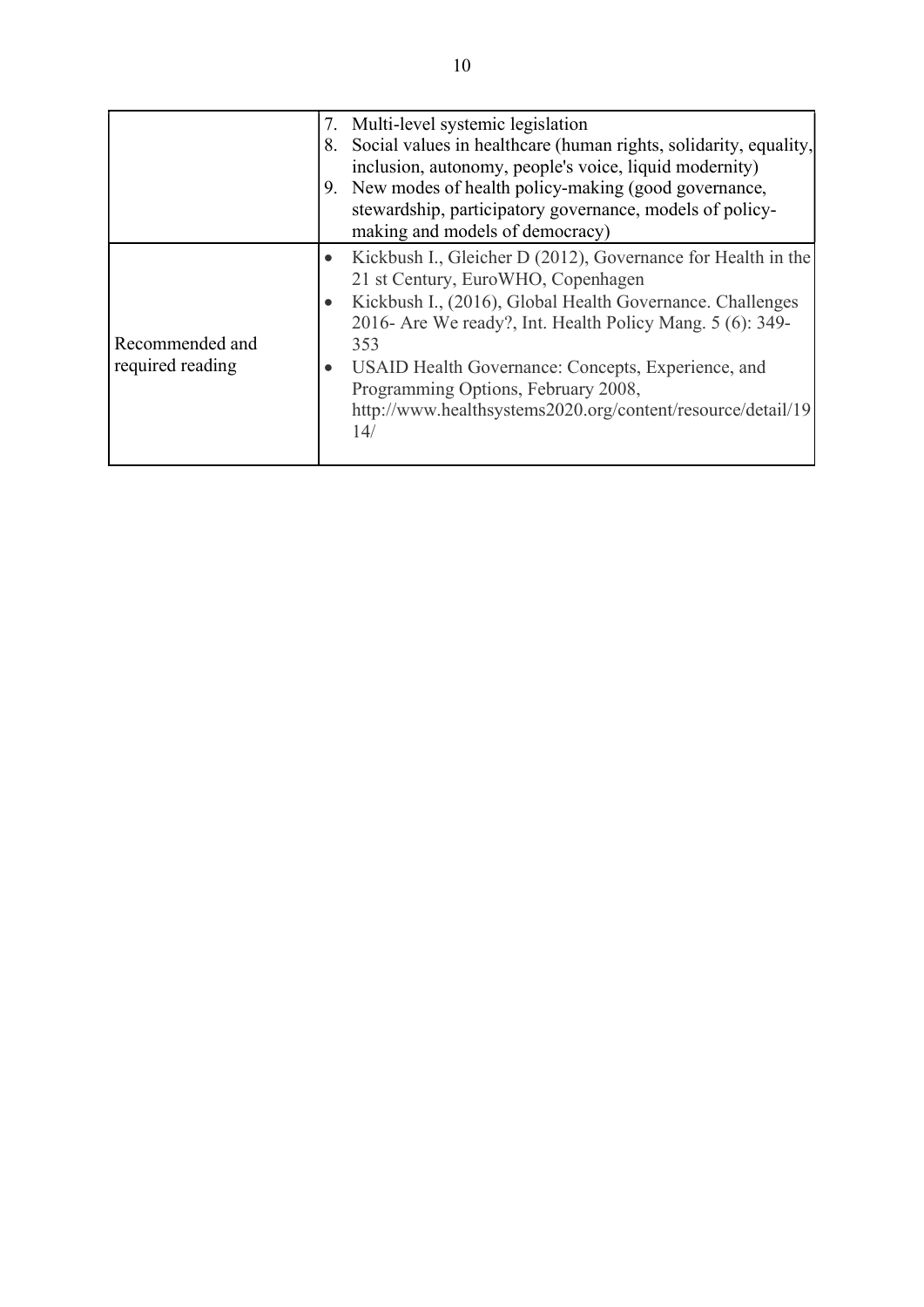|                                     |           | 7. Multi-level systemic legislation<br>8. Social values in healthcare (human rights, solidarity, equality,<br>inclusion, autonomy, people's voice, liquid modernity)<br>9. New modes of health policy-making (good governance,<br>stewardship, participatory governance, models of policy-<br>making and models of democracy)                                                                          |
|-------------------------------------|-----------|--------------------------------------------------------------------------------------------------------------------------------------------------------------------------------------------------------------------------------------------------------------------------------------------------------------------------------------------------------------------------------------------------------|
| Recommended and<br>required reading | $\bullet$ | Kickbush I., Gleicher D (2012), Governance for Health in the<br>21 st Century, EuroWHO, Copenhagen<br>Kickbush I., (2016), Global Health Governance. Challenges<br>2016- Are We ready?, Int. Health Policy Mang. 5 (6): 349-<br>353<br>USAID Health Governance: Concepts, Experience, and<br>Programming Options, February 2008,<br>http://www.healthsystems2020.org/content/resource/detail/19<br>14/ |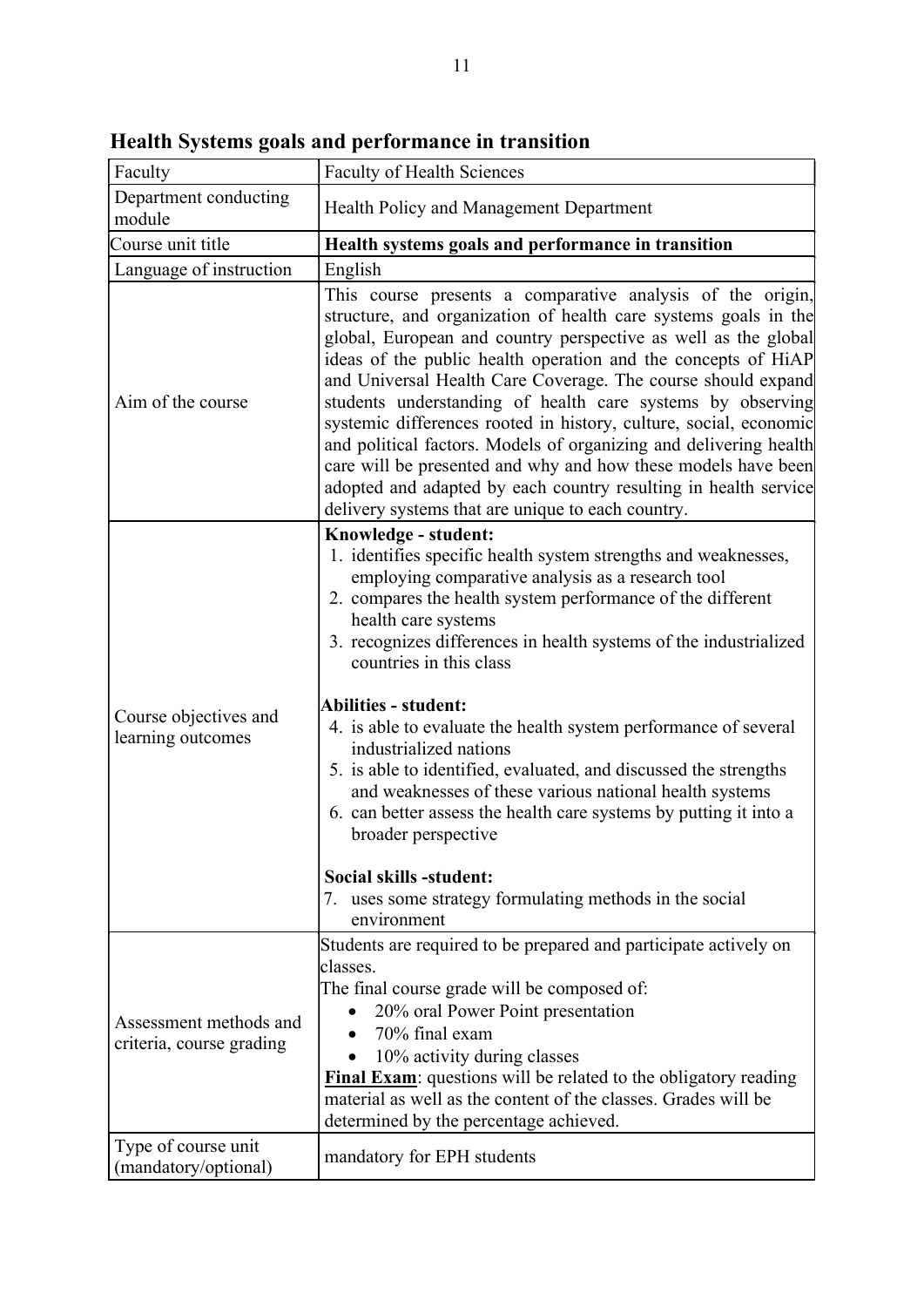| Faculty                                            | <b>Faculty of Health Sciences</b>                                                                                                                                                                                                                                                                                                                                                                                                                                                                                                                                                                                                                                                                                                                                                     |
|----------------------------------------------------|---------------------------------------------------------------------------------------------------------------------------------------------------------------------------------------------------------------------------------------------------------------------------------------------------------------------------------------------------------------------------------------------------------------------------------------------------------------------------------------------------------------------------------------------------------------------------------------------------------------------------------------------------------------------------------------------------------------------------------------------------------------------------------------|
| Department conducting<br>module                    | Health Policy and Management Department                                                                                                                                                                                                                                                                                                                                                                                                                                                                                                                                                                                                                                                                                                                                               |
| Course unit title                                  | Health systems goals and performance in transition                                                                                                                                                                                                                                                                                                                                                                                                                                                                                                                                                                                                                                                                                                                                    |
| Language of instruction                            | English                                                                                                                                                                                                                                                                                                                                                                                                                                                                                                                                                                                                                                                                                                                                                                               |
| Aim of the course                                  | This course presents a comparative analysis of the origin,<br>structure, and organization of health care systems goals in the<br>global, European and country perspective as well as the global<br>ideas of the public health operation and the concepts of HiAP<br>and Universal Health Care Coverage. The course should expand<br>students understanding of health care systems by observing<br>systemic differences rooted in history, culture, social, economic<br>and political factors. Models of organizing and delivering health<br>care will be presented and why and how these models have been<br>adopted and adapted by each country resulting in health service<br>delivery systems that are unique to each country.                                                     |
| Course objectives and<br>learning outcomes         | Knowledge - student:<br>1. identifies specific health system strengths and weaknesses,<br>employing comparative analysis as a research tool<br>2. compares the health system performance of the different<br>health care systems<br>3. recognizes differences in health systems of the industrialized<br>countries in this class<br>Abilities - student:<br>4. is able to evaluate the health system performance of several<br>industrialized nations<br>5. is able to identified, evaluated, and discussed the strengths<br>and weaknesses of these various national health systems<br>6. can better assess the health care systems by putting it into a<br>broader perspective<br>Social skills -student:<br>7. uses some strategy formulating methods in the social<br>environment |
| Assessment methods and<br>criteria, course grading | Students are required to be prepared and participate actively on<br>classes.<br>The final course grade will be composed of:<br>20% oral Power Point presentation<br>70% final exam<br>10% activity during classes<br><b>Final Exam:</b> questions will be related to the obligatory reading<br>material as well as the content of the classes. Grades will be<br>determined by the percentage achieved.                                                                                                                                                                                                                                                                                                                                                                               |
| Type of course unit<br>(mandatory/optional)        | mandatory for EPH students                                                                                                                                                                                                                                                                                                                                                                                                                                                                                                                                                                                                                                                                                                                                                            |

Health Systems goals and performance in transition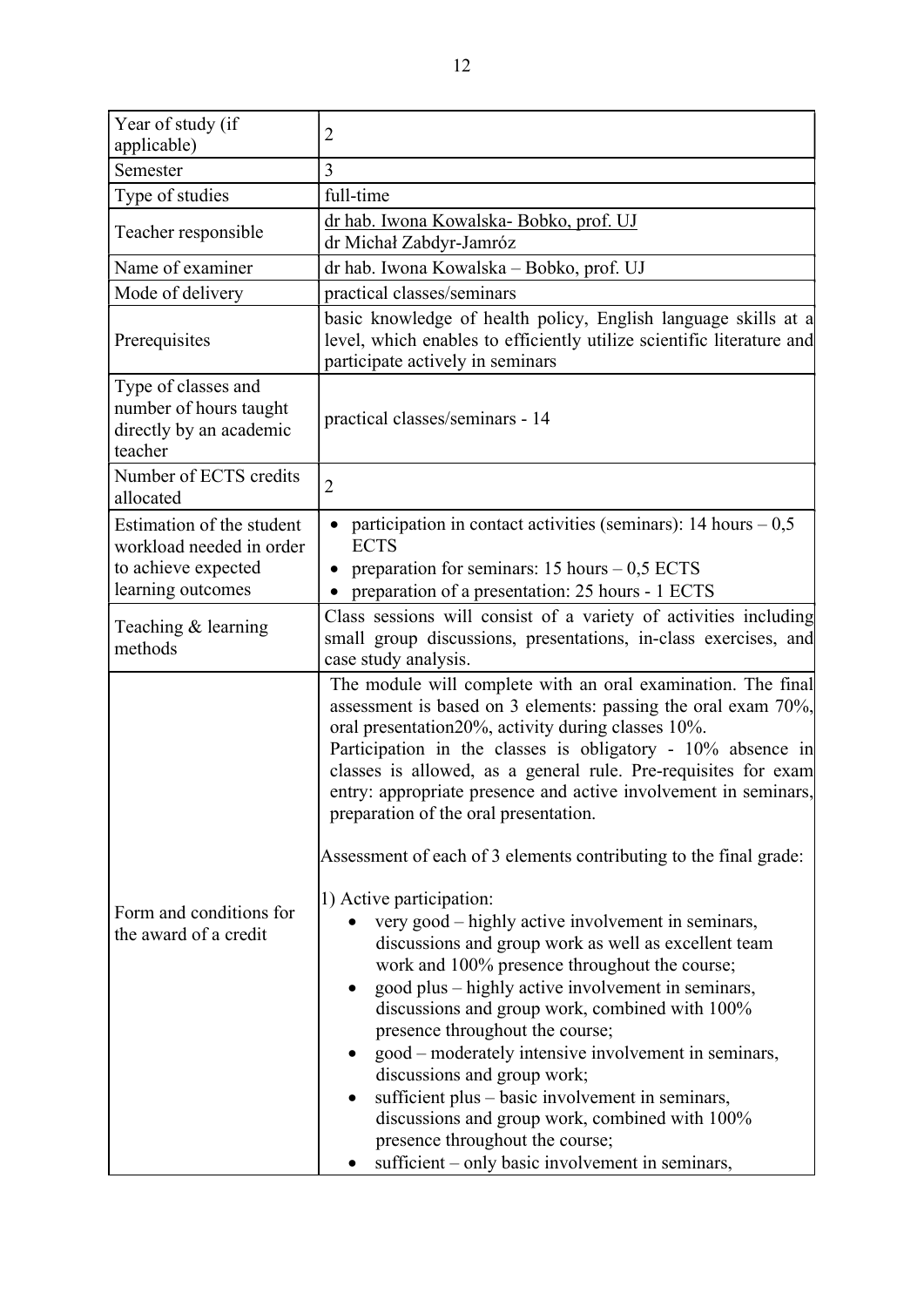| Year of study (if                                                                                 | $\overline{2}$                                                                                                                                                                                                                                                                                                                                                                                                                                                                                                                                                                                                         |
|---------------------------------------------------------------------------------------------------|------------------------------------------------------------------------------------------------------------------------------------------------------------------------------------------------------------------------------------------------------------------------------------------------------------------------------------------------------------------------------------------------------------------------------------------------------------------------------------------------------------------------------------------------------------------------------------------------------------------------|
| applicable)                                                                                       |                                                                                                                                                                                                                                                                                                                                                                                                                                                                                                                                                                                                                        |
| Semester                                                                                          | 3                                                                                                                                                                                                                                                                                                                                                                                                                                                                                                                                                                                                                      |
| Type of studies                                                                                   | full-time                                                                                                                                                                                                                                                                                                                                                                                                                                                                                                                                                                                                              |
| Teacher responsible                                                                               | dr hab. Iwona Kowalska- Bobko, prof. UJ<br>dr Michał Zabdyr-Jamróz                                                                                                                                                                                                                                                                                                                                                                                                                                                                                                                                                     |
| Name of examiner                                                                                  | dr hab. Iwona Kowalska – Bobko, prof. UJ                                                                                                                                                                                                                                                                                                                                                                                                                                                                                                                                                                               |
| Mode of delivery                                                                                  | practical classes/seminars                                                                                                                                                                                                                                                                                                                                                                                                                                                                                                                                                                                             |
| Prerequisites                                                                                     | basic knowledge of health policy, English language skills at a<br>level, which enables to efficiently utilize scientific literature and<br>participate actively in seminars                                                                                                                                                                                                                                                                                                                                                                                                                                            |
| Type of classes and<br>number of hours taught<br>directly by an academic<br>teacher               | practical classes/seminars - 14                                                                                                                                                                                                                                                                                                                                                                                                                                                                                                                                                                                        |
| Number of ECTS credits<br>allocated                                                               | $\overline{2}$                                                                                                                                                                                                                                                                                                                                                                                                                                                                                                                                                                                                         |
| Estimation of the student<br>workload needed in order<br>to achieve expected<br>learning outcomes | participation in contact activities (seminars): $14 \text{ hours} - 0.5$<br><b>ECTS</b><br>preparation for seminars: $15$ hours $-0.5$ ECTS                                                                                                                                                                                                                                                                                                                                                                                                                                                                            |
|                                                                                                   | preparation of a presentation: 25 hours - 1 ECTS                                                                                                                                                                                                                                                                                                                                                                                                                                                                                                                                                                       |
| Teaching & learning<br>methods                                                                    | Class sessions will consist of a variety of activities including<br>small group discussions, presentations, in-class exercises, and<br>case study analysis.                                                                                                                                                                                                                                                                                                                                                                                                                                                            |
|                                                                                                   | The module will complete with an oral examination. The final<br>assessment is based on 3 elements: passing the oral exam 70%,<br>oral presentation 20%, activity during classes 10%.<br>Participation in the classes is obligatory - 10% absence in<br>classes is allowed, as a general rule. Pre-requisites for exam<br>entry: appropriate presence and active involvement in seminars,<br>preparation of the oral presentation.<br>Assessment of each of 3 elements contributing to the final grade:                                                                                                                 |
|                                                                                                   |                                                                                                                                                                                                                                                                                                                                                                                                                                                                                                                                                                                                                        |
| Form and conditions for<br>the award of a credit                                                  | 1) Active participation:<br>very good – highly active involvement in seminars,<br>discussions and group work as well as excellent team<br>work and 100% presence throughout the course;<br>good plus – highly active involvement in seminars,<br>discussions and group work, combined with 100%<br>presence throughout the course;<br>good – moderately intensive involvement in seminars,<br>discussions and group work;<br>sufficient plus - basic involvement in seminars,<br>discussions and group work, combined with 100%<br>presence throughout the course;<br>sufficient – only basic involvement in seminars, |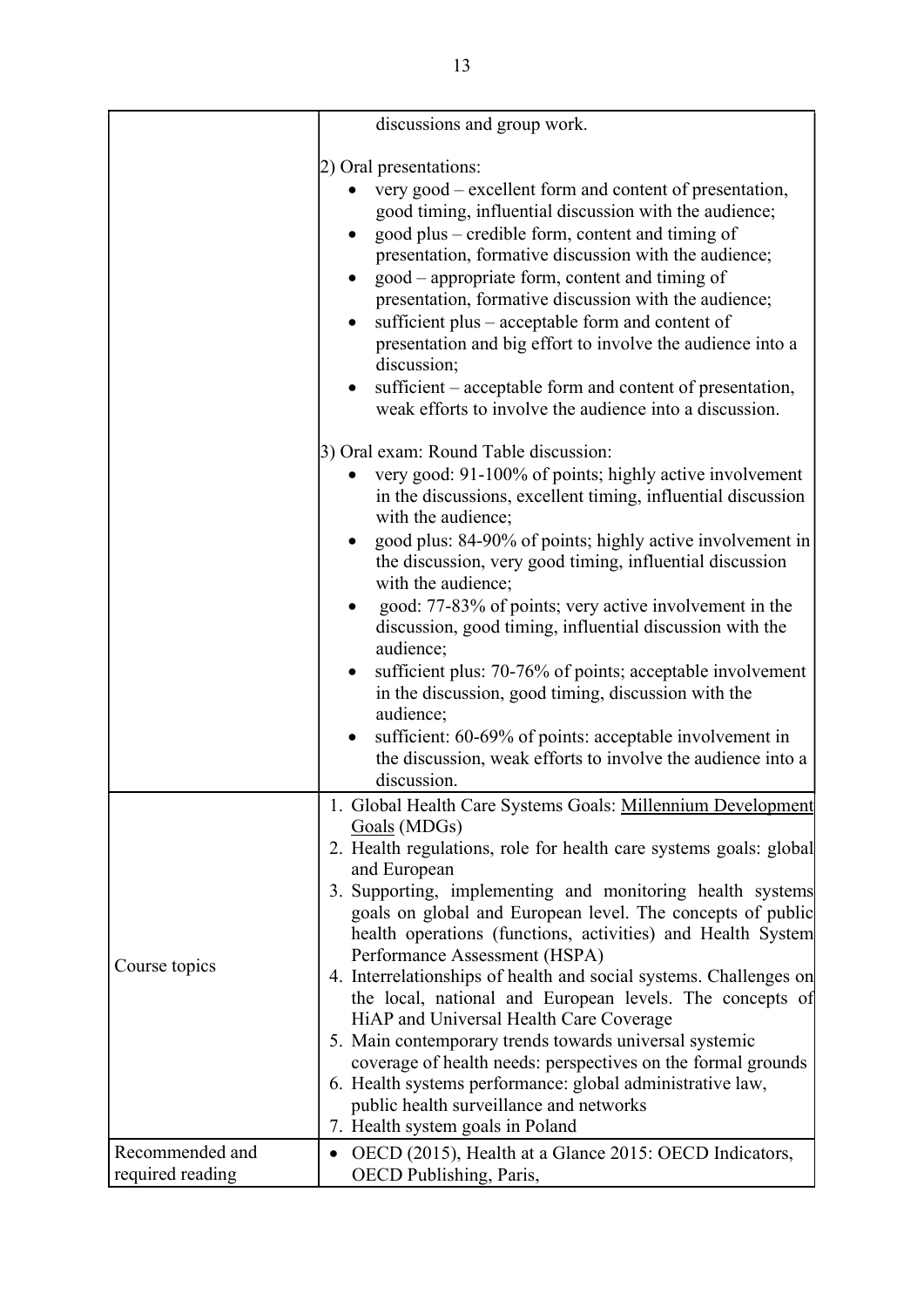|                                     | discussions and group work.                                                                                                                                                                                                                                                                                                                                                                                                                                                                                                                                                                                                                                                                                                                                                                                                                   |
|-------------------------------------|-----------------------------------------------------------------------------------------------------------------------------------------------------------------------------------------------------------------------------------------------------------------------------------------------------------------------------------------------------------------------------------------------------------------------------------------------------------------------------------------------------------------------------------------------------------------------------------------------------------------------------------------------------------------------------------------------------------------------------------------------------------------------------------------------------------------------------------------------|
|                                     | 2) Oral presentations:<br>very good – excellent form and content of presentation,<br>good timing, influential discussion with the audience;<br>good plus - credible form, content and timing of<br>presentation, formative discussion with the audience;<br>good – appropriate form, content and timing of<br>presentation, formative discussion with the audience;<br>sufficient plus – acceptable form and content of<br>presentation and big effort to involve the audience into a<br>discussion;<br>sufficient – acceptable form and content of presentation,<br>weak efforts to involve the audience into a discussion.                                                                                                                                                                                                                  |
|                                     | 3) Oral exam: Round Table discussion:<br>very good: 91-100% of points; highly active involvement<br>in the discussions, excellent timing, influential discussion<br>with the audience;<br>good plus: 84-90% of points; highly active involvement in<br>the discussion, very good timing, influential discussion<br>with the audience;<br>good: 77-83% of points; very active involvement in the<br>discussion, good timing, influential discussion with the<br>audience;<br>sufficient plus: 70-76% of points; acceptable involvement<br>$\bullet$<br>in the discussion, good timing, discussion with the<br>audience;<br>sufficient: 60-69% of points: acceptable involvement in<br>the discussion, weak efforts to involve the audience into a<br>discussion.                                                                               |
| Course topics                       | 1. Global Health Care Systems Goals: Millennium Development<br>Goals (MDGs)<br>2. Health regulations, role for health care systems goals: global<br>and European<br>3. Supporting, implementing and monitoring health systems<br>goals on global and European level. The concepts of public<br>health operations (functions, activities) and Health System<br>Performance Assessment (HSPA)<br>4. Interrelationships of health and social systems. Challenges on<br>the local, national and European levels. The concepts of<br>HiAP and Universal Health Care Coverage<br>5. Main contemporary trends towards universal systemic<br>coverage of health needs: perspectives on the formal grounds<br>6. Health systems performance: global administrative law,<br>public health surveillance and networks<br>7. Health system goals in Poland |
| Recommended and<br>required reading | OECD (2015), Health at a Glance 2015: OECD Indicators,<br>OECD Publishing, Paris,                                                                                                                                                                                                                                                                                                                                                                                                                                                                                                                                                                                                                                                                                                                                                             |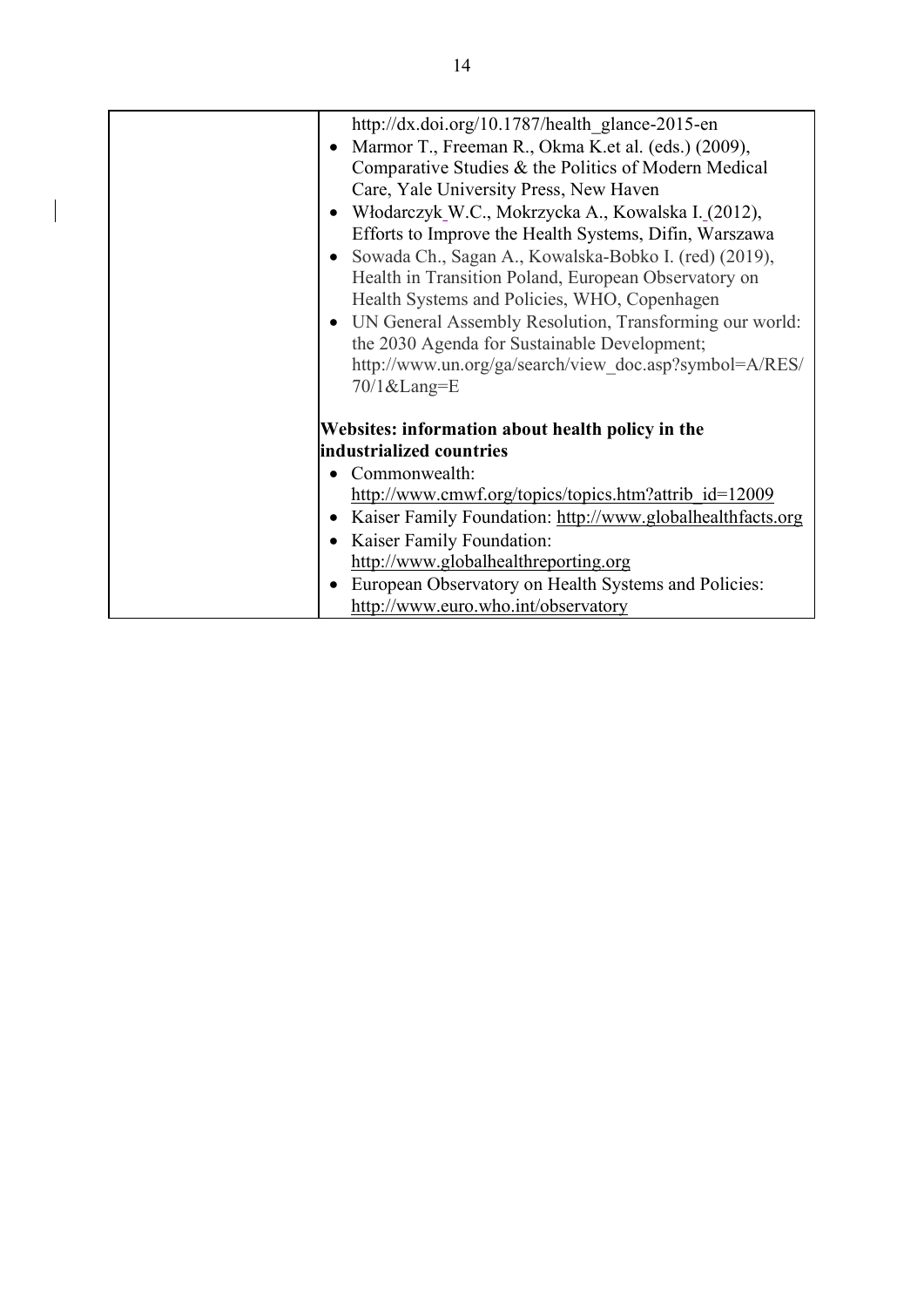|           | http://dx.doi.org/10.1787/health glance-2015-en            |
|-----------|------------------------------------------------------------|
|           | Marmor T., Freeman R., Okma K.et al. (eds.) (2009),        |
|           | Comparative Studies & the Politics of Modern Medical       |
|           | Care, Yale University Press, New Haven                     |
|           | Włodarczyk W.C., Mokrzycka A., Kowalska I. (2012),         |
|           | Efforts to Improve the Health Systems, Difin, Warszawa     |
|           | Sowada Ch., Sagan A., Kowalska-Bobko I. (red) (2019),      |
|           | Health in Transition Poland, European Observatory on       |
|           | Health Systems and Policies, WHO, Copenhagen               |
|           | • UN General Assembly Resolution, Transforming our world:  |
|           | the 2030 Agenda for Sustainable Development;               |
|           | http://www.un.org/ga/search/view doc.asp?symbol=A/RES/     |
|           | 70/1⟪=E                                                    |
|           | Websites: information about health policy in the           |
|           | industrialized countries                                   |
|           | Commonwealth:                                              |
|           | http://www.cmwf.org/topics/topics.htm?attrib_id=12009      |
| $\bullet$ | Kaiser Family Foundation: http://www.globalhealthfacts.org |
| $\bullet$ | Kaiser Family Foundation:                                  |
|           | http://www.globalhealthreporting.org                       |
| $\bullet$ | European Observatory on Health Systems and Policies:       |
|           | http://www.euro.who.int/observatory                        |

 $\begin{array}{c} \hline \end{array}$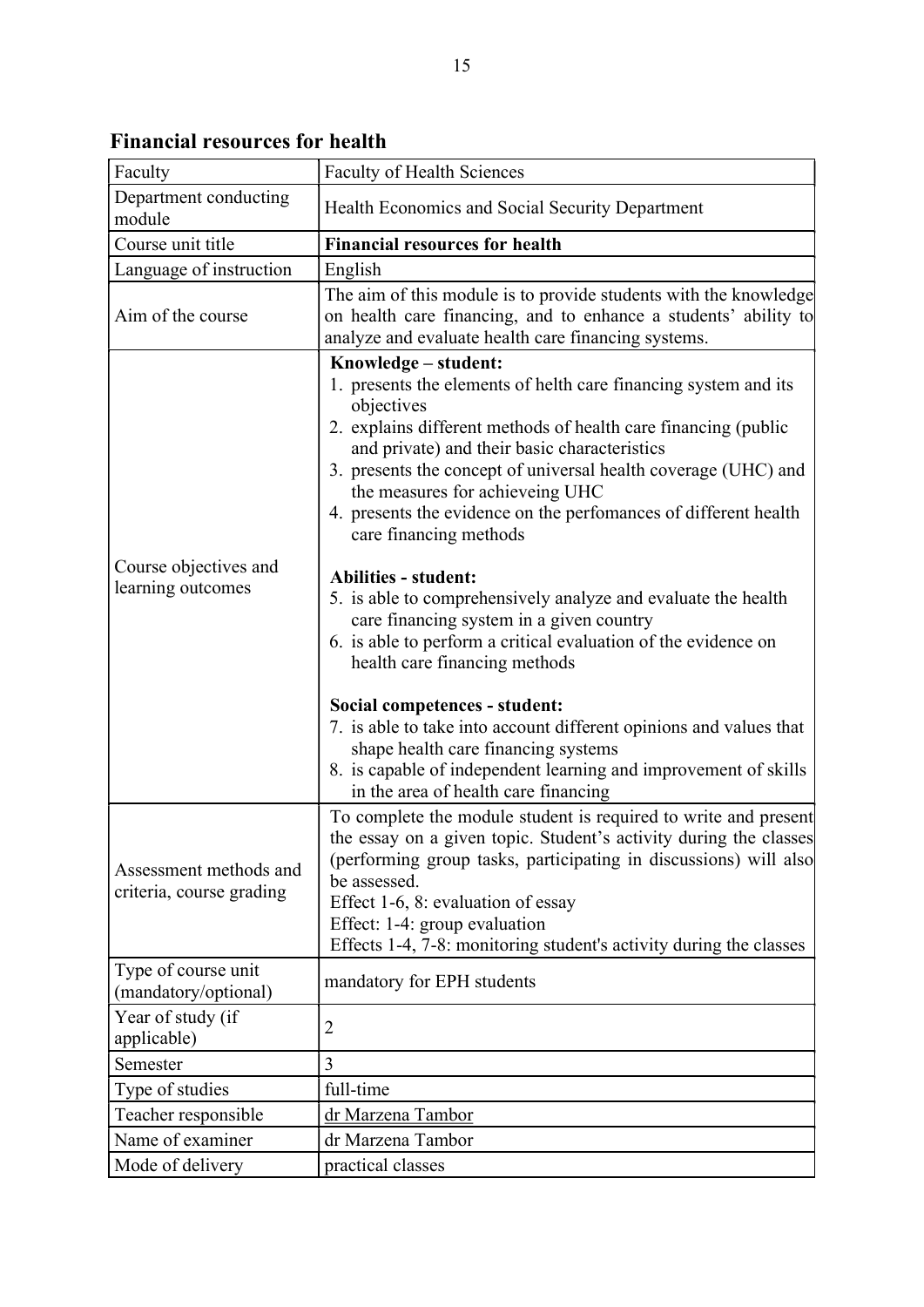Financial resources for health

| Faculty                                            | Faculty of Health Sciences                                                                                                                                                                                                                                                                                                                                                                                                                                                                           |
|----------------------------------------------------|------------------------------------------------------------------------------------------------------------------------------------------------------------------------------------------------------------------------------------------------------------------------------------------------------------------------------------------------------------------------------------------------------------------------------------------------------------------------------------------------------|
| Department conducting<br>module                    | Health Economics and Social Security Department                                                                                                                                                                                                                                                                                                                                                                                                                                                      |
| Course unit title                                  | <b>Financial resources for health</b>                                                                                                                                                                                                                                                                                                                                                                                                                                                                |
| Language of instruction                            | English                                                                                                                                                                                                                                                                                                                                                                                                                                                                                              |
| Aim of the course                                  | The aim of this module is to provide students with the knowledge<br>on health care financing, and to enhance a students' ability to<br>analyze and evaluate health care financing systems.                                                                                                                                                                                                                                                                                                           |
|                                                    | Knowledge - student:<br>1. presents the elements of helth care financing system and its<br>objectives<br>2. explains different methods of health care financing (public<br>and private) and their basic characteristics<br>3. presents the concept of universal health coverage (UHC) and<br>the measures for achieveing UHC<br>4. presents the evidence on the perfomances of different health<br>care financing methods                                                                            |
| Course objectives and<br>learning outcomes         | <b>Abilities - student:</b><br>5. is able to comprehensively analyze and evaluate the health<br>care financing system in a given country<br>6. is able to perform a critical evaluation of the evidence on<br>health care financing methods<br>Social competences - student:<br>7. is able to take into account different opinions and values that<br>shape health care financing systems<br>8. is capable of independent learning and improvement of skills<br>in the area of health care financing |
| Assessment methods and<br>criteria, course grading | To complete the module student is required to write and present<br>the essay on a given topic. Student's activity during the classes<br>(performing group tasks, participating in discussions) will also<br>be assessed.<br>Effect 1-6, 8: evaluation of essay<br>Effect: 1-4: group evaluation<br>Effects 1-4, 7-8: monitoring student's activity during the classes                                                                                                                                |
| Type of course unit<br>(mandatory/optional)        | mandatory for EPH students                                                                                                                                                                                                                                                                                                                                                                                                                                                                           |
| Year of study (if<br>applicable)                   | $\overline{2}$                                                                                                                                                                                                                                                                                                                                                                                                                                                                                       |
| Semester                                           | 3                                                                                                                                                                                                                                                                                                                                                                                                                                                                                                    |
| Type of studies                                    | full-time                                                                                                                                                                                                                                                                                                                                                                                                                                                                                            |
| Teacher responsible                                | dr Marzena Tambor                                                                                                                                                                                                                                                                                                                                                                                                                                                                                    |
| Name of examiner                                   | dr Marzena Tambor                                                                                                                                                                                                                                                                                                                                                                                                                                                                                    |
| Mode of delivery                                   | practical classes                                                                                                                                                                                                                                                                                                                                                                                                                                                                                    |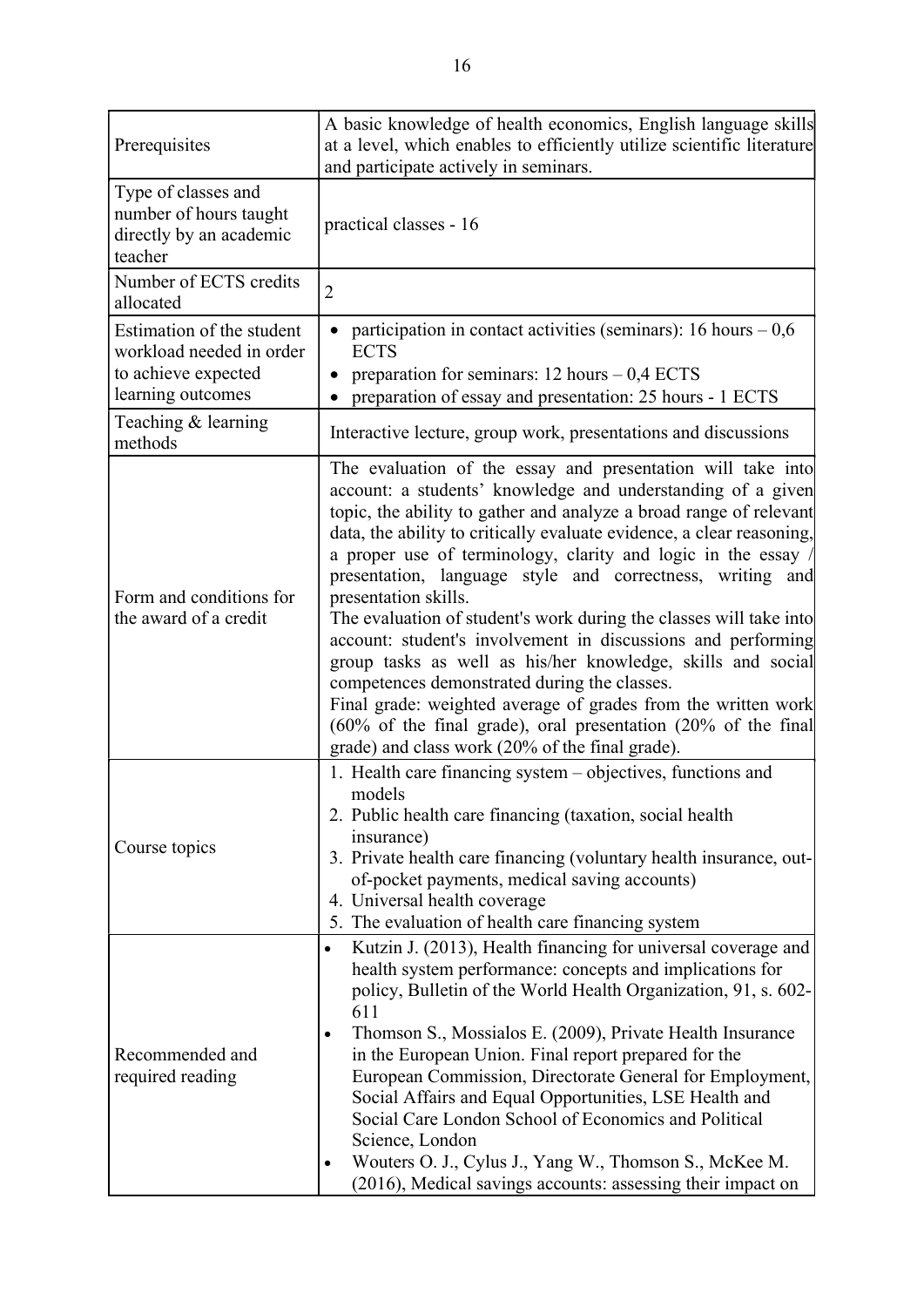| Prerequisites                                                                                     | A basic knowledge of health economics, English language skills<br>at a level, which enables to efficiently utilize scientific literature<br>and participate actively in seminars.                                                                                                                                                                                                                                                                                                                                                                                                                                                                                                                                                                                                                                                                                         |
|---------------------------------------------------------------------------------------------------|---------------------------------------------------------------------------------------------------------------------------------------------------------------------------------------------------------------------------------------------------------------------------------------------------------------------------------------------------------------------------------------------------------------------------------------------------------------------------------------------------------------------------------------------------------------------------------------------------------------------------------------------------------------------------------------------------------------------------------------------------------------------------------------------------------------------------------------------------------------------------|
| Type of classes and<br>number of hours taught<br>directly by an academic<br>teacher               | practical classes - 16                                                                                                                                                                                                                                                                                                                                                                                                                                                                                                                                                                                                                                                                                                                                                                                                                                                    |
| Number of ECTS credits<br>allocated                                                               | $\overline{2}$                                                                                                                                                                                                                                                                                                                                                                                                                                                                                                                                                                                                                                                                                                                                                                                                                                                            |
| Estimation of the student<br>workload needed in order<br>to achieve expected<br>learning outcomes | participation in contact activities (seminars): 16 hours $-0.6$<br><b>ECTS</b><br>preparation for seminars: $12$ hours $-0.4$ ECTS<br>preparation of essay and presentation: 25 hours - 1 ECTS                                                                                                                                                                                                                                                                                                                                                                                                                                                                                                                                                                                                                                                                            |
| Teaching & learning<br>methods                                                                    | Interactive lecture, group work, presentations and discussions                                                                                                                                                                                                                                                                                                                                                                                                                                                                                                                                                                                                                                                                                                                                                                                                            |
| Form and conditions for<br>the award of a credit                                                  | The evaluation of the essay and presentation will take into<br>account: a students' knowledge and understanding of a given<br>topic, the ability to gather and analyze a broad range of relevant<br>data, the ability to critically evaluate evidence, a clear reasoning,<br>a proper use of terminology, clarity and logic in the essay /<br>presentation, language style and correctness, writing and<br>presentation skills.<br>The evaluation of student's work during the classes will take into<br>account: student's involvement in discussions and performing<br>group tasks as well as his/her knowledge, skills and social<br>competences demonstrated during the classes.<br>Final grade: weighted average of grades from the written work<br>(60% of the final grade), oral presentation (20% of the final<br>grade) and class work (20% of the final grade). |
| Course topics                                                                                     | 1. Health care financing system - objectives, functions and<br>models<br>2. Public health care financing (taxation, social health<br>insurance)<br>3. Private health care financing (voluntary health insurance, out-<br>of-pocket payments, medical saving accounts)<br>4. Universal health coverage<br>5. The evaluation of health care financing system                                                                                                                                                                                                                                                                                                                                                                                                                                                                                                                |
| Recommended and<br>required reading                                                               | Kutzin J. (2013), Health financing for universal coverage and<br>health system performance: concepts and implications for<br>policy, Bulletin of the World Health Organization, 91, s. 602-<br>611<br>Thomson S., Mossialos E. (2009), Private Health Insurance<br>in the European Union. Final report prepared for the<br>European Commission, Directorate General for Employment,<br>Social Affairs and Equal Opportunities, LSE Health and<br>Social Care London School of Economics and Political<br>Science, London<br>Wouters O. J., Cylus J., Yang W., Thomson S., McKee M.<br>(2016), Medical savings accounts: assessing their impact on                                                                                                                                                                                                                         |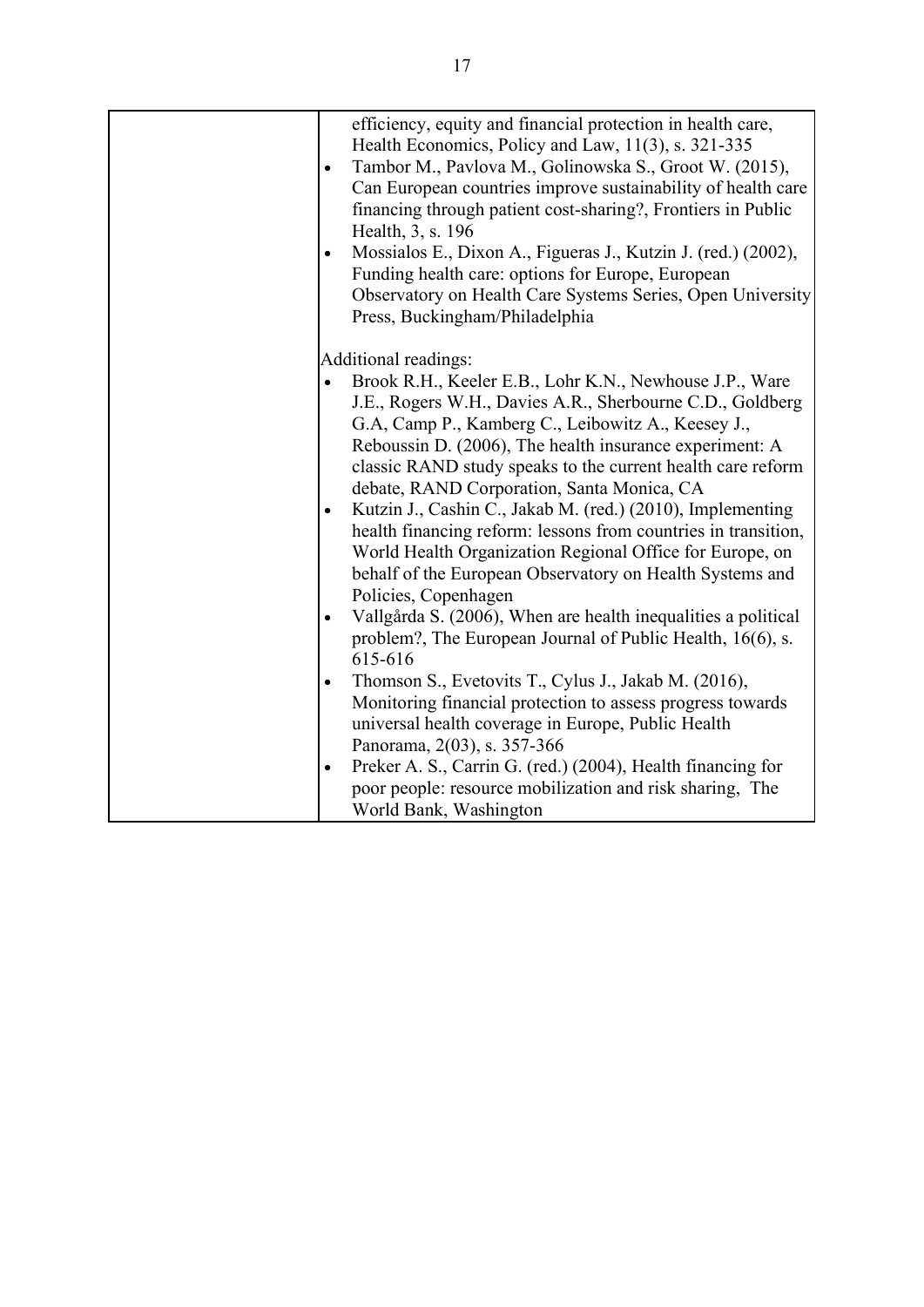|           | efficiency, equity and financial protection in health care,<br>Health Economics, Policy and Law, 11(3), s. 321-335<br>Tambor M., Pavlova M., Golinowska S., Groot W. (2015),<br>Can European countries improve sustainability of health care<br>financing through patient cost-sharing?, Frontiers in Public<br>Health, 3, s. 196<br>Mossialos E., Dixon A., Figueras J., Kutzin J. (red.) (2002),<br>Funding health care: options for Europe, European<br>Observatory on Health Care Systems Series, Open University<br>Press, Buckingham/Philadelphia |
|-----------|---------------------------------------------------------------------------------------------------------------------------------------------------------------------------------------------------------------------------------------------------------------------------------------------------------------------------------------------------------------------------------------------------------------------------------------------------------------------------------------------------------------------------------------------------------|
|           |                                                                                                                                                                                                                                                                                                                                                                                                                                                                                                                                                         |
|           | Additional readings:                                                                                                                                                                                                                                                                                                                                                                                                                                                                                                                                    |
|           | Brook R.H., Keeler E.B., Lohr K.N., Newhouse J.P., Ware                                                                                                                                                                                                                                                                                                                                                                                                                                                                                                 |
|           | J.E., Rogers W.H., Davies A.R., Sherbourne C.D., Goldberg                                                                                                                                                                                                                                                                                                                                                                                                                                                                                               |
|           | G.A, Camp P., Kamberg C., Leibowitz A., Keesey J.,                                                                                                                                                                                                                                                                                                                                                                                                                                                                                                      |
|           | Reboussin D. (2006), The health insurance experiment: A<br>classic RAND study speaks to the current health care reform                                                                                                                                                                                                                                                                                                                                                                                                                                  |
|           | debate, RAND Corporation, Santa Monica, CA                                                                                                                                                                                                                                                                                                                                                                                                                                                                                                              |
|           | Kutzin J., Cashin C., Jakab M. (red.) (2010), Implementing                                                                                                                                                                                                                                                                                                                                                                                                                                                                                              |
|           | health financing reform: lessons from countries in transition,                                                                                                                                                                                                                                                                                                                                                                                                                                                                                          |
|           | World Health Organization Regional Office for Europe, on                                                                                                                                                                                                                                                                                                                                                                                                                                                                                                |
|           | behalf of the European Observatory on Health Systems and                                                                                                                                                                                                                                                                                                                                                                                                                                                                                                |
|           | Policies, Copenhagen                                                                                                                                                                                                                                                                                                                                                                                                                                                                                                                                    |
|           | Vallgårda S. (2006), When are health inequalities a political                                                                                                                                                                                                                                                                                                                                                                                                                                                                                           |
|           | problem?, The European Journal of Public Health, 16(6), s.                                                                                                                                                                                                                                                                                                                                                                                                                                                                                              |
|           | 615-616                                                                                                                                                                                                                                                                                                                                                                                                                                                                                                                                                 |
|           | Thomson S., Evetovits T., Cylus J., Jakab M. (2016),                                                                                                                                                                                                                                                                                                                                                                                                                                                                                                    |
|           | Monitoring financial protection to assess progress towards                                                                                                                                                                                                                                                                                                                                                                                                                                                                                              |
|           | universal health coverage in Europe, Public Health                                                                                                                                                                                                                                                                                                                                                                                                                                                                                                      |
|           | Panorama, 2(03), s. 357-366                                                                                                                                                                                                                                                                                                                                                                                                                                                                                                                             |
| $\bullet$ | Preker A. S., Carrin G. (red.) (2004), Health financing for                                                                                                                                                                                                                                                                                                                                                                                                                                                                                             |
|           | poor people: resource mobilization and risk sharing, The                                                                                                                                                                                                                                                                                                                                                                                                                                                                                                |
|           | World Bank, Washington                                                                                                                                                                                                                                                                                                                                                                                                                                                                                                                                  |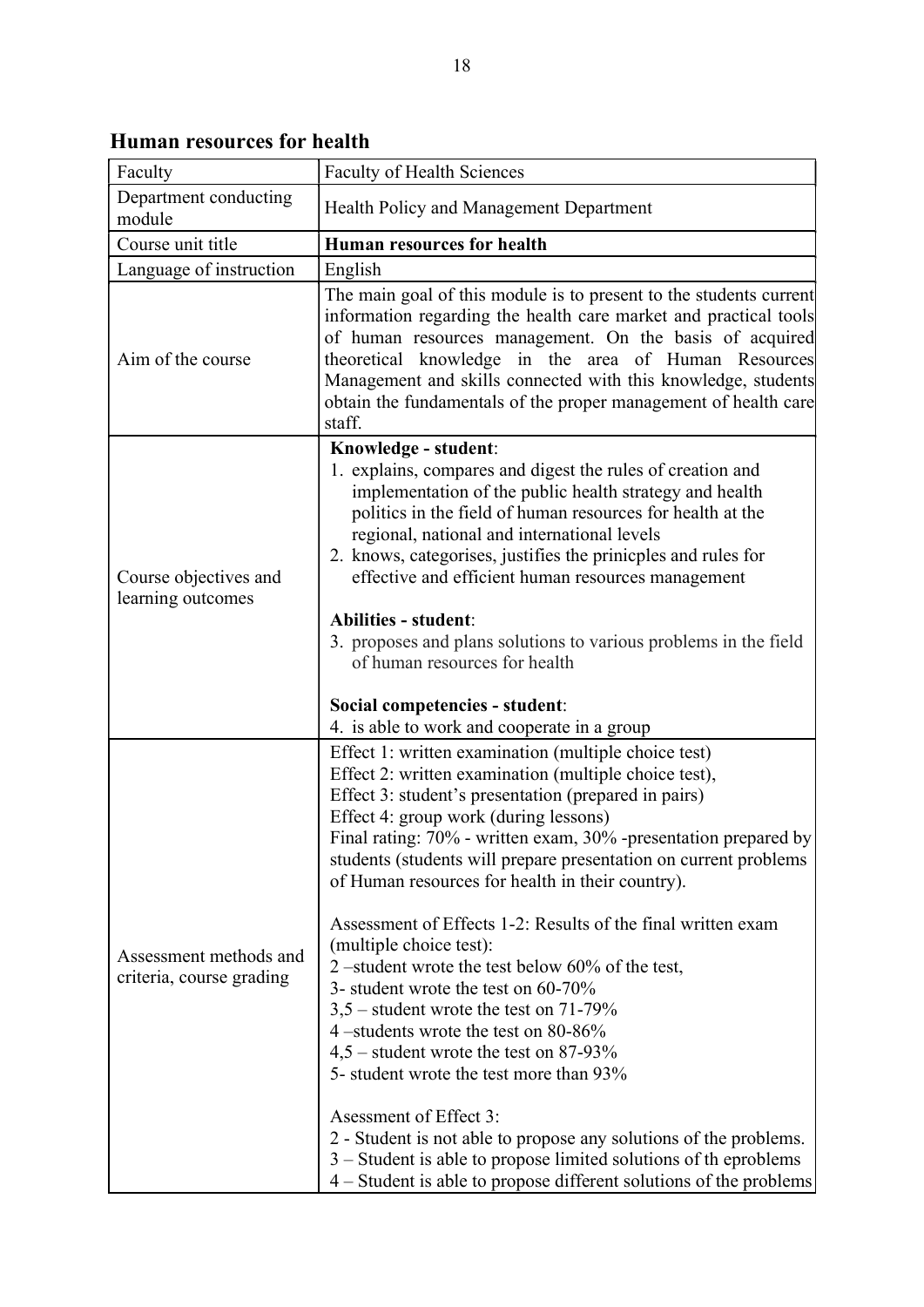ן

| Department conducting<br>module                    | Health Policy and Management Department                                                                                                                                                                                                                                                                                                                                                                                                                                                                                                                                                                                                                                                                                                                                                                                                                                                                                                                                                                                        |
|----------------------------------------------------|--------------------------------------------------------------------------------------------------------------------------------------------------------------------------------------------------------------------------------------------------------------------------------------------------------------------------------------------------------------------------------------------------------------------------------------------------------------------------------------------------------------------------------------------------------------------------------------------------------------------------------------------------------------------------------------------------------------------------------------------------------------------------------------------------------------------------------------------------------------------------------------------------------------------------------------------------------------------------------------------------------------------------------|
| Course unit title                                  | <b>Human resources for health</b>                                                                                                                                                                                                                                                                                                                                                                                                                                                                                                                                                                                                                                                                                                                                                                                                                                                                                                                                                                                              |
| Language of instruction                            | English                                                                                                                                                                                                                                                                                                                                                                                                                                                                                                                                                                                                                                                                                                                                                                                                                                                                                                                                                                                                                        |
| Aim of the course                                  | The main goal of this module is to present to the students current<br>information regarding the health care market and practical tools<br>of human resources management. On the basis of acquired<br>theoretical knowledge in the area of Human Resources<br>Management and skills connected with this knowledge, students<br>obtain the fundamentals of the proper management of health care<br>staff.                                                                                                                                                                                                                                                                                                                                                                                                                                                                                                                                                                                                                        |
| Course objectives and<br>learning outcomes         | Knowledge - student:<br>1. explains, compares and digest the rules of creation and<br>implementation of the public health strategy and health<br>politics in the field of human resources for health at the<br>regional, national and international levels<br>2. knows, categorises, justifies the prinicples and rules for<br>effective and efficient human resources management<br><b>Abilities - student:</b><br>3. proposes and plans solutions to various problems in the field<br>of human resources for health<br>Social competencies - student:<br>4. is able to work and cooperate in a group                                                                                                                                                                                                                                                                                                                                                                                                                         |
| Assessment methods and<br>criteria, course grading | Effect 1: written examination (multiple choice test)<br>Effect 2: written examination (multiple choice test),<br>Effect 3: student's presentation (prepared in pairs)<br>Effect 4: group work (during lessons)<br>Final rating: 70% - written exam, 30% -presentation prepared by<br>students (students will prepare presentation on current problems<br>of Human resources for health in their country).<br>Assessment of Effects 1-2: Results of the final written exam<br>(multiple choice test):<br>2 –student wrote the test below $60\%$ of the test,<br>3- student wrote the test on $60-70\%$<br>$3,5$ – student wrote the test on 71-79%<br>4 –students wrote the test on $80-86\%$<br>$4,5$ – student wrote the test on 87-93%<br>5- student wrote the test more than 93%<br>Asessment of Effect 3:<br>2 - Student is not able to propose any solutions of the problems.<br>$3 -$ Student is able to propose limited solutions of the problems<br>4 – Student is able to propose different solutions of the problems |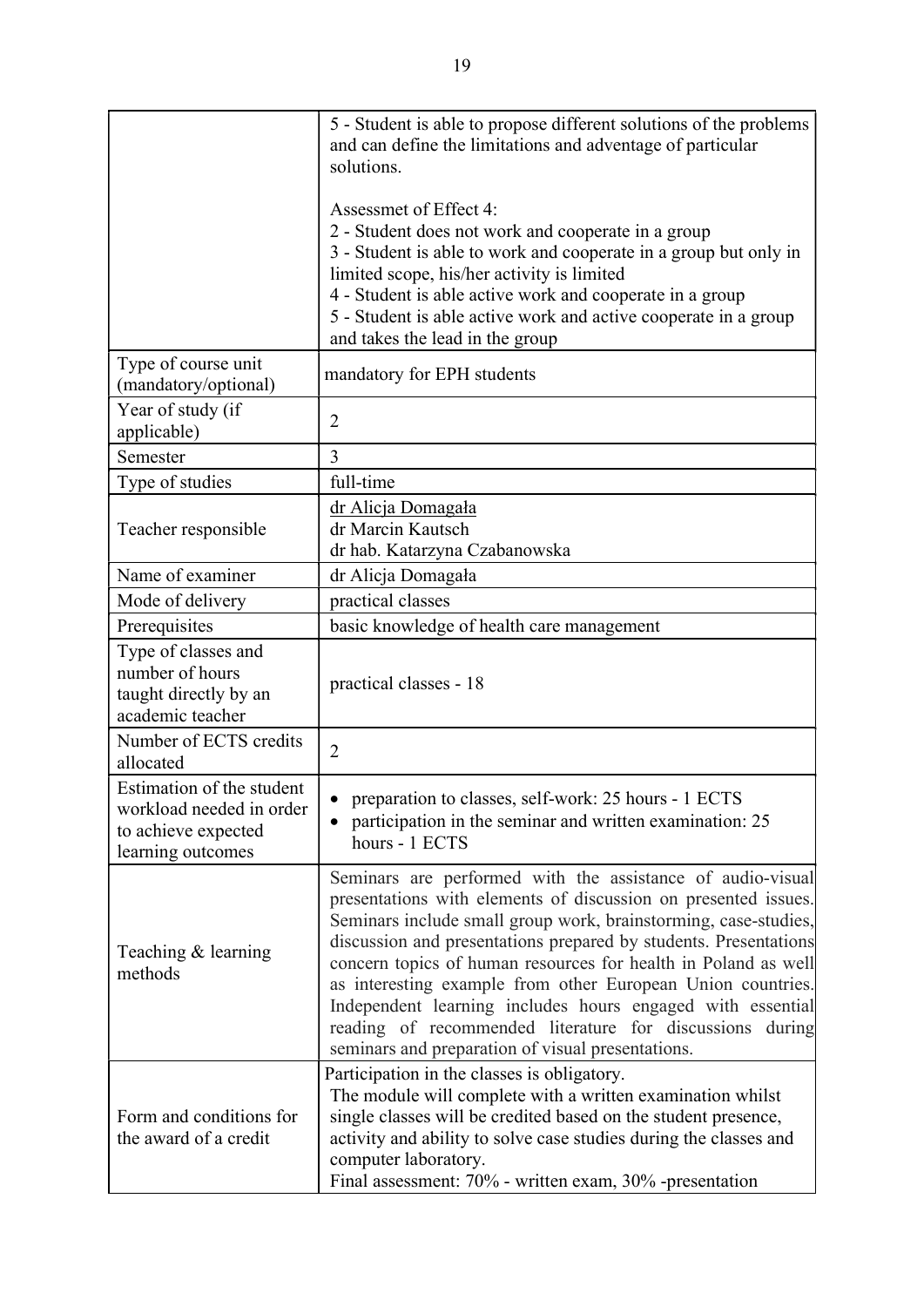|                                                                                                   | 5 - Student is able to propose different solutions of the problems<br>and can define the limitations and adventage of particular<br>solutions.                                                                                                                                                                                                                                                                                                                                                                                                                                      |
|---------------------------------------------------------------------------------------------------|-------------------------------------------------------------------------------------------------------------------------------------------------------------------------------------------------------------------------------------------------------------------------------------------------------------------------------------------------------------------------------------------------------------------------------------------------------------------------------------------------------------------------------------------------------------------------------------|
|                                                                                                   | Assessmet of Effect 4:<br>2 - Student does not work and cooperate in a group<br>3 - Student is able to work and cooperate in a group but only in<br>limited scope, his/her activity is limited<br>4 - Student is able active work and cooperate in a group<br>5 - Student is able active work and active cooperate in a group<br>and takes the lead in the group                                                                                                                                                                                                                    |
| Type of course unit<br>(mandatory/optional)                                                       | mandatory for EPH students                                                                                                                                                                                                                                                                                                                                                                                                                                                                                                                                                          |
| Year of study (if<br>applicable)                                                                  | $\overline{2}$                                                                                                                                                                                                                                                                                                                                                                                                                                                                                                                                                                      |
| Semester                                                                                          | 3                                                                                                                                                                                                                                                                                                                                                                                                                                                                                                                                                                                   |
| Type of studies                                                                                   | full-time                                                                                                                                                                                                                                                                                                                                                                                                                                                                                                                                                                           |
| Teacher responsible                                                                               | dr Alicja Domagała<br>dr Marcin Kautsch<br>dr hab. Katarzyna Czabanowska                                                                                                                                                                                                                                                                                                                                                                                                                                                                                                            |
| Name of examiner                                                                                  | dr Alicja Domagała                                                                                                                                                                                                                                                                                                                                                                                                                                                                                                                                                                  |
| Mode of delivery                                                                                  | practical classes                                                                                                                                                                                                                                                                                                                                                                                                                                                                                                                                                                   |
| Prerequisites                                                                                     | basic knowledge of health care management                                                                                                                                                                                                                                                                                                                                                                                                                                                                                                                                           |
| Type of classes and<br>number of hours<br>taught directly by an<br>academic teacher               | practical classes - 18                                                                                                                                                                                                                                                                                                                                                                                                                                                                                                                                                              |
| Number of ECTS credits<br>allocated                                                               | $\overline{2}$                                                                                                                                                                                                                                                                                                                                                                                                                                                                                                                                                                      |
| Estimation of the student<br>workload needed in order<br>to achieve expected<br>learning outcomes | preparation to classes, self-work: 25 hours - 1 ECTS<br>participation in the seminar and written examination: 25<br>hours - 1 ECTS                                                                                                                                                                                                                                                                                                                                                                                                                                                  |
| Teaching & learning<br>methods                                                                    | Seminars are performed with the assistance of audio-visual<br>presentations with elements of discussion on presented issues.<br>Seminars include small group work, brainstorming, case-studies,<br>discussion and presentations prepared by students. Presentations<br>concern topics of human resources for health in Poland as well<br>as interesting example from other European Union countries.<br>Independent learning includes hours engaged with essential<br>reading of recommended literature for discussions during<br>seminars and preparation of visual presentations. |
| Form and conditions for<br>the award of a credit                                                  | Participation in the classes is obligatory.<br>The module will complete with a written examination whilst<br>single classes will be credited based on the student presence,<br>activity and ability to solve case studies during the classes and<br>computer laboratory.<br>Final assessment: 70% - written exam, 30% -presentation                                                                                                                                                                                                                                                 |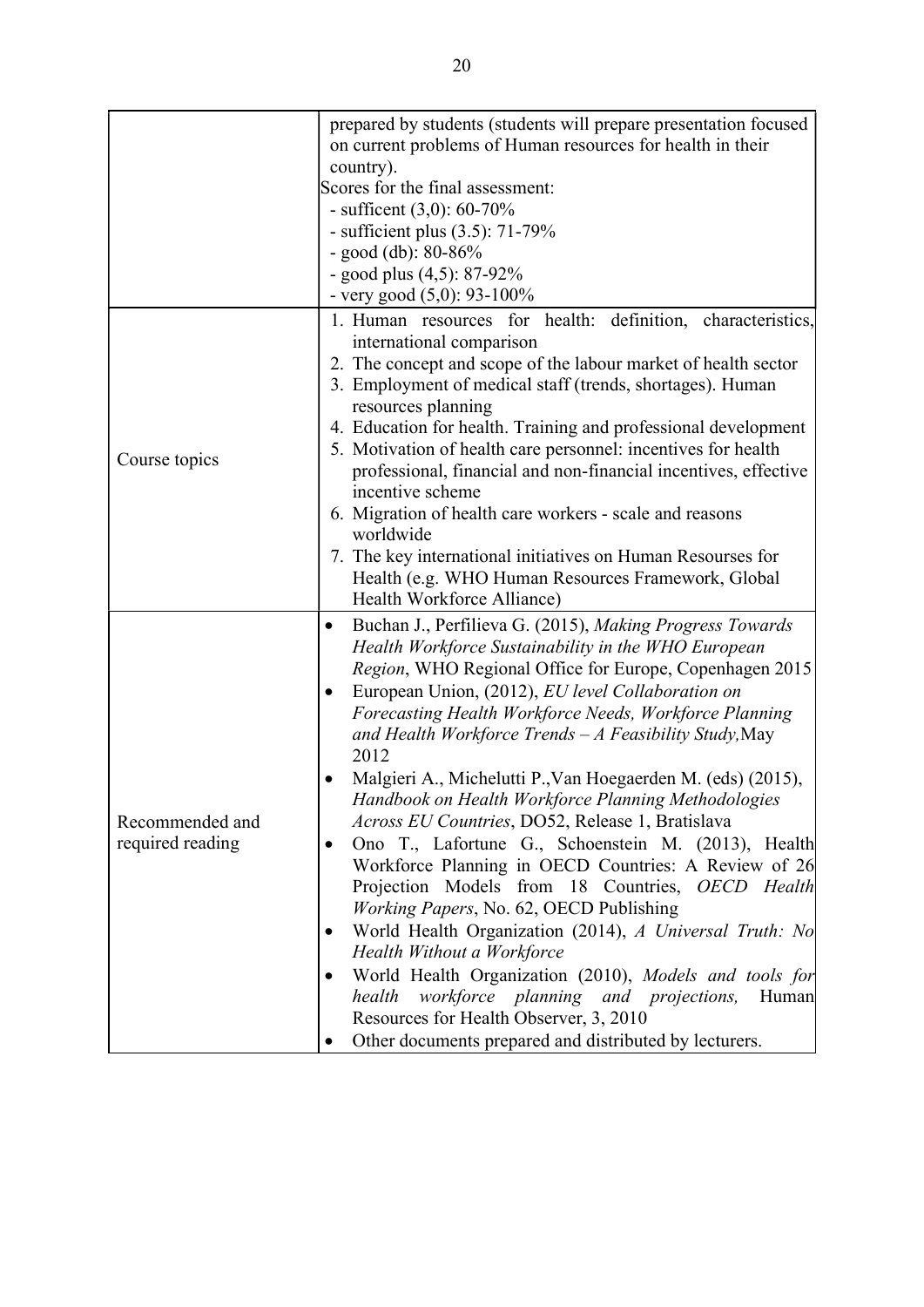|                                     | prepared by students (students will prepare presentation focused<br>on current problems of Human resources for health in their |  |
|-------------------------------------|--------------------------------------------------------------------------------------------------------------------------------|--|
|                                     | country).<br>Scores for the final assessment:                                                                                  |  |
|                                     | - sufficent $(3,0)$ : 60-70%                                                                                                   |  |
|                                     | - sufficient plus $(3.5)$ : 71-79%                                                                                             |  |
|                                     | - good (db): $80-86%$                                                                                                          |  |
|                                     | - good plus $(4,5)$ : 87-92%                                                                                                   |  |
|                                     | - very good $(5,0)$ : 93-100%                                                                                                  |  |
|                                     |                                                                                                                                |  |
|                                     | 1. Human resources for health: definition, characteristics,                                                                    |  |
|                                     | international comparison<br>2. The concept and scope of the labour market of health sector                                     |  |
|                                     | 3. Employment of medical staff (trends, shortages). Human                                                                      |  |
|                                     | resources planning                                                                                                             |  |
|                                     | 4. Education for health. Training and professional development                                                                 |  |
|                                     | 5. Motivation of health care personnel: incentives for health                                                                  |  |
| Course topics                       | professional, financial and non-financial incentives, effective                                                                |  |
|                                     | incentive scheme                                                                                                               |  |
|                                     | 6. Migration of health care workers - scale and reasons                                                                        |  |
|                                     | worldwide                                                                                                                      |  |
|                                     | 7. The key international initiatives on Human Resourses for                                                                    |  |
|                                     | Health (e.g. WHO Human Resources Framework, Global                                                                             |  |
|                                     | Health Workforce Alliance)                                                                                                     |  |
|                                     | Buchan J., Perfilieva G. (2015), Making Progress Towards<br>$\bullet$                                                          |  |
|                                     | Health Workforce Sustainability in the WHO European                                                                            |  |
|                                     | Region, WHO Regional Office for Europe, Copenhagen 2015                                                                        |  |
|                                     | European Union, (2012), EU level Collaboration on                                                                              |  |
|                                     | Forecasting Health Workforce Needs, Workforce Planning                                                                         |  |
|                                     | and Health Workforce Trends $-A$ Feasibility Study, May                                                                        |  |
|                                     | 2012                                                                                                                           |  |
|                                     | Malgieri A., Michelutti P., Van Hoegaerden M. (eds) (2015),                                                                    |  |
|                                     | Handbook on Health Workforce Planning Methodologies                                                                            |  |
| Recommended and<br>required reading | Across EU Countries, DO52, Release 1, Bratislava                                                                               |  |
|                                     | Ono T., Lafortune G., Schoenstein M. (2013), Health                                                                            |  |
|                                     | Workforce Planning in OECD Countries: A Review of 26                                                                           |  |
|                                     | Projection Models from 18 Countries, OECD Health                                                                               |  |
|                                     | <i>Working Papers, No. 62, OECD Publishing</i>                                                                                 |  |
|                                     | World Health Organization (2014), A Universal Truth: No                                                                        |  |
|                                     | Health Without a Workforce                                                                                                     |  |
|                                     | World Health Organization (2010), Models and tools for                                                                         |  |
|                                     | health<br>workforce planning and projections,<br>Human                                                                         |  |
|                                     | Resources for Health Observer, 3, 2010                                                                                         |  |
|                                     | Other documents prepared and distributed by lecturers.                                                                         |  |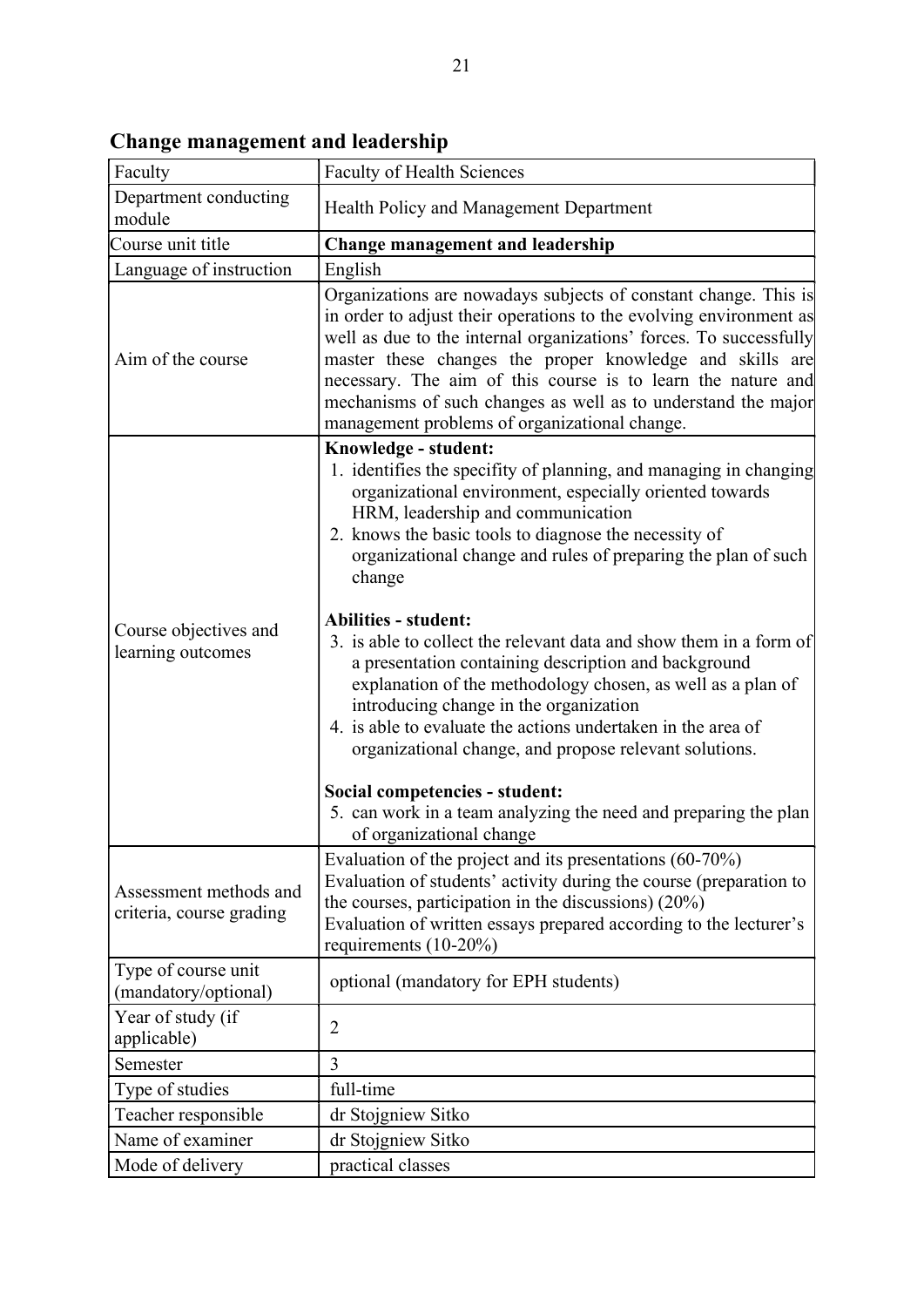| Faculty                                            | <b>Faculty of Health Sciences</b>                                                                                                                                                                                                                                                                                                                                                                                                                         |
|----------------------------------------------------|-----------------------------------------------------------------------------------------------------------------------------------------------------------------------------------------------------------------------------------------------------------------------------------------------------------------------------------------------------------------------------------------------------------------------------------------------------------|
| Department conducting<br>module                    | Health Policy and Management Department                                                                                                                                                                                                                                                                                                                                                                                                                   |
| Course unit title                                  | <b>Change management and leadership</b>                                                                                                                                                                                                                                                                                                                                                                                                                   |
| Language of instruction                            | English                                                                                                                                                                                                                                                                                                                                                                                                                                                   |
| Aim of the course                                  | Organizations are nowadays subjects of constant change. This is<br>in order to adjust their operations to the evolving environment as<br>well as due to the internal organizations' forces. To successfully<br>master these changes the proper knowledge and skills are<br>necessary. The aim of this course is to learn the nature and<br>mechanisms of such changes as well as to understand the major<br>management problems of organizational change. |
|                                                    | Knowledge - student:                                                                                                                                                                                                                                                                                                                                                                                                                                      |
|                                                    | 1. identifies the specifity of planning, and managing in changing<br>organizational environment, especially oriented towards<br>HRM, leadership and communication<br>2. knows the basic tools to diagnose the necessity of<br>organizational change and rules of preparing the plan of such<br>change                                                                                                                                                     |
| Course objectives and<br>learning outcomes         | <b>Abilities - student:</b>                                                                                                                                                                                                                                                                                                                                                                                                                               |
|                                                    | 3. is able to collect the relevant data and show them in a form of<br>a presentation containing description and background<br>explanation of the methodology chosen, as well as a plan of<br>introducing change in the organization<br>4. is able to evaluate the actions undertaken in the area of<br>organizational change, and propose relevant solutions.                                                                                             |
|                                                    | Social competencies - student:                                                                                                                                                                                                                                                                                                                                                                                                                            |
|                                                    | 5. can work in a team analyzing the need and preparing the plan<br>of organizational change                                                                                                                                                                                                                                                                                                                                                               |
| Assessment methods and<br>criteria, course grading | Evaluation of the project and its presentations (60-70%)<br>Evaluation of students' activity during the course (preparation to<br>the courses, participation in the discussions) $(20\%)$<br>Evaluation of written essays prepared according to the lecturer's<br>requirements $(10-20\%)$                                                                                                                                                                |
| Type of course unit<br>(mandatory/optional)        | optional (mandatory for EPH students)                                                                                                                                                                                                                                                                                                                                                                                                                     |
| Year of study (if<br>applicable)                   | 2                                                                                                                                                                                                                                                                                                                                                                                                                                                         |
| Semester                                           | 3                                                                                                                                                                                                                                                                                                                                                                                                                                                         |
| Type of studies                                    | full-time                                                                                                                                                                                                                                                                                                                                                                                                                                                 |
| Teacher responsible                                | dr Stojgniew Sitko                                                                                                                                                                                                                                                                                                                                                                                                                                        |
| Name of examiner                                   | dr Stojgniew Sitko                                                                                                                                                                                                                                                                                                                                                                                                                                        |
| Mode of delivery                                   | practical classes                                                                                                                                                                                                                                                                                                                                                                                                                                         |

Change management and leadership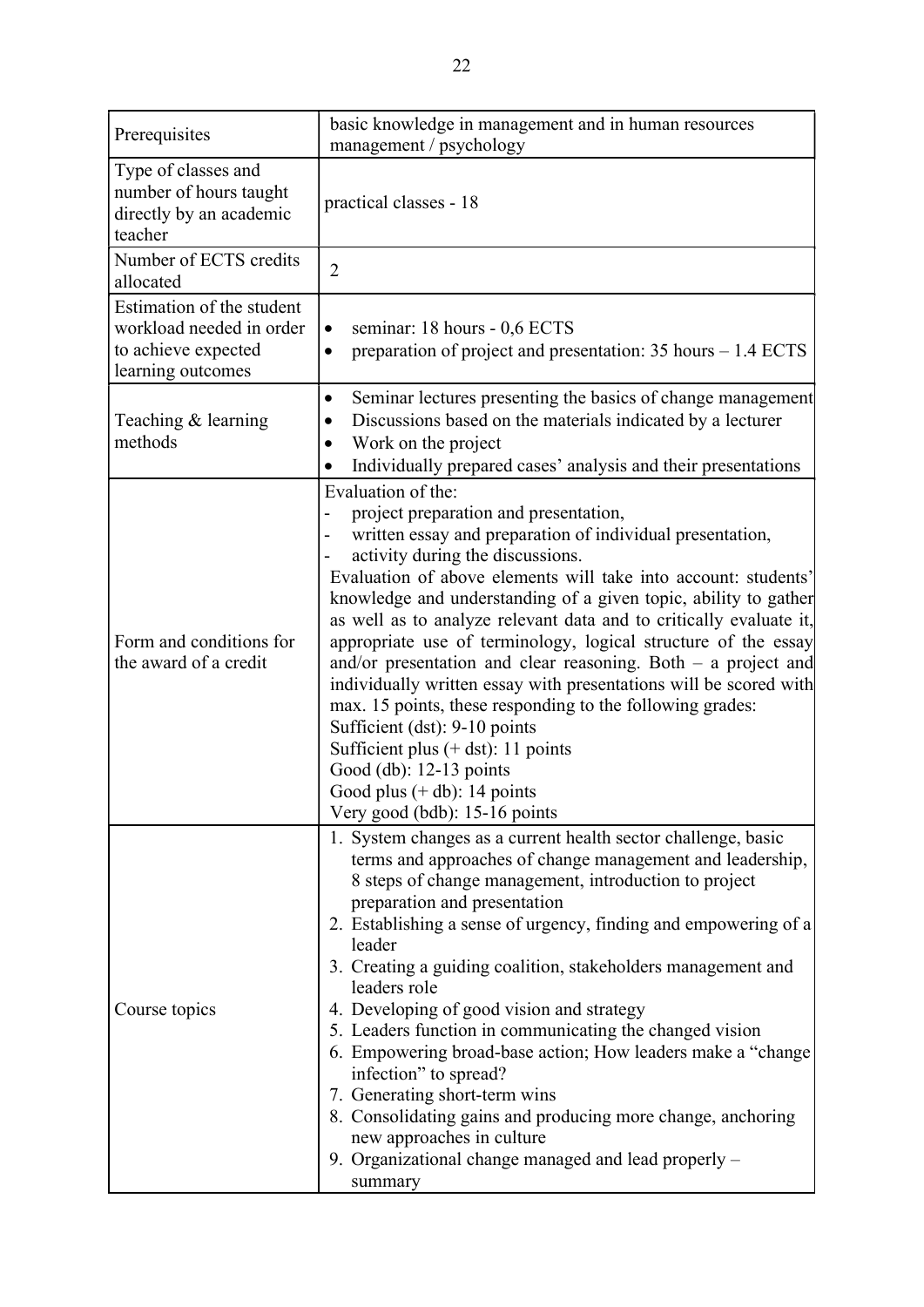| Prerequisites                                                                                     | basic knowledge in management and in human resources<br>management / psychology                                                                                                                                                                                                                                                                                                                                                                                                                                                                                                                                                                                                                                                                                                                                       |
|---------------------------------------------------------------------------------------------------|-----------------------------------------------------------------------------------------------------------------------------------------------------------------------------------------------------------------------------------------------------------------------------------------------------------------------------------------------------------------------------------------------------------------------------------------------------------------------------------------------------------------------------------------------------------------------------------------------------------------------------------------------------------------------------------------------------------------------------------------------------------------------------------------------------------------------|
| Type of classes and<br>number of hours taught<br>directly by an academic<br>teacher               | practical classes - 18                                                                                                                                                                                                                                                                                                                                                                                                                                                                                                                                                                                                                                                                                                                                                                                                |
| Number of ECTS credits<br>allocated                                                               | $\overline{2}$                                                                                                                                                                                                                                                                                                                                                                                                                                                                                                                                                                                                                                                                                                                                                                                                        |
| Estimation of the student<br>workload needed in order<br>to achieve expected<br>learning outcomes | seminar: 18 hours - 0,6 ECTS<br>preparation of project and presentation: $35$ hours $-1.4$ ECTS<br>$\bullet$                                                                                                                                                                                                                                                                                                                                                                                                                                                                                                                                                                                                                                                                                                          |
| Teaching & learning<br>methods                                                                    | Seminar lectures presenting the basics of change management<br>٠<br>Discussions based on the materials indicated by a lecturer<br>Work on the project<br>Individually prepared cases' analysis and their presentations                                                                                                                                                                                                                                                                                                                                                                                                                                                                                                                                                                                                |
| Form and conditions for<br>the award of a credit                                                  | Evaluation of the:<br>project preparation and presentation,<br>written essay and preparation of individual presentation,<br>activity during the discussions.<br>Evaluation of above elements will take into account: students'<br>knowledge and understanding of a given topic, ability to gather<br>as well as to analyze relevant data and to critically evaluate it,<br>appropriate use of terminology, logical structure of the essay<br>and/or presentation and clear reasoning. Both $-$ a project and<br>individually written essay with presentations will be scored with<br>max. 15 points, these responding to the following grades:<br>Sufficient (dst): 9-10 points<br>Sufficient plus $(+$ dst): 11 points<br>Good (db): 12-13 points<br>Good plus $(+ db)$ : 14 points<br>Very good (bdb): 15-16 points |
| Course topics                                                                                     | 1. System changes as a current health sector challenge, basic<br>terms and approaches of change management and leadership,<br>8 steps of change management, introduction to project<br>preparation and presentation<br>2. Establishing a sense of urgency, finding and empowering of a<br>leader<br>3. Creating a guiding coalition, stakeholders management and<br>leaders role<br>4. Developing of good vision and strategy<br>5. Leaders function in communicating the changed vision<br>6. Empowering broad-base action; How leaders make a "change"<br>infection" to spread?<br>7. Generating short-term wins<br>8. Consolidating gains and producing more change, anchoring<br>new approaches in culture<br>9. Organizational change managed and lead properly -<br>summary                                     |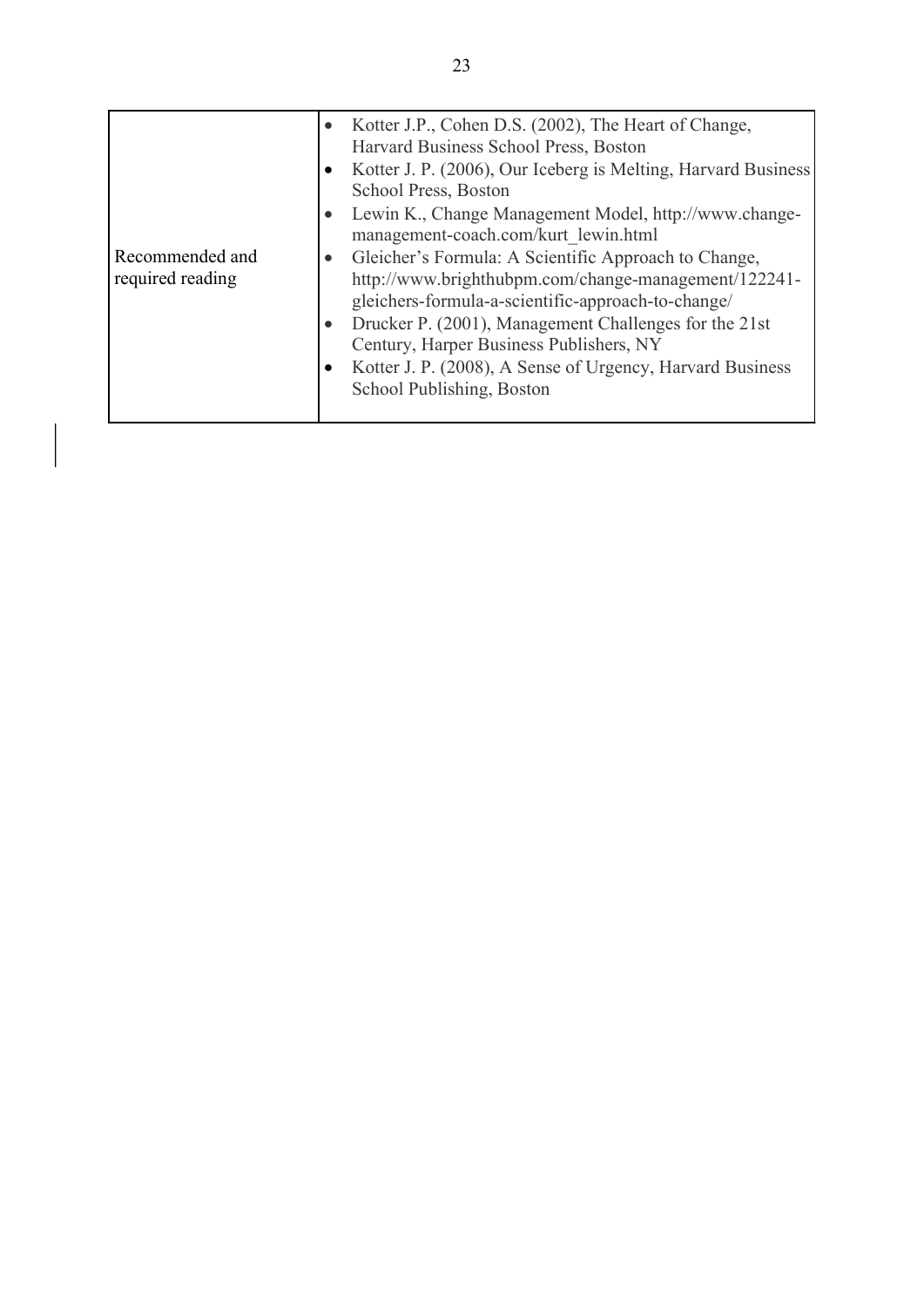|                  |           | Kotter J.P., Cohen D.S. (2002), The Heart of Change,<br>Harvard Business School Press, Boston |
|------------------|-----------|-----------------------------------------------------------------------------------------------|
|                  |           | Kotter J. P. (2006), Our Iceberg is Melting, Harvard Business                                 |
|                  |           | School Press, Boston                                                                          |
|                  |           | Lewin K., Change Management Model, http://www.change-                                         |
|                  |           | management-coach.com/kurt lewin.html                                                          |
| Recommended and  | $\bullet$ | Gleicher's Formula: A Scientific Approach to Change,                                          |
| required reading |           | http://www.brighthubpm.com/change-management/122241-                                          |
|                  |           | gleichers-formula-a-scientific-approach-to-change/                                            |
|                  |           | Drucker P. (2001), Management Challenges for the 21st                                         |
|                  |           | Century, Harper Business Publishers, NY                                                       |
|                  |           | Kotter J. P. (2008), A Sense of Urgency, Harvard Business                                     |
|                  |           | School Publishing, Boston                                                                     |
|                  |           |                                                                                               |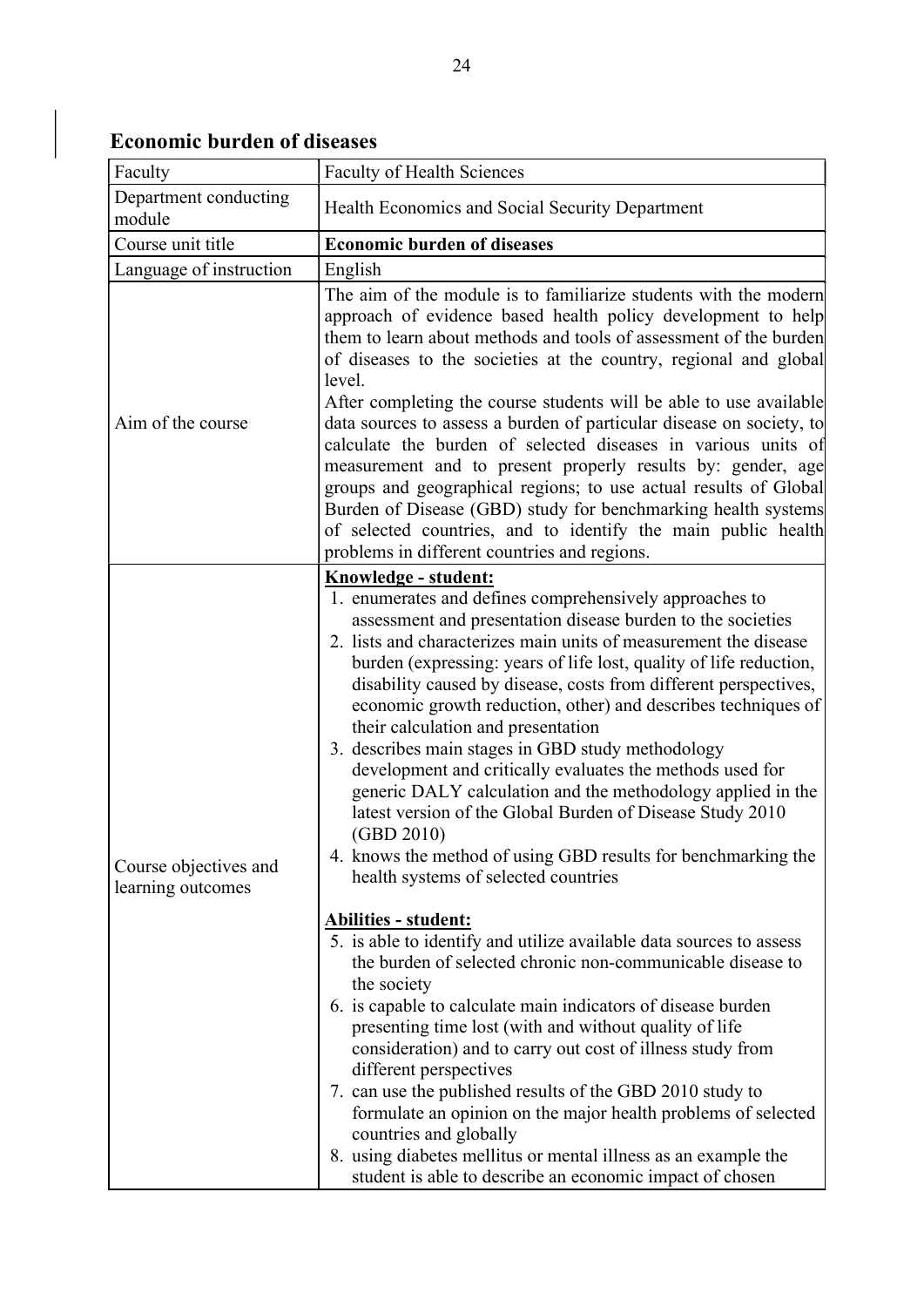| Faculty                                    | <b>Faculty of Health Sciences</b>                                                                                                                                                                                                                                                                                                                                                                                                                                                                                                                                                                                                                                                                                                                                                                                                                                                                                                                                                                                                                                                                                                                                                                                                                                                                                                                                                                                                                                                                                            |
|--------------------------------------------|------------------------------------------------------------------------------------------------------------------------------------------------------------------------------------------------------------------------------------------------------------------------------------------------------------------------------------------------------------------------------------------------------------------------------------------------------------------------------------------------------------------------------------------------------------------------------------------------------------------------------------------------------------------------------------------------------------------------------------------------------------------------------------------------------------------------------------------------------------------------------------------------------------------------------------------------------------------------------------------------------------------------------------------------------------------------------------------------------------------------------------------------------------------------------------------------------------------------------------------------------------------------------------------------------------------------------------------------------------------------------------------------------------------------------------------------------------------------------------------------------------------------------|
| Department conducting<br>module            | Health Economics and Social Security Department                                                                                                                                                                                                                                                                                                                                                                                                                                                                                                                                                                                                                                                                                                                                                                                                                                                                                                                                                                                                                                                                                                                                                                                                                                                                                                                                                                                                                                                                              |
| Course unit title                          | <b>Economic burden of diseases</b>                                                                                                                                                                                                                                                                                                                                                                                                                                                                                                                                                                                                                                                                                                                                                                                                                                                                                                                                                                                                                                                                                                                                                                                                                                                                                                                                                                                                                                                                                           |
| Language of instruction                    | English                                                                                                                                                                                                                                                                                                                                                                                                                                                                                                                                                                                                                                                                                                                                                                                                                                                                                                                                                                                                                                                                                                                                                                                                                                                                                                                                                                                                                                                                                                                      |
| Aim of the course                          | The aim of the module is to familiarize students with the modern<br>approach of evidence based health policy development to help<br>them to learn about methods and tools of assessment of the burden<br>of diseases to the societies at the country, regional and global<br>level.<br>After completing the course students will be able to use available<br>data sources to assess a burden of particular disease on society, to<br>calculate the burden of selected diseases in various units of<br>measurement and to present properly results by: gender, age<br>groups and geographical regions; to use actual results of Global<br>Burden of Disease (GBD) study for benchmarking health systems<br>of selected countries, and to identify the main public health<br>problems in different countries and regions.                                                                                                                                                                                                                                                                                                                                                                                                                                                                                                                                                                                                                                                                                                      |
| Course objectives and<br>learning outcomes | Knowledge - student:<br>1. enumerates and defines comprehensively approaches to<br>assessment and presentation disease burden to the societies<br>2. lists and characterizes main units of measurement the disease<br>burden (expressing: years of life lost, quality of life reduction,<br>disability caused by disease, costs from different perspectives,<br>economic growth reduction, other) and describes techniques of<br>their calculation and presentation<br>3. describes main stages in GBD study methodology<br>development and critically evaluates the methods used for<br>generic DALY calculation and the methodology applied in the<br>latest version of the Global Burden of Disease Study 2010<br>(GBD 2010)<br>4. knows the method of using GBD results for benchmarking the<br>health systems of selected countries<br>Abilities - student:<br>5. is able to identify and utilize available data sources to assess<br>the burden of selected chronic non-communicable disease to<br>the society<br>6. is capable to calculate main indicators of disease burden<br>presenting time lost (with and without quality of life<br>consideration) and to carry out cost of illness study from<br>different perspectives<br>7. can use the published results of the GBD 2010 study to<br>formulate an opinion on the major health problems of selected<br>countries and globally<br>8. using diabetes mellitus or mental illness as an example the<br>student is able to describe an economic impact of chosen |

# Economic burden of diseases

 $\overline{\phantom{a}}$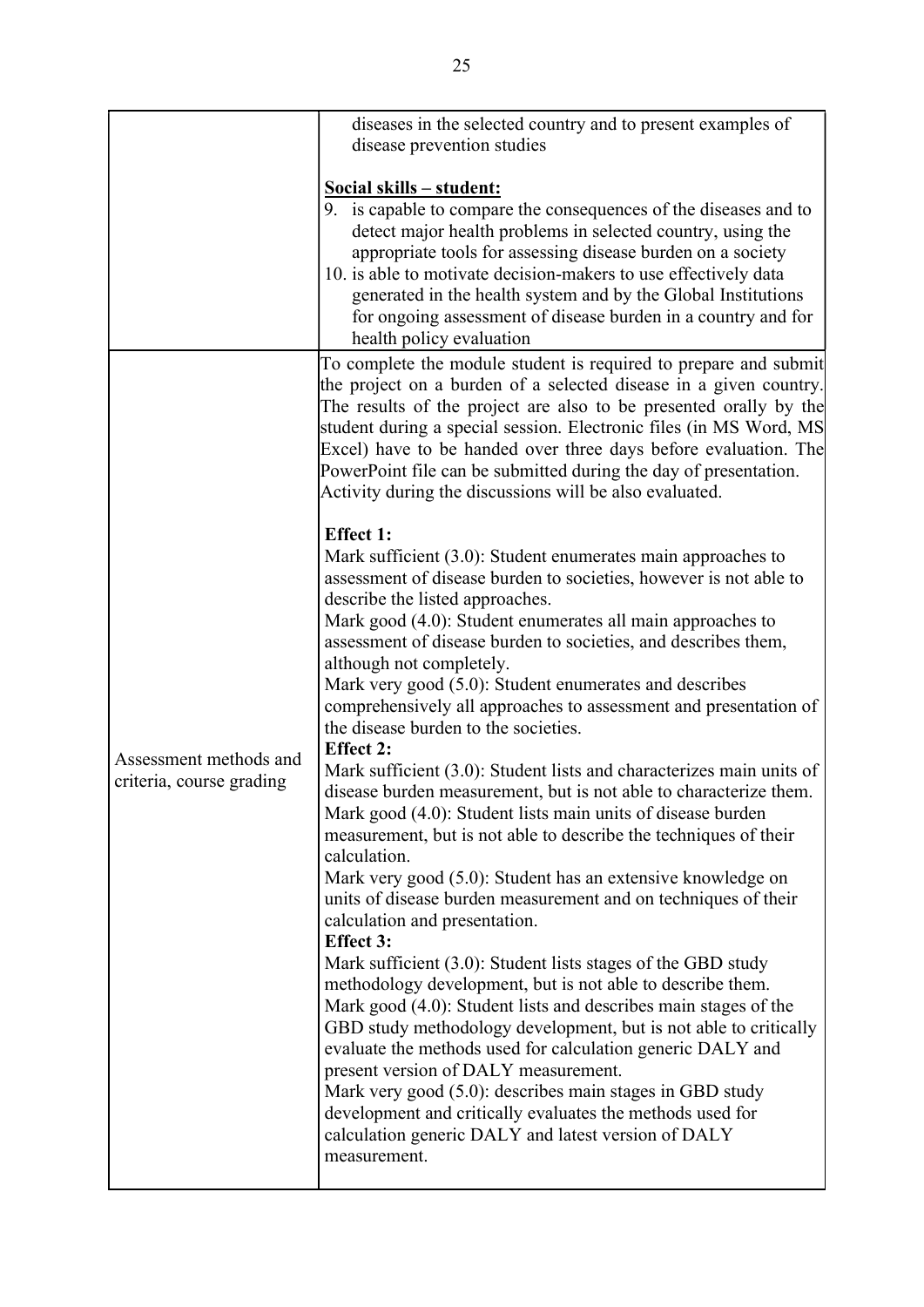|                          | diseases in the selected country and to present examples of          |
|--------------------------|----------------------------------------------------------------------|
|                          | disease prevention studies                                           |
|                          |                                                                      |
|                          | Social skills - student:                                             |
|                          | 9. is capable to compare the consequences of the diseases and to     |
|                          | detect major health problems in selected country, using the          |
|                          | appropriate tools for assessing disease burden on a society          |
|                          | 10. is able to motivate decision-makers to use effectively data      |
|                          | generated in the health system and by the Global Institutions        |
|                          | for ongoing assessment of disease burden in a country and for        |
|                          | health policy evaluation                                             |
|                          | To complete the module student is required to prepare and submit     |
|                          | the project on a burden of a selected disease in a given country.    |
|                          | The results of the project are also to be presented orally by the    |
|                          | student during a special session. Electronic files (in MS Word, MS   |
|                          | Excel) have to be handed over three days before evaluation. The      |
|                          | PowerPoint file can be submitted during the day of presentation.     |
|                          | Activity during the discussions will be also evaluated.              |
|                          |                                                                      |
|                          | <b>Effect 1:</b>                                                     |
|                          | Mark sufficient $(3.0)$ : Student enumerates main approaches to      |
|                          | assessment of disease burden to societies, however is not able to    |
|                          | describe the listed approaches.                                      |
|                          | Mark good (4.0): Student enumerates all main approaches to           |
|                          | assessment of disease burden to societies, and describes them,       |
|                          | although not completely.                                             |
|                          | Mark very good (5.0): Student enumerates and describes               |
|                          | comprehensively all approaches to assessment and presentation of     |
|                          | the disease burden to the societies.                                 |
|                          | <b>Effect 2:</b>                                                     |
| Assessment methods and   | Mark sufficient (3.0): Student lists and characterizes main units of |
| criteria, course grading | disease burden measurement, but is not able to characterize them.    |
|                          | Mark good (4.0): Student lists main units of disease burden          |
|                          | measurement, but is not able to describe the techniques of their     |
|                          | calculation.                                                         |
|                          | Mark very good (5.0): Student has an extensive knowledge on          |
|                          | units of disease burden measurement and on techniques of their       |
|                          | calculation and presentation.                                        |
|                          | <b>Effect 3:</b>                                                     |
|                          | Mark sufficient (3.0): Student lists stages of the GBD study         |
|                          | methodology development, but is not able to describe them.           |
|                          | Mark good (4.0): Student lists and describes main stages of the      |
|                          | GBD study methodology development, but is not able to critically     |
|                          | evaluate the methods used for calculation generic DALY and           |
|                          | present version of DALY measurement.                                 |
|                          | Mark very good (5.0): describes main stages in GBD study             |
|                          | development and critically evaluates the methods used for            |
|                          | calculation generic DALY and latest version of DALY                  |
|                          | measurement.                                                         |
|                          |                                                                      |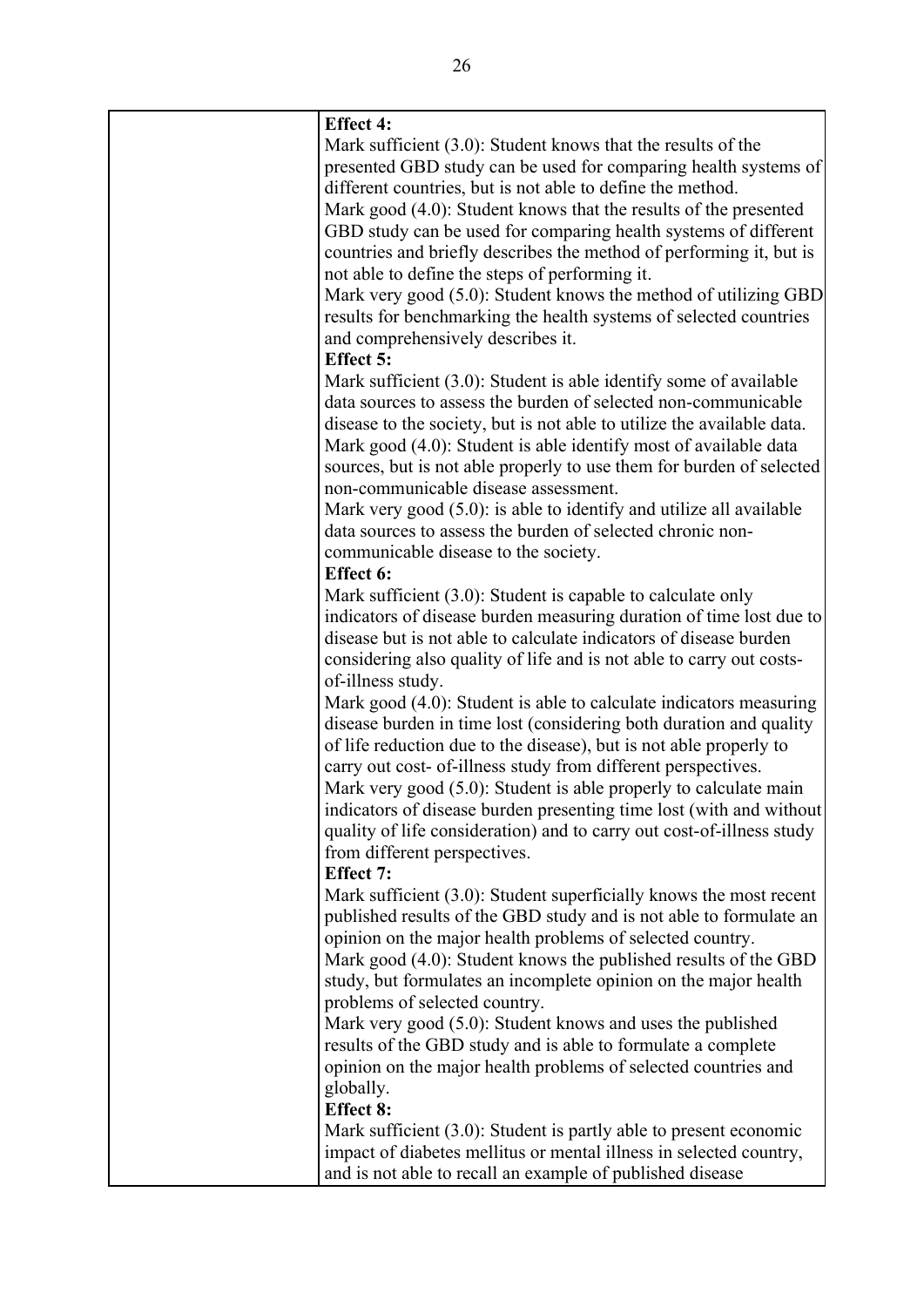| <b>Effect 4:</b>                                                       |
|------------------------------------------------------------------------|
| Mark sufficient $(3.0)$ : Student knows that the results of the        |
| presented GBD study can be used for comparing health systems of        |
| different countries, but is not able to define the method.             |
| Mark good (4.0): Student knows that the results of the presented       |
| GBD study can be used for comparing health systems of different        |
| countries and briefly describes the method of performing it, but is    |
| not able to define the steps of performing it.                         |
| Mark very good (5.0): Student knows the method of utilizing GBD        |
| results for benchmarking the health systems of selected countries      |
| and comprehensively describes it.                                      |
| <b>Effect 5:</b>                                                       |
| Mark sufficient (3.0): Student is able identify some of available      |
| data sources to assess the burden of selected non-communicable         |
|                                                                        |
| disease to the society, but is not able to utilize the available data. |
| Mark good (4.0): Student is able identify most of available data       |
| sources, but is not able properly to use them for burden of selected   |
| non-communicable disease assessment.                                   |
| Mark very good (5.0): is able to identify and utilize all available    |
| data sources to assess the burden of selected chronic non-             |
| communicable disease to the society.                                   |
| <b>Effect 6:</b>                                                       |
| Mark sufficient (3.0): Student is capable to calculate only            |
| indicators of disease burden measuring duration of time lost due to    |
| disease but is not able to calculate indicators of disease burden      |
| considering also quality of life and is not able to carry out costs-   |
| of-illness study.                                                      |
| Mark good (4.0): Student is able to calculate indicators measuring     |
| disease burden in time lost (considering both duration and quality     |
| of life reduction due to the disease), but is not able properly to     |
| carry out cost- of-illness study from different perspectives.          |
| Mark very good (5.0): Student is able properly to calculate main       |
| indicators of disease burden presenting time lost (with and without    |
| quality of life consideration) and to carry out cost-of-illness study  |
| from different perspectives.                                           |
| <b>Effect 7:</b>                                                       |
| Mark sufficient (3.0): Student superficially knows the most recent     |
| published results of the GBD study and is not able to formulate an     |
| opinion on the major health problems of selected country.              |
| Mark good (4.0): Student knows the published results of the GBD        |
| study, but formulates an incomplete opinion on the major health        |
| problems of selected country.                                          |
| Mark very good (5.0): Student knows and uses the published             |
| results of the GBD study and is able to formulate a complete           |
|                                                                        |
| opinion on the major health problems of selected countries and         |
| globally.                                                              |
| <b>Effect 8:</b>                                                       |
| Mark sufficient $(3.0)$ : Student is partly able to present economic   |
| impact of diabetes mellitus or mental illness in selected country,     |
| and is not able to recall an example of published disease              |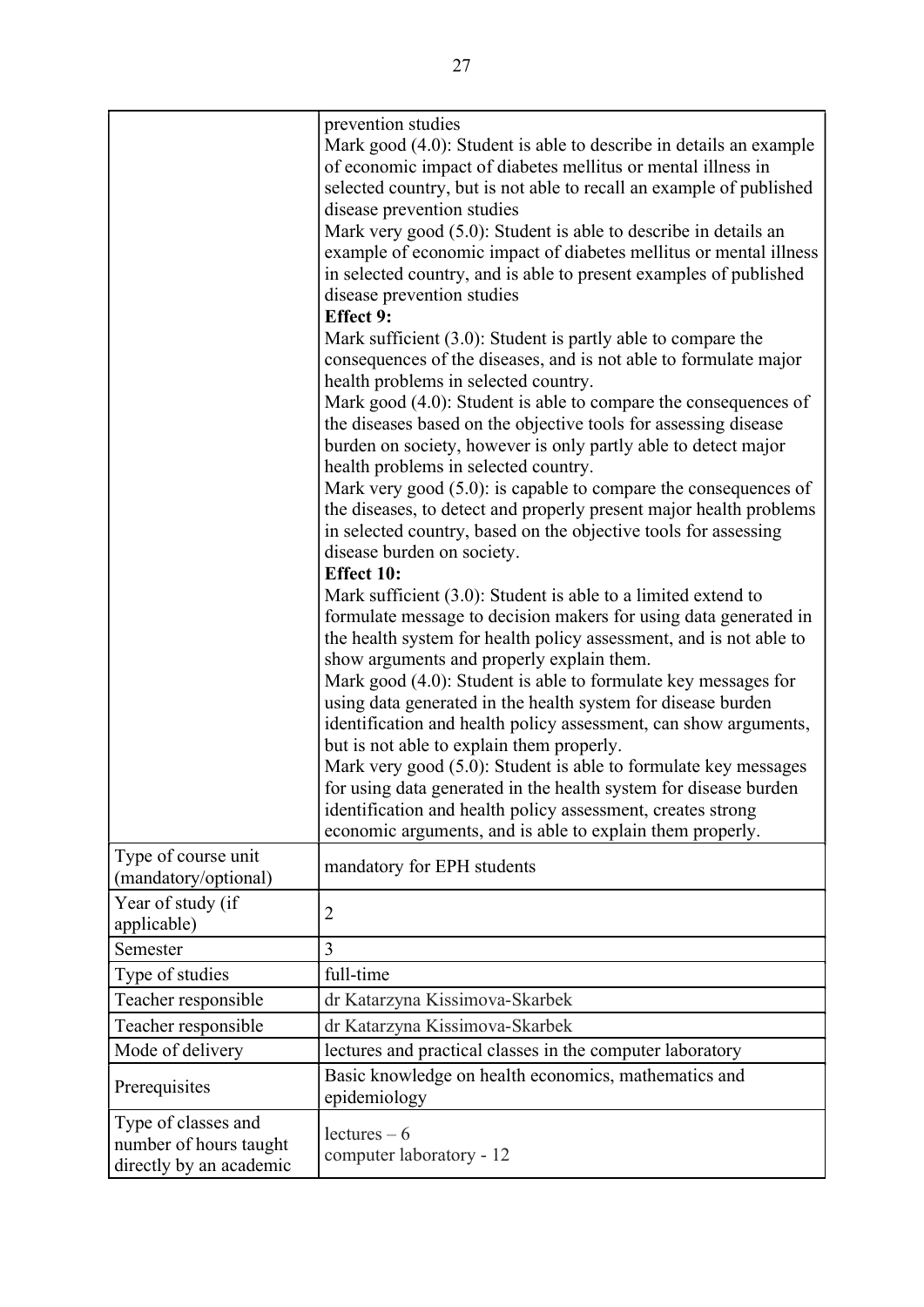|                                                                          | prevention studies<br>Mark good (4.0): Student is able to describe in details an example<br>of economic impact of diabetes mellitus or mental illness in<br>selected country, but is not able to recall an example of published<br>disease prevention studies<br>Mark very good (5.0): Student is able to describe in details an<br>example of economic impact of diabetes mellitus or mental illness<br>in selected country, and is able to present examples of published<br>disease prevention studies<br><b>Effect 9:</b><br>Mark sufficient $(3.0)$ : Student is partly able to compare the<br>consequences of the diseases, and is not able to formulate major<br>health problems in selected country.<br>Mark good (4.0): Student is able to compare the consequences of<br>the diseases based on the objective tools for assessing disease<br>burden on society, however is only partly able to detect major<br>health problems in selected country.<br>Mark very good $(5.0)$ : is capable to compare the consequences of<br>the diseases, to detect and properly present major health problems<br>in selected country, based on the objective tools for assessing<br>disease burden on society.<br><b>Effect 10:</b><br>Mark sufficient $(3.0)$ : Student is able to a limited extend to<br>formulate message to decision makers for using data generated in<br>the health system for health policy assessment, and is not able to<br>show arguments and properly explain them.<br>Mark good (4.0): Student is able to formulate key messages for<br>using data generated in the health system for disease burden<br>identification and health policy assessment, can show arguments,<br>but is not able to explain them properly.<br>Mark very good (5.0): Student is able to formulate key messages<br>for using data generated in the health system for disease burden<br>identification and health policy assessment, creates strong<br>economic arguments, and is able to explain them properly. |
|--------------------------------------------------------------------------|----------------------------------------------------------------------------------------------------------------------------------------------------------------------------------------------------------------------------------------------------------------------------------------------------------------------------------------------------------------------------------------------------------------------------------------------------------------------------------------------------------------------------------------------------------------------------------------------------------------------------------------------------------------------------------------------------------------------------------------------------------------------------------------------------------------------------------------------------------------------------------------------------------------------------------------------------------------------------------------------------------------------------------------------------------------------------------------------------------------------------------------------------------------------------------------------------------------------------------------------------------------------------------------------------------------------------------------------------------------------------------------------------------------------------------------------------------------------------------------------------------------------------------------------------------------------------------------------------------------------------------------------------------------------------------------------------------------------------------------------------------------------------------------------------------------------------------------------------------------------------------------------------------------------------------------------------------------------------------------------------------------|
| Type of course unit<br>(mandatory/optional)                              | mandatory for EPH students                                                                                                                                                                                                                                                                                                                                                                                                                                                                                                                                                                                                                                                                                                                                                                                                                                                                                                                                                                                                                                                                                                                                                                                                                                                                                                                                                                                                                                                                                                                                                                                                                                                                                                                                                                                                                                                                                                                                                                                     |
| Year of study (if<br>applicable)                                         | $\overline{2}$                                                                                                                                                                                                                                                                                                                                                                                                                                                                                                                                                                                                                                                                                                                                                                                                                                                                                                                                                                                                                                                                                                                                                                                                                                                                                                                                                                                                                                                                                                                                                                                                                                                                                                                                                                                                                                                                                                                                                                                                 |
| Semester                                                                 | 3                                                                                                                                                                                                                                                                                                                                                                                                                                                                                                                                                                                                                                                                                                                                                                                                                                                                                                                                                                                                                                                                                                                                                                                                                                                                                                                                                                                                                                                                                                                                                                                                                                                                                                                                                                                                                                                                                                                                                                                                              |
| Type of studies                                                          | full-time                                                                                                                                                                                                                                                                                                                                                                                                                                                                                                                                                                                                                                                                                                                                                                                                                                                                                                                                                                                                                                                                                                                                                                                                                                                                                                                                                                                                                                                                                                                                                                                                                                                                                                                                                                                                                                                                                                                                                                                                      |
| Teacher responsible                                                      | dr Katarzyna Kissimova-Skarbek                                                                                                                                                                                                                                                                                                                                                                                                                                                                                                                                                                                                                                                                                                                                                                                                                                                                                                                                                                                                                                                                                                                                                                                                                                                                                                                                                                                                                                                                                                                                                                                                                                                                                                                                                                                                                                                                                                                                                                                 |
| Teacher responsible                                                      | dr Katarzyna Kissimova-Skarbek                                                                                                                                                                                                                                                                                                                                                                                                                                                                                                                                                                                                                                                                                                                                                                                                                                                                                                                                                                                                                                                                                                                                                                                                                                                                                                                                                                                                                                                                                                                                                                                                                                                                                                                                                                                                                                                                                                                                                                                 |
| Mode of delivery                                                         | lectures and practical classes in the computer laboratory                                                                                                                                                                                                                                                                                                                                                                                                                                                                                                                                                                                                                                                                                                                                                                                                                                                                                                                                                                                                                                                                                                                                                                                                                                                                                                                                                                                                                                                                                                                                                                                                                                                                                                                                                                                                                                                                                                                                                      |
| Prerequisites                                                            | Basic knowledge on health economics, mathematics and<br>epidemiology                                                                                                                                                                                                                                                                                                                                                                                                                                                                                                                                                                                                                                                                                                                                                                                                                                                                                                                                                                                                                                                                                                                                                                                                                                                                                                                                                                                                                                                                                                                                                                                                                                                                                                                                                                                                                                                                                                                                           |
| Type of classes and<br>number of hours taught<br>directly by an academic | $lectures - 6$<br>computer laboratory - 12                                                                                                                                                                                                                                                                                                                                                                                                                                                                                                                                                                                                                                                                                                                                                                                                                                                                                                                                                                                                                                                                                                                                                                                                                                                                                                                                                                                                                                                                                                                                                                                                                                                                                                                                                                                                                                                                                                                                                                     |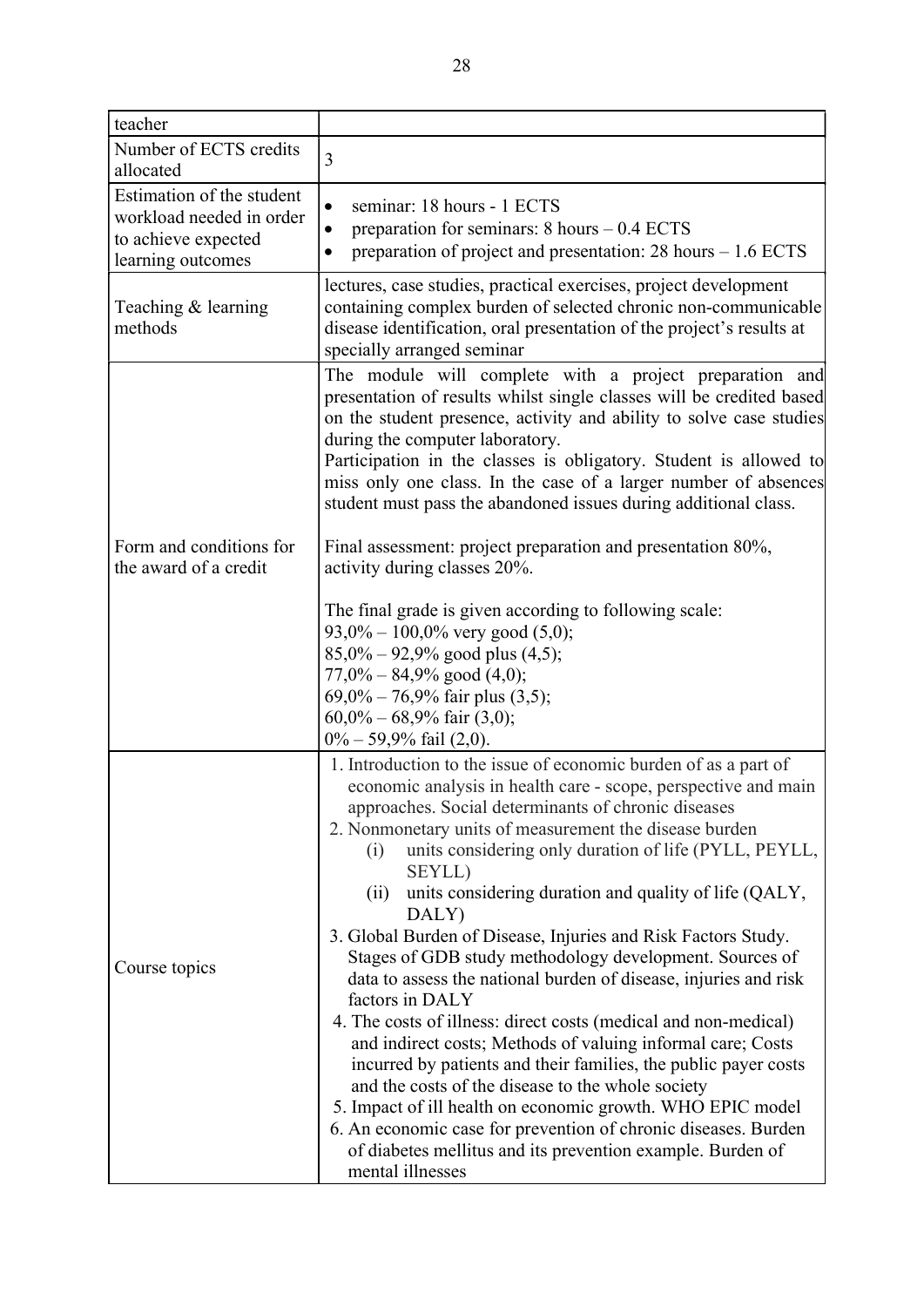| teacher                                          |                                                                                                                                                                                                                                                                                                                                                                                                                                                                                                                                                                                                                                                                                                                                                                                                                                                                                                                                                                                                                                                                                                       |
|--------------------------------------------------|-------------------------------------------------------------------------------------------------------------------------------------------------------------------------------------------------------------------------------------------------------------------------------------------------------------------------------------------------------------------------------------------------------------------------------------------------------------------------------------------------------------------------------------------------------------------------------------------------------------------------------------------------------------------------------------------------------------------------------------------------------------------------------------------------------------------------------------------------------------------------------------------------------------------------------------------------------------------------------------------------------------------------------------------------------------------------------------------------------|
| Number of ECTS credits                           | 3                                                                                                                                                                                                                                                                                                                                                                                                                                                                                                                                                                                                                                                                                                                                                                                                                                                                                                                                                                                                                                                                                                     |
| allocated                                        |                                                                                                                                                                                                                                                                                                                                                                                                                                                                                                                                                                                                                                                                                                                                                                                                                                                                                                                                                                                                                                                                                                       |
| Estimation of the student                        | seminar: 18 hours - 1 ECTS<br>$\bullet$                                                                                                                                                                                                                                                                                                                                                                                                                                                                                                                                                                                                                                                                                                                                                                                                                                                                                                                                                                                                                                                               |
| workload needed in order                         | preparation for seminars: $8 \text{ hours} - 0.4 \text{ ECTS}$                                                                                                                                                                                                                                                                                                                                                                                                                                                                                                                                                                                                                                                                                                                                                                                                                                                                                                                                                                                                                                        |
| to achieve expected                              | preparation of project and presentation: $28 \text{ hours} - 1.6 \text{ ECTS}$                                                                                                                                                                                                                                                                                                                                                                                                                                                                                                                                                                                                                                                                                                                                                                                                                                                                                                                                                                                                                        |
| learning outcomes                                |                                                                                                                                                                                                                                                                                                                                                                                                                                                                                                                                                                                                                                                                                                                                                                                                                                                                                                                                                                                                                                                                                                       |
| Teaching & learning<br>methods                   | lectures, case studies, practical exercises, project development<br>containing complex burden of selected chronic non-communicable<br>disease identification, oral presentation of the project's results at<br>specially arranged seminar                                                                                                                                                                                                                                                                                                                                                                                                                                                                                                                                                                                                                                                                                                                                                                                                                                                             |
|                                                  | The module will complete with a project preparation and<br>presentation of results whilst single classes will be credited based<br>on the student presence, activity and ability to solve case studies<br>during the computer laboratory.                                                                                                                                                                                                                                                                                                                                                                                                                                                                                                                                                                                                                                                                                                                                                                                                                                                             |
|                                                  | Participation in the classes is obligatory. Student is allowed to<br>miss only one class. In the case of a larger number of absences<br>student must pass the abandoned issues during additional class.                                                                                                                                                                                                                                                                                                                                                                                                                                                                                                                                                                                                                                                                                                                                                                                                                                                                                               |
| Form and conditions for<br>the award of a credit | Final assessment: project preparation and presentation 80%,<br>activity during classes 20%.                                                                                                                                                                                                                                                                                                                                                                                                                                                                                                                                                                                                                                                                                                                                                                                                                                                                                                                                                                                                           |
|                                                  | The final grade is given according to following scale:<br>$93,0\% - 100,0\%$ very good $(5,0);$<br>$85,0\% - 92,9\%$ good plus $(4,5)$ ;<br>$77,0\% - 84,9\%$ good $(4,0);$<br>$69,0\% - 76,9\%$ fair plus $(3,5)$ ;<br>$60,0\% - 68,9\%$ fair $(3,0);$<br>$0\% - 59,9\%$ fail (2,0).                                                                                                                                                                                                                                                                                                                                                                                                                                                                                                                                                                                                                                                                                                                                                                                                                 |
| Course topics                                    | 1. Introduction to the issue of economic burden of as a part of<br>economic analysis in health care - scope, perspective and main<br>approaches. Social determinants of chronic diseases<br>2. Nonmonetary units of measurement the disease burden<br>units considering only duration of life (PYLL, PEYLL,<br>(i)<br>SEYLL)<br>units considering duration and quality of life (QALY,<br>(ii)<br>DALY)<br>3. Global Burden of Disease, Injuries and Risk Factors Study.<br>Stages of GDB study methodology development. Sources of<br>data to assess the national burden of disease, injuries and risk<br>factors in DALY<br>4. The costs of illness: direct costs (medical and non-medical)<br>and indirect costs; Methods of valuing informal care; Costs<br>incurred by patients and their families, the public payer costs<br>and the costs of the disease to the whole society<br>5. Impact of ill health on economic growth. WHO EPIC model<br>6. An economic case for prevention of chronic diseases. Burden<br>of diabetes mellitus and its prevention example. Burden of<br>mental illnesses |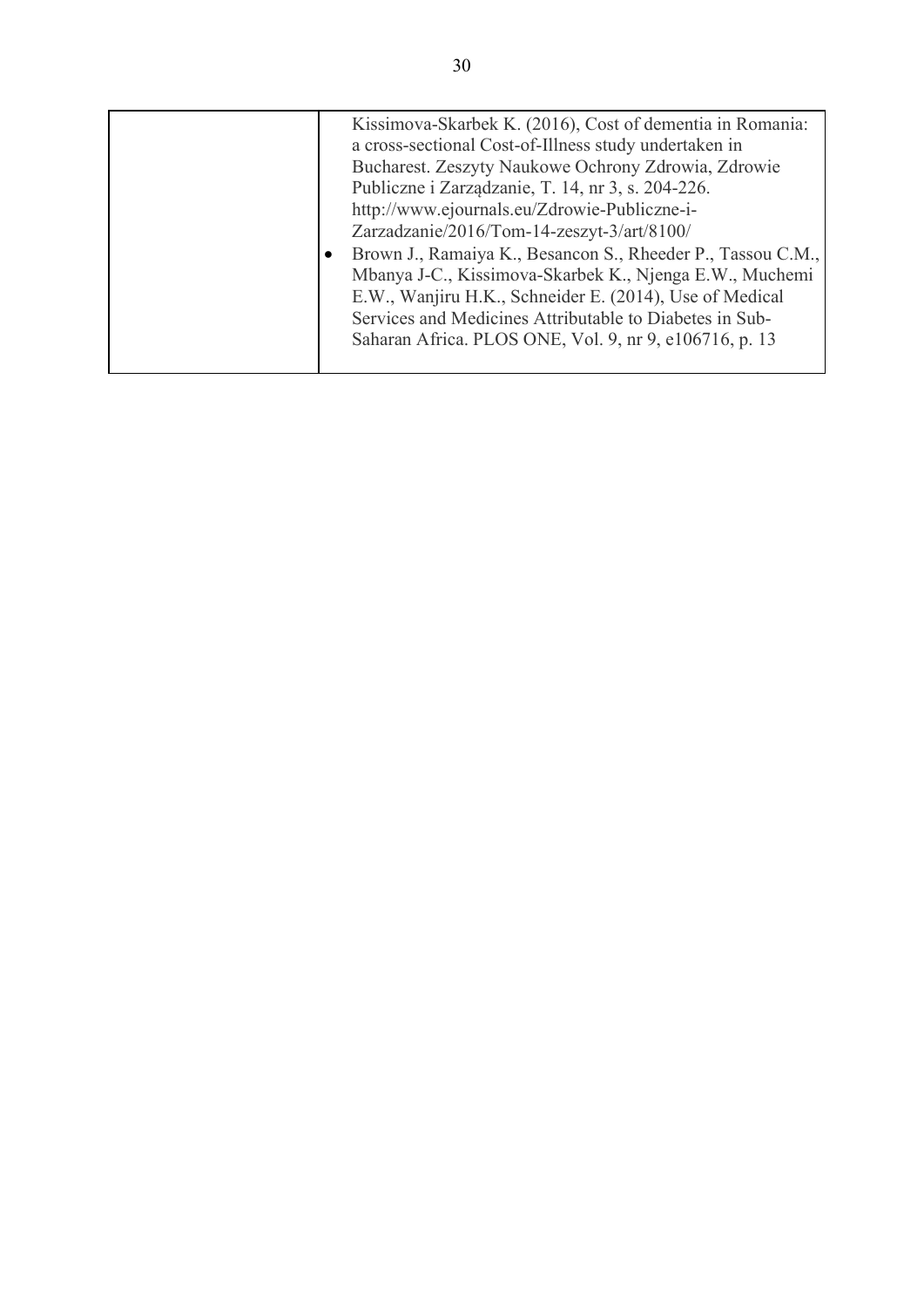|  | Kissimova-Skarbek K. (2016), Cost of dementia in Romania:<br>a cross-sectional Cost-of-Illness study undertaken in |
|--|--------------------------------------------------------------------------------------------------------------------|
|  | Bucharest. Zeszyty Naukowe Ochrony Zdrowia, Zdrowie                                                                |
|  | Publiczne i Zarządzanie, T. 14, nr 3, s. 204-226.                                                                  |
|  | http://www.ejournals.eu/Zdrowie-Publiczne-i-                                                                       |
|  | Zarzadzanie/2016/Tom-14-zeszyt-3/art/8100/                                                                         |
|  | Brown J., Ramaiya K., Besancon S., Rheeder P., Tassou C.M.,                                                        |
|  | Mbanya J-C., Kissimova-Skarbek K., Njenga E.W., Muchemi                                                            |
|  | E.W., Wanjiru H.K., Schneider E. (2014), Use of Medical                                                            |
|  | Services and Medicines Attributable to Diabetes in Sub-                                                            |
|  | Saharan Africa. PLOS ONE, Vol. 9, nr 9, e106716, p. 13                                                             |
|  |                                                                                                                    |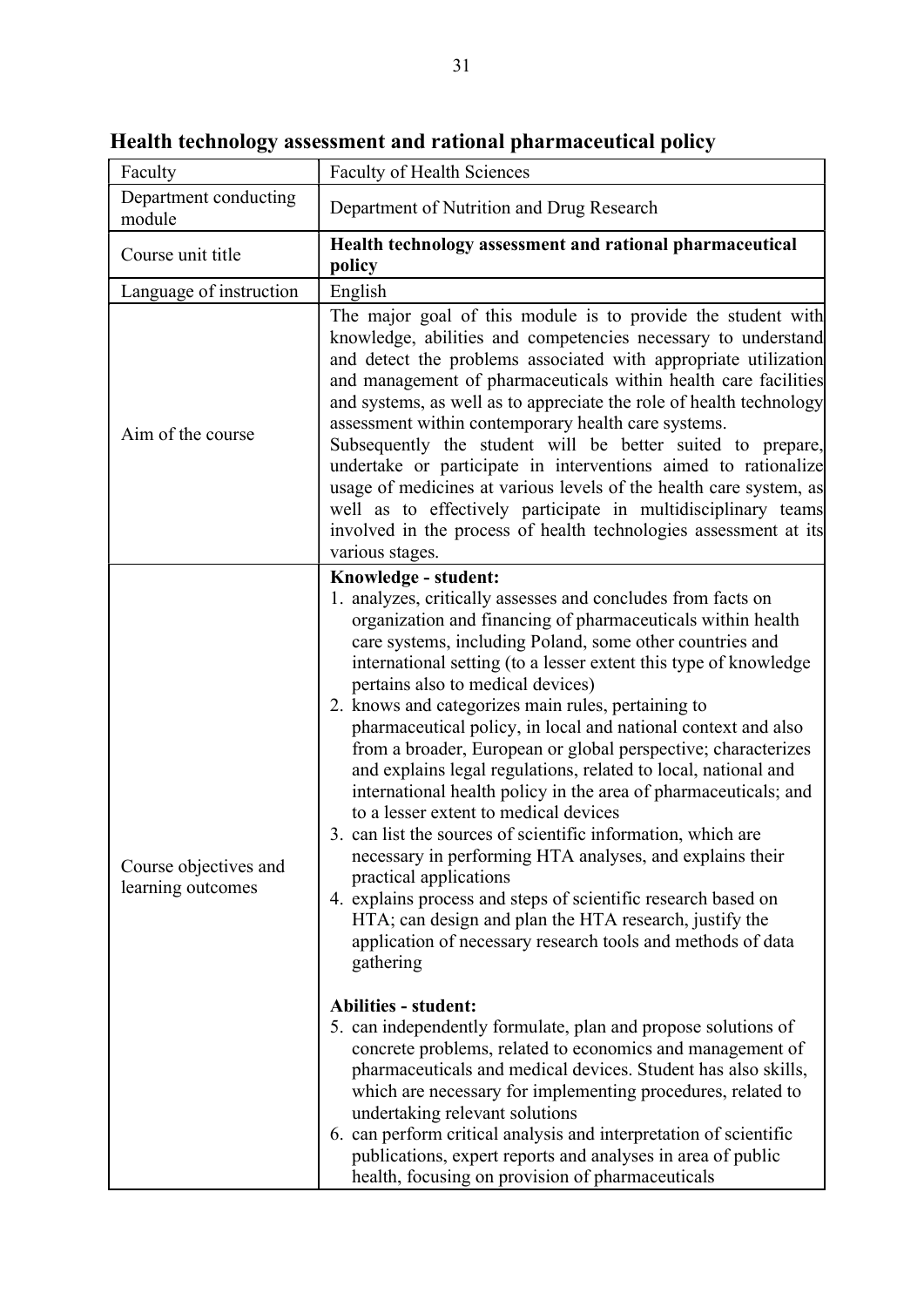| Faculty                                    | <b>Faculty of Health Sciences</b>                                                                                                                                                                                                                                                                                                                                                                                                                                                                                                                                                                                                                                                                                                                                                                                                                                                                                                                                                                                                                                                                                                                                                                                                                                                                                                                                                                                                                                                                                              |
|--------------------------------------------|--------------------------------------------------------------------------------------------------------------------------------------------------------------------------------------------------------------------------------------------------------------------------------------------------------------------------------------------------------------------------------------------------------------------------------------------------------------------------------------------------------------------------------------------------------------------------------------------------------------------------------------------------------------------------------------------------------------------------------------------------------------------------------------------------------------------------------------------------------------------------------------------------------------------------------------------------------------------------------------------------------------------------------------------------------------------------------------------------------------------------------------------------------------------------------------------------------------------------------------------------------------------------------------------------------------------------------------------------------------------------------------------------------------------------------------------------------------------------------------------------------------------------------|
| Department conducting<br>module            | Department of Nutrition and Drug Research                                                                                                                                                                                                                                                                                                                                                                                                                                                                                                                                                                                                                                                                                                                                                                                                                                                                                                                                                                                                                                                                                                                                                                                                                                                                                                                                                                                                                                                                                      |
| Course unit title                          | Health technology assessment and rational pharmaceutical<br>policy                                                                                                                                                                                                                                                                                                                                                                                                                                                                                                                                                                                                                                                                                                                                                                                                                                                                                                                                                                                                                                                                                                                                                                                                                                                                                                                                                                                                                                                             |
| Language of instruction                    | English                                                                                                                                                                                                                                                                                                                                                                                                                                                                                                                                                                                                                                                                                                                                                                                                                                                                                                                                                                                                                                                                                                                                                                                                                                                                                                                                                                                                                                                                                                                        |
| Aim of the course                          | The major goal of this module is to provide the student with<br>knowledge, abilities and competencies necessary to understand<br>and detect the problems associated with appropriate utilization<br>and management of pharmaceuticals within health care facilities<br>and systems, as well as to appreciate the role of health technology<br>assessment within contemporary health care systems.<br>Subsequently the student will be better suited to prepare,<br>undertake or participate in interventions aimed to rationalize<br>usage of medicines at various levels of the health care system, as<br>well as to effectively participate in multidisciplinary teams<br>involved in the process of health technologies assessment at its<br>various stages.                                                                                                                                                                                                                                                                                                                                                                                                                                                                                                                                                                                                                                                                                                                                                                |
| Course objectives and<br>learning outcomes | Knowledge - student:<br>1. analyzes, critically assesses and concludes from facts on<br>organization and financing of pharmaceuticals within health<br>care systems, including Poland, some other countries and<br>international setting (to a lesser extent this type of knowledge<br>pertains also to medical devices)<br>2. knows and categorizes main rules, pertaining to<br>pharmaceutical policy, in local and national context and also<br>from a broader, European or global perspective; characterizes<br>and explains legal regulations, related to local, national and<br>international health policy in the area of pharmaceuticals; and<br>to a lesser extent to medical devices<br>3. can list the sources of scientific information, which are<br>necessary in performing HTA analyses, and explains their<br>practical applications<br>4. explains process and steps of scientific research based on<br>HTA; can design and plan the HTA research, justify the<br>application of necessary research tools and methods of data<br>gathering<br><b>Abilities - student:</b><br>5. can independently formulate, plan and propose solutions of<br>concrete problems, related to economics and management of<br>pharmaceuticals and medical devices. Student has also skills,<br>which are necessary for implementing procedures, related to<br>undertaking relevant solutions<br>6. can perform critical analysis and interpretation of scientific<br>publications, expert reports and analyses in area of public |

Health technology assessment and rational pharmaceutical policy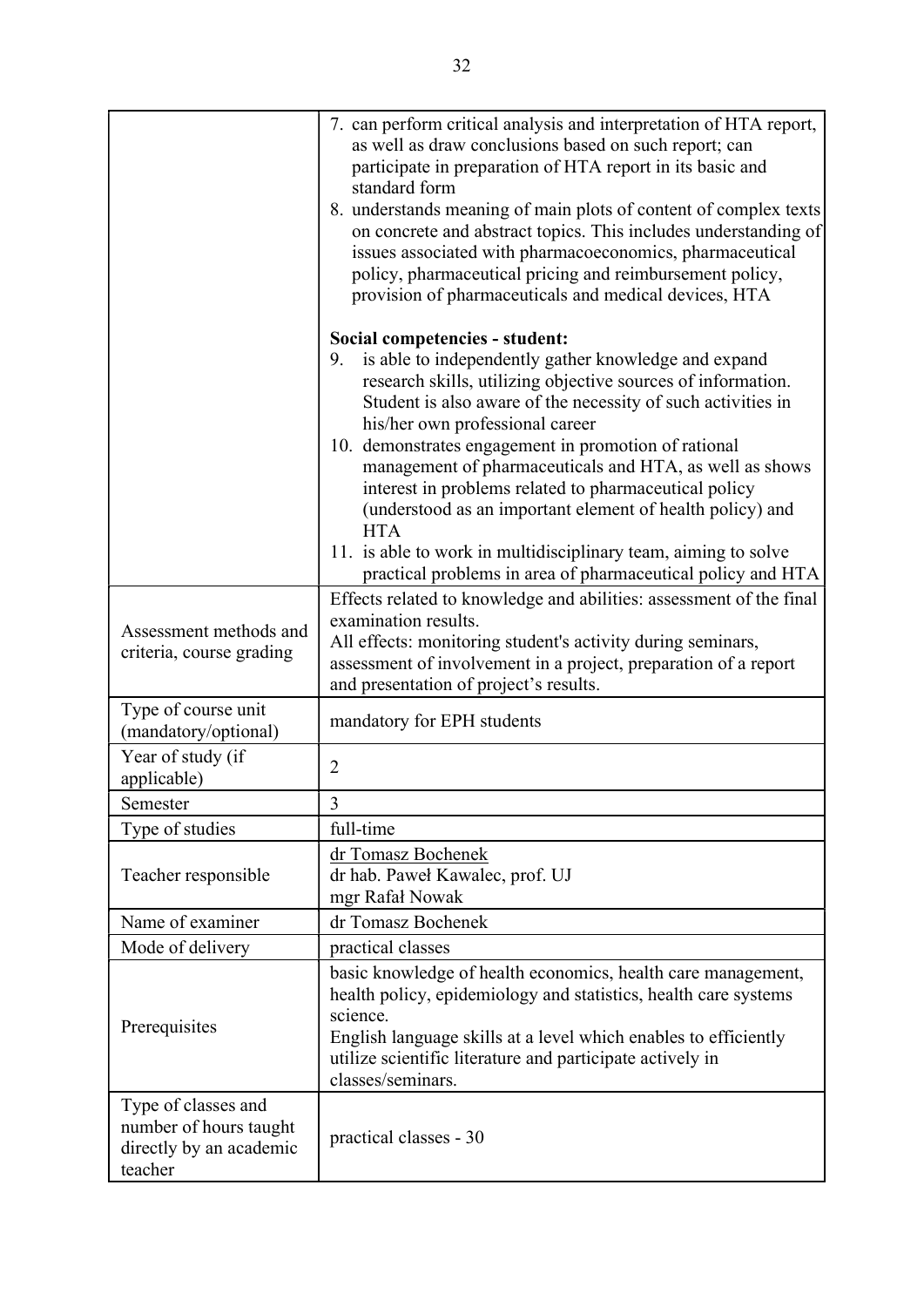|                                                                                     | 7. can perform critical analysis and interpretation of HTA report,<br>as well as draw conclusions based on such report; can<br>participate in preparation of HTA report in its basic and<br>standard form<br>8. understands meaning of main plots of content of complex texts<br>on concrete and abstract topics. This includes understanding of<br>issues associated with pharmacoeconomics, pharmaceutical<br>policy, pharmaceutical pricing and reimbursement policy,<br>provision of pharmaceuticals and medical devices, HTA                                                                                                                       |
|-------------------------------------------------------------------------------------|---------------------------------------------------------------------------------------------------------------------------------------------------------------------------------------------------------------------------------------------------------------------------------------------------------------------------------------------------------------------------------------------------------------------------------------------------------------------------------------------------------------------------------------------------------------------------------------------------------------------------------------------------------|
|                                                                                     | Social competencies - student:<br>is able to independently gather knowledge and expand<br>9.<br>research skills, utilizing objective sources of information.<br>Student is also aware of the necessity of such activities in<br>his/her own professional career<br>10. demonstrates engagement in promotion of rational<br>management of pharmaceuticals and HTA, as well as shows<br>interest in problems related to pharmaceutical policy<br>(understood as an important element of health policy) and<br><b>HTA</b><br>11. is able to work in multidisciplinary team, aiming to solve<br>practical problems in area of pharmaceutical policy and HTA |
| Assessment methods and<br>criteria, course grading                                  | Effects related to knowledge and abilities: assessment of the final<br>examination results.<br>All effects: monitoring student's activity during seminars,<br>assessment of involvement in a project, preparation of a report<br>and presentation of project's results.                                                                                                                                                                                                                                                                                                                                                                                 |
| Type of course unit<br>(mandatory/optional)                                         | mandatory for EPH students                                                                                                                                                                                                                                                                                                                                                                                                                                                                                                                                                                                                                              |
| Year of study (if<br>applicable)                                                    | $\overline{2}$                                                                                                                                                                                                                                                                                                                                                                                                                                                                                                                                                                                                                                          |
| Semester                                                                            | 3                                                                                                                                                                                                                                                                                                                                                                                                                                                                                                                                                                                                                                                       |
| Type of studies                                                                     | full-time                                                                                                                                                                                                                                                                                                                                                                                                                                                                                                                                                                                                                                               |
| Teacher responsible                                                                 | dr Tomasz Bochenek<br>dr hab. Paweł Kawalec, prof. UJ<br>mgr Rafał Nowak                                                                                                                                                                                                                                                                                                                                                                                                                                                                                                                                                                                |
| Name of examiner                                                                    | dr Tomasz Bochenek                                                                                                                                                                                                                                                                                                                                                                                                                                                                                                                                                                                                                                      |
| Mode of delivery                                                                    | practical classes                                                                                                                                                                                                                                                                                                                                                                                                                                                                                                                                                                                                                                       |
| Prerequisites                                                                       | basic knowledge of health economics, health care management,<br>health policy, epidemiology and statistics, health care systems<br>science.<br>English language skills at a level which enables to efficiently<br>utilize scientific literature and participate actively in<br>classes/seminars.                                                                                                                                                                                                                                                                                                                                                        |
| Type of classes and<br>number of hours taught<br>directly by an academic<br>teacher | practical classes - 30                                                                                                                                                                                                                                                                                                                                                                                                                                                                                                                                                                                                                                  |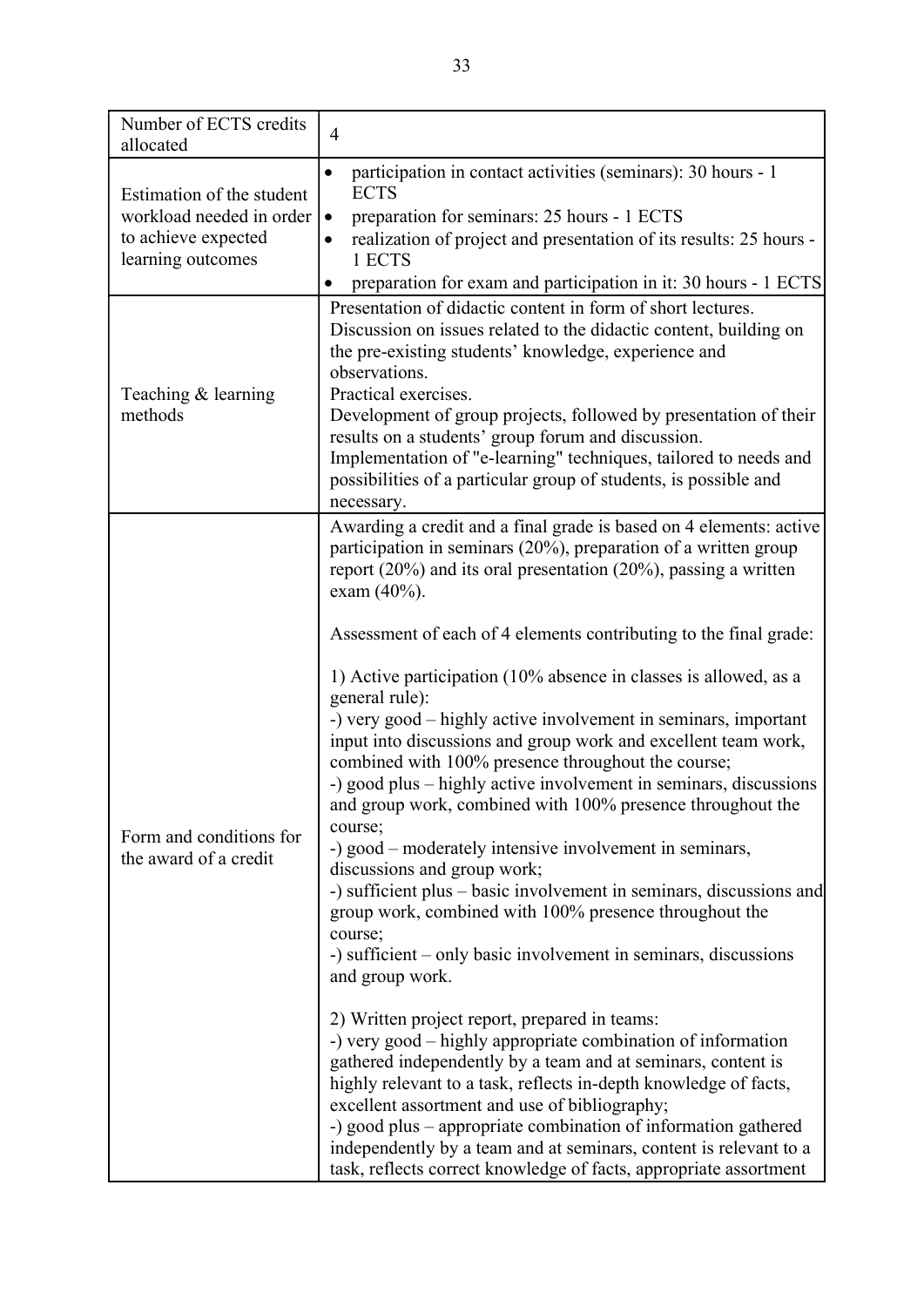| Number of ECTS credits<br>allocated              | $\overline{4}$                                                                                                                         |
|--------------------------------------------------|----------------------------------------------------------------------------------------------------------------------------------------|
| Estimation of the student                        | participation in contact activities (seminars): 30 hours - 1<br>$\bullet$<br><b>ECTS</b>                                               |
| workload needed in order                         | preparation for seminars: 25 hours - 1 ECTS                                                                                            |
| to achieve expected                              | realization of project and presentation of its results: 25 hours -                                                                     |
| learning outcomes                                | 1 ECTS                                                                                                                                 |
|                                                  | preparation for exam and participation in it: 30 hours - 1 ECTS<br>Presentation of didactic content in form of short lectures.         |
|                                                  | Discussion on issues related to the didactic content, building on<br>the pre-existing students' knowledge, experience and              |
|                                                  | observations.                                                                                                                          |
| Teaching & learning                              | Practical exercises.                                                                                                                   |
| methods                                          | Development of group projects, followed by presentation of their<br>results on a students' group forum and discussion.                 |
|                                                  | Implementation of "e-learning" techniques, tailored to needs and                                                                       |
|                                                  | possibilities of a particular group of students, is possible and                                                                       |
|                                                  | necessary.                                                                                                                             |
|                                                  | Awarding a credit and a final grade is based on 4 elements: active                                                                     |
| Form and conditions for<br>the award of a credit | participation in seminars $(20\%)$ , preparation of a written group                                                                    |
|                                                  | report $(20\%)$ and its oral presentation $(20\%)$ , passing a written<br>exam $(40%).$                                                |
|                                                  |                                                                                                                                        |
|                                                  | Assessment of each of 4 elements contributing to the final grade:                                                                      |
|                                                  | 1) Active participation (10% absence in classes is allowed, as a<br>general rule):                                                     |
|                                                  | -) very good – highly active involvement in seminars, important                                                                        |
|                                                  | input into discussions and group work and excellent team work,<br>combined with 100% presence throughout the course;                   |
|                                                  | -) good plus – highly active involvement in seminars, discussions                                                                      |
|                                                  | and group work, combined with 100% presence throughout the                                                                             |
|                                                  | course;                                                                                                                                |
|                                                  | -) good – moderately intensive involvement in seminars,<br>discussions and group work;                                                 |
|                                                  | -) sufficient plus – basic involvement in seminars, discussions and                                                                    |
|                                                  | group work, combined with 100% presence throughout the                                                                                 |
|                                                  | course;                                                                                                                                |
|                                                  | -) sufficient – only basic involvement in seminars, discussions                                                                        |
|                                                  | and group work.                                                                                                                        |
|                                                  | 2) Written project report, prepared in teams:                                                                                          |
|                                                  | -) very good – highly appropriate combination of information                                                                           |
|                                                  | gathered independently by a team and at seminars, content is                                                                           |
|                                                  | highly relevant to a task, reflects in-depth knowledge of facts,                                                                       |
|                                                  | excellent assortment and use of bibliography;                                                                                          |
|                                                  | -) good plus – appropriate combination of information gathered                                                                         |
|                                                  | independently by a team and at seminars, content is relevant to a<br>task, reflects correct knowledge of facts, appropriate assortment |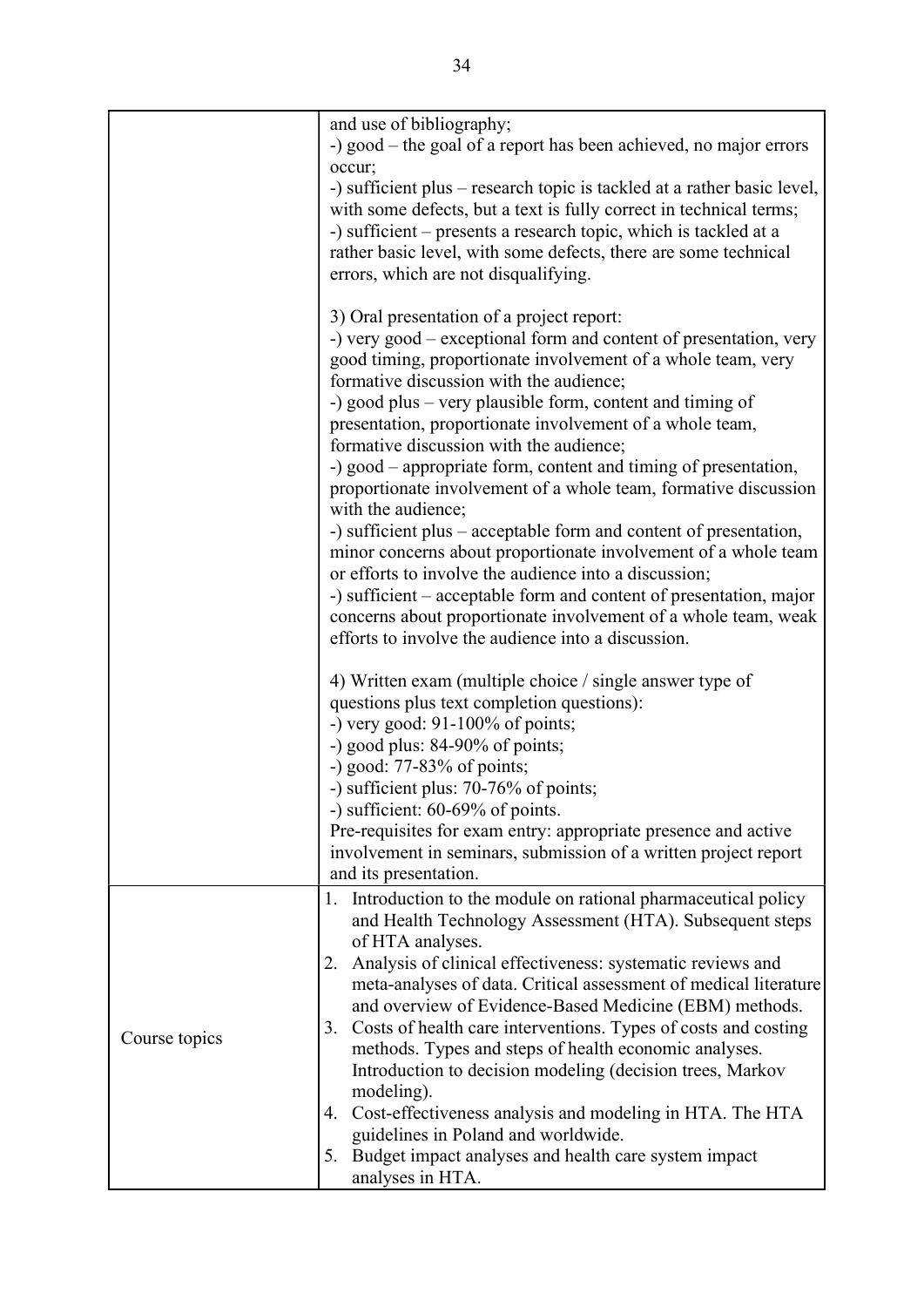|               | and use of bibliography;<br>-) good – the goal of a report has been achieved, no major errors                                          |
|---------------|----------------------------------------------------------------------------------------------------------------------------------------|
|               | occur;                                                                                                                                 |
|               | -) sufficient plus – research topic is tackled at a rather basic level,                                                                |
|               | with some defects, but a text is fully correct in technical terms;<br>-) sufficient – presents a research topic, which is tackled at a |
|               | rather basic level, with some defects, there are some technical                                                                        |
|               | errors, which are not disqualifying.                                                                                                   |
|               | 3) Oral presentation of a project report:                                                                                              |
|               | -) very good – exceptional form and content of presentation, very<br>good timing, proportionate involvement of a whole team, very      |
|               | formative discussion with the audience;                                                                                                |
|               | -) good plus – very plausible form, content and timing of<br>presentation, proportionate involvement of a whole team,                  |
|               | formative discussion with the audience;                                                                                                |
|               | -) good – appropriate form, content and timing of presentation,<br>proportionate involvement of a whole team, formative discussion     |
|               | with the audience;<br>-) sufficient plus – acceptable form and content of presentation,                                                |
|               | minor concerns about proportionate involvement of a whole team                                                                         |
|               | or efforts to involve the audience into a discussion;                                                                                  |
|               | -) sufficient – acceptable form and content of presentation, major                                                                     |
|               | concerns about proportionate involvement of a whole team, weak<br>efforts to involve the audience into a discussion.                   |
|               |                                                                                                                                        |
|               | 4) Written exam (multiple choice / single answer type of                                                                               |
|               | questions plus text completion questions):                                                                                             |
|               | -) very good: $91-100\%$ of points;<br>-) good plus: 84-90% of points;                                                                 |
|               | -) good: $77-83%$ of points;                                                                                                           |
|               | -) sufficient plus: 70-76% of points;                                                                                                  |
|               | -) sufficient: $60-69\%$ of points.                                                                                                    |
|               | Pre-requisites for exam entry: appropriate presence and active                                                                         |
|               | involvement in seminars, submission of a written project report<br>and its presentation.                                               |
|               | 1. Introduction to the module on rational pharmaceutical policy                                                                        |
|               | and Health Technology Assessment (HTA). Subsequent steps                                                                               |
|               | of HTA analyses.                                                                                                                       |
|               | Analysis of clinical effectiveness: systematic reviews and<br>2.<br>meta-analyses of data. Critical assessment of medical literature   |
|               | and overview of Evidence-Based Medicine (EBM) methods.                                                                                 |
| Course topics | 3. Costs of health care interventions. Types of costs and costing                                                                      |
|               | methods. Types and steps of health economic analyses.                                                                                  |
|               | Introduction to decision modeling (decision trees, Markov<br>modeling).                                                                |
|               | Cost-effectiveness analysis and modeling in HTA. The HTA<br>4.                                                                         |
|               | guidelines in Poland and worldwide.                                                                                                    |
|               | 5. Budget impact analyses and health care system impact<br>analyses in HTA.                                                            |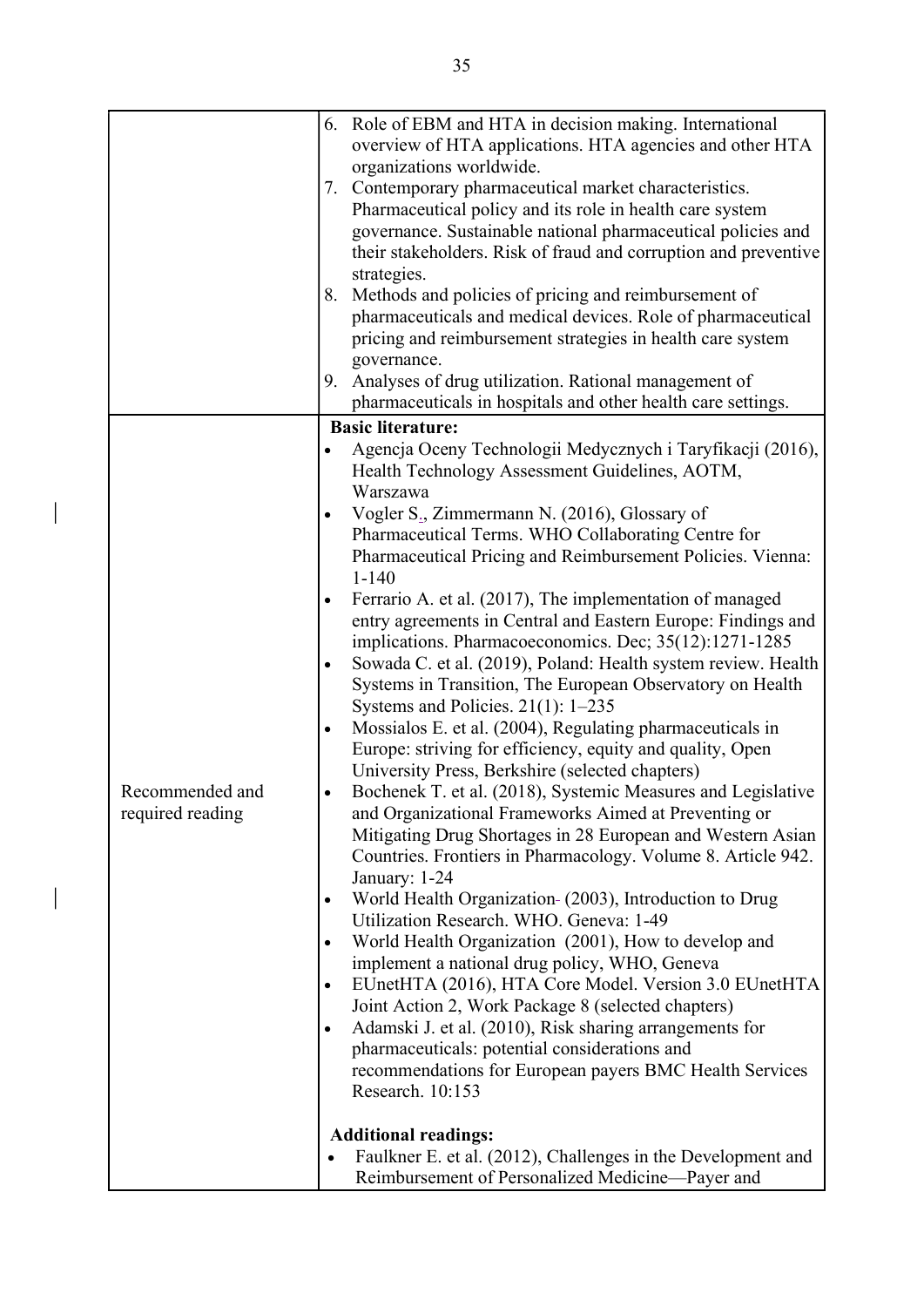|                  |           | 6. Role of EBM and HTA in decision making. International        |
|------------------|-----------|-----------------------------------------------------------------|
|                  |           | overview of HTA applications. HTA agencies and other HTA        |
|                  |           | organizations worldwide.                                        |
|                  |           | 7. Contemporary pharmaceutical market characteristics.          |
|                  |           | Pharmaceutical policy and its role in health care system        |
|                  |           | governance. Sustainable national pharmaceutical policies and    |
|                  |           | their stakeholders. Risk of fraud and corruption and preventive |
|                  |           | strategies.                                                     |
|                  |           | 8. Methods and policies of pricing and reimbursement of         |
|                  |           | pharmaceuticals and medical devices. Role of pharmaceutical     |
|                  |           | pricing and reimbursement strategies in health care system      |
|                  |           | governance.                                                     |
|                  | 9.        | Analyses of drug utilization. Rational management of            |
|                  |           | pharmaceuticals in hospitals and other health care settings.    |
|                  |           | <b>Basic literature:</b>                                        |
|                  |           | Agencja Oceny Technologii Medycznych i Taryfikacji (2016),      |
|                  |           | Health Technology Assessment Guidelines, AOTM,                  |
|                  |           | Warszawa                                                        |
|                  |           | Vogler S <sub>2</sub> , Zimmermann N. (2016), Glossary of       |
|                  |           | Pharmaceutical Terms. WHO Collaborating Centre for              |
|                  |           | Pharmaceutical Pricing and Reimbursement Policies. Vienna:      |
|                  |           | $1 - 140$                                                       |
|                  |           | Ferrario A. et al. (2017), The implementation of managed        |
|                  |           | entry agreements in Central and Eastern Europe: Findings and    |
|                  |           | implications. Pharmacoeconomics. Dec; 35(12):1271-1285          |
|                  |           | Sowada C. et al. (2019), Poland: Health system review. Health   |
|                  |           | Systems in Transition, The European Observatory on Health       |
|                  |           | Systems and Policies. $21(1)$ : 1-235                           |
|                  | $\bullet$ | Mossialos E. et al. (2004), Regulating pharmaceuticals in       |
|                  |           | Europe: striving for efficiency, equity and quality, Open       |
|                  |           | University Press, Berkshire (selected chapters)                 |
| Recommended and  | $\bullet$ | Bochenek T. et al. (2018), Systemic Measures and Legislative    |
| required reading |           | and Organizational Frameworks Aimed at Preventing or            |
|                  |           | Mitigating Drug Shortages in 28 European and Western Asian      |
|                  |           | Countries. Frontiers in Pharmacology. Volume 8. Article 942.    |
|                  |           | January: 1-24                                                   |
|                  |           | World Health Organization- (2003), Introduction to Drug         |
|                  |           | Utilization Research. WHO. Geneva: 1-49                         |
|                  |           | World Health Organization (2001), How to develop and            |
|                  |           | implement a national drug policy, WHO, Geneva                   |
|                  |           | EUnetHTA (2016), HTA Core Model. Version 3.0 EUnetHTA           |
|                  |           | Joint Action 2, Work Package 8 (selected chapters)              |
|                  |           | Adamski J. et al. (2010), Risk sharing arrangements for         |
|                  |           | pharmaceuticals: potential considerations and                   |
|                  |           | recommendations for European payers BMC Health Services         |
|                  |           | Research. 10:153                                                |
|                  |           |                                                                 |
|                  |           | <b>Additional readings:</b>                                     |
|                  |           | Faulkner E. et al. (2012), Challenges in the Development and    |
|                  |           | Reimbursement of Personalized Medicine-Payer and                |

 $\overline{\phantom{a}}$ 

 $\bigg| \bigg|$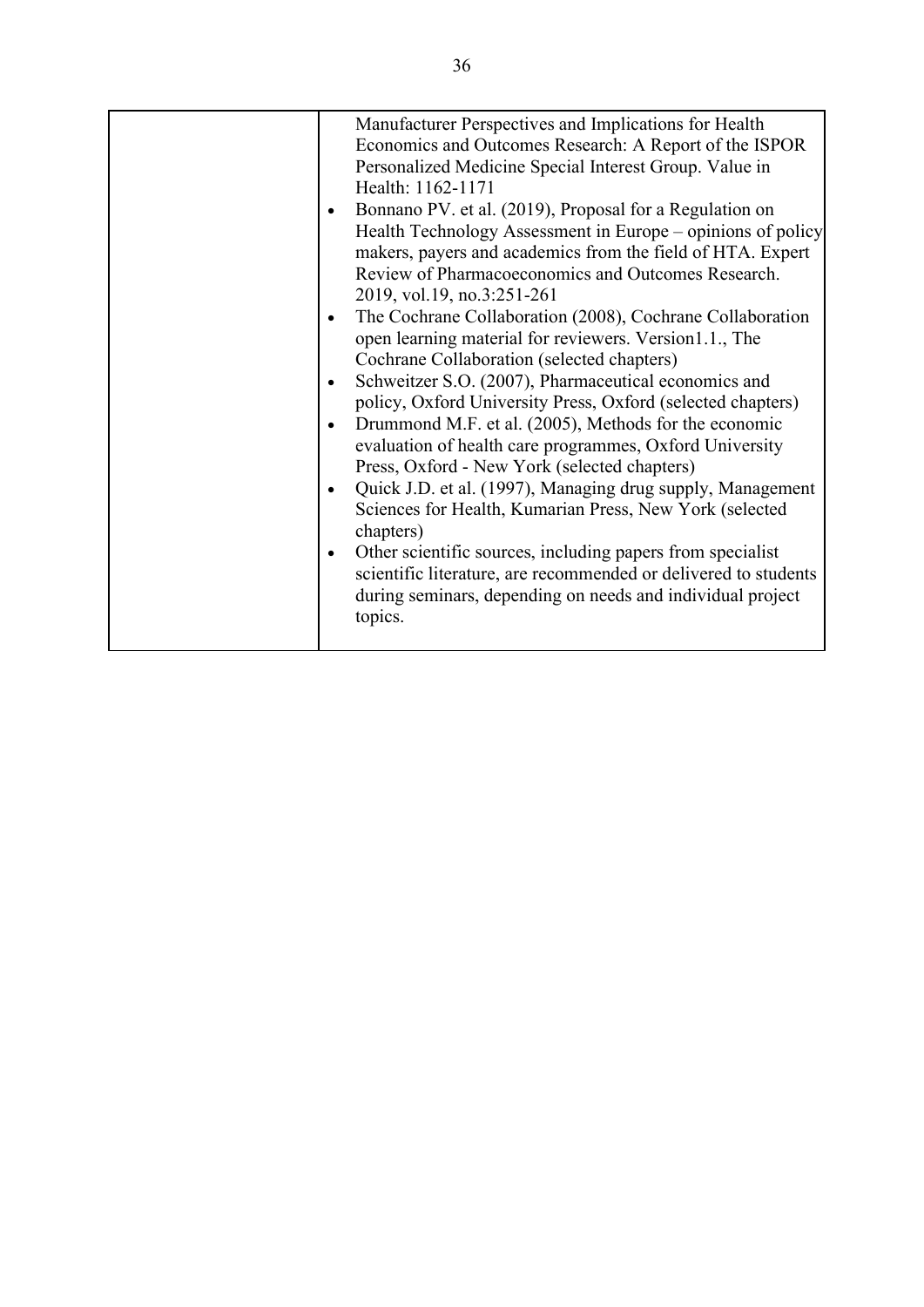|  | Manufacturer Perspectives and Implications for Health           |
|--|-----------------------------------------------------------------|
|  | Economics and Outcomes Research: A Report of the ISPOR          |
|  | Personalized Medicine Special Interest Group. Value in          |
|  | Health: 1162-1171                                               |
|  | Bonnano PV. et al. (2019), Proposal for a Regulation on         |
|  | Health Technology Assessment in Europe – opinions of policy     |
|  | makers, payers and academics from the field of HTA. Expert      |
|  | Review of Pharmacoeconomics and Outcomes Research.              |
|  | 2019, vol.19, no.3:251-261                                      |
|  | The Cochrane Collaboration (2008), Cochrane Collaboration       |
|  | open learning material for reviewers. Version1.1., The          |
|  | Cochrane Collaboration (selected chapters)                      |
|  | Schweitzer S.O. (2007), Pharmaceutical economics and            |
|  | policy, Oxford University Press, Oxford (selected chapters)     |
|  | Drummond M.F. et al. (2005), Methods for the economic           |
|  | evaluation of health care programmes, Oxford University         |
|  | Press, Oxford - New York (selected chapters)                    |
|  | Quick J.D. et al. (1997), Managing drug supply, Management      |
|  | Sciences for Health, Kumarian Press, New York (selected         |
|  | chapters)                                                       |
|  | Other scientific sources, including papers from specialist      |
|  | scientific literature, are recommended or delivered to students |
|  | during seminars, depending on needs and individual project      |
|  | topics.                                                         |
|  |                                                                 |
|  |                                                                 |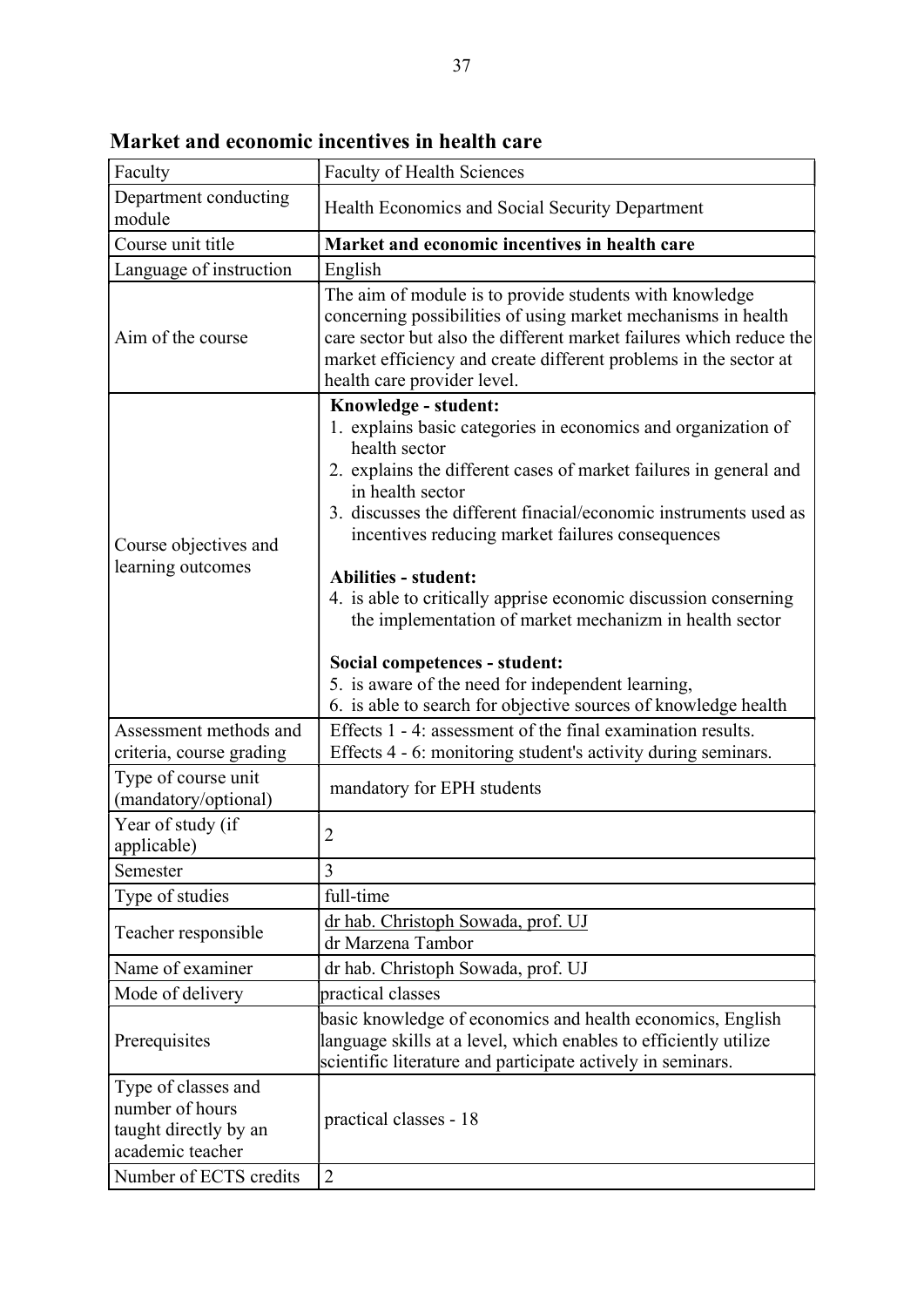| Faculty                                                                             | <b>Faculty of Health Sciences</b>                                                                                                                                                                                                                                                                                                                                                                                                                                                                                                                                                                                                            |  |
|-------------------------------------------------------------------------------------|----------------------------------------------------------------------------------------------------------------------------------------------------------------------------------------------------------------------------------------------------------------------------------------------------------------------------------------------------------------------------------------------------------------------------------------------------------------------------------------------------------------------------------------------------------------------------------------------------------------------------------------------|--|
| Department conducting<br>module                                                     | Health Economics and Social Security Department                                                                                                                                                                                                                                                                                                                                                                                                                                                                                                                                                                                              |  |
| Course unit title                                                                   | Market and economic incentives in health care                                                                                                                                                                                                                                                                                                                                                                                                                                                                                                                                                                                                |  |
| Language of instruction                                                             | English                                                                                                                                                                                                                                                                                                                                                                                                                                                                                                                                                                                                                                      |  |
| Aim of the course                                                                   | The aim of module is to provide students with knowledge<br>concerning possibilities of using market mechanisms in health<br>care sector but also the different market failures which reduce the<br>market efficiency and create different problems in the sector at<br>health care provider level.                                                                                                                                                                                                                                                                                                                                           |  |
| Course objectives and<br>learning outcomes                                          | Knowledge - student:<br>1. explains basic categories in economics and organization of<br>health sector<br>2. explains the different cases of market failures in general and<br>in health sector<br>3. discusses the different finacial/economic instruments used as<br>incentives reducing market failures consequences<br><b>Abilities - student:</b><br>4. is able to critically apprise economic discussion conserning<br>the implementation of market mechanizm in health sector<br>Social competences - student:<br>5. is aware of the need for independent learning,<br>6. is able to search for objective sources of knowledge health |  |
| Assessment methods and<br>criteria, course grading                                  | Effects 1 - 4: assessment of the final examination results.<br>Effects 4 - 6: monitoring student's activity during seminars.                                                                                                                                                                                                                                                                                                                                                                                                                                                                                                                 |  |
| Type of course unit<br>(mandatory/optional)                                         | mandatory for EPH students                                                                                                                                                                                                                                                                                                                                                                                                                                                                                                                                                                                                                   |  |
| Year of study (if<br>applicable)                                                    | $\overline{2}$                                                                                                                                                                                                                                                                                                                                                                                                                                                                                                                                                                                                                               |  |
| Semester                                                                            | 3                                                                                                                                                                                                                                                                                                                                                                                                                                                                                                                                                                                                                                            |  |
| Type of studies                                                                     | full-time                                                                                                                                                                                                                                                                                                                                                                                                                                                                                                                                                                                                                                    |  |
| Teacher responsible                                                                 | dr hab. Christoph Sowada, prof. UJ<br>dr Marzena Tambor                                                                                                                                                                                                                                                                                                                                                                                                                                                                                                                                                                                      |  |
| Name of examiner                                                                    | dr hab. Christoph Sowada, prof. UJ                                                                                                                                                                                                                                                                                                                                                                                                                                                                                                                                                                                                           |  |
| Mode of delivery                                                                    | practical classes                                                                                                                                                                                                                                                                                                                                                                                                                                                                                                                                                                                                                            |  |
| Prerequisites                                                                       | basic knowledge of economics and health economics, English<br>language skills at a level, which enables to efficiently utilize<br>scientific literature and participate actively in seminars.                                                                                                                                                                                                                                                                                                                                                                                                                                                |  |
| Type of classes and<br>number of hours<br>taught directly by an<br>academic teacher | practical classes - 18                                                                                                                                                                                                                                                                                                                                                                                                                                                                                                                                                                                                                       |  |
| Number of ECTS credits                                                              | $\overline{2}$                                                                                                                                                                                                                                                                                                                                                                                                                                                                                                                                                                                                                               |  |

Market and economic incentives in health care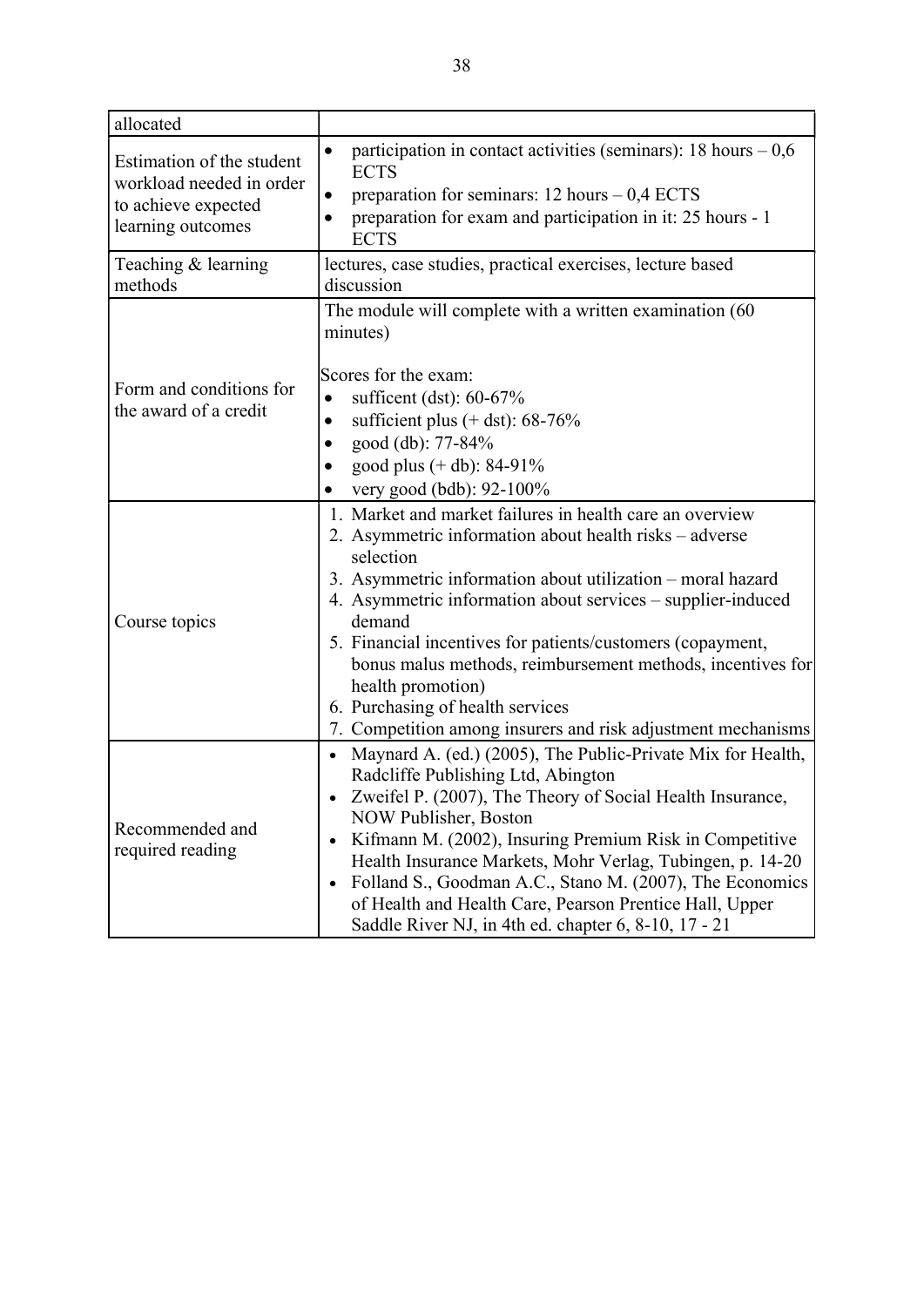| allocated                                                                                         |                                                                                                                                                                                                                                                                                                                                                                                                                                                                                                                             |  |  |
|---------------------------------------------------------------------------------------------------|-----------------------------------------------------------------------------------------------------------------------------------------------------------------------------------------------------------------------------------------------------------------------------------------------------------------------------------------------------------------------------------------------------------------------------------------------------------------------------------------------------------------------------|--|--|
| Estimation of the student<br>workload needed in order<br>to achieve expected<br>learning outcomes | participation in contact activities (seminars): 18 hours $-0.6$<br>$\bullet$<br><b>ECTS</b><br>preparation for seminars: $12$ hours $-0.4$ ECTS<br>preparation for exam and participation in it: 25 hours - 1<br><b>ECTS</b>                                                                                                                                                                                                                                                                                                |  |  |
| Teaching & learning<br>methods                                                                    | lectures, case studies, practical exercises, lecture based<br>discussion                                                                                                                                                                                                                                                                                                                                                                                                                                                    |  |  |
|                                                                                                   | The module will complete with a written examination (60<br>minutes)<br>Scores for the exam:                                                                                                                                                                                                                                                                                                                                                                                                                                 |  |  |
| Form and conditions for<br>the award of a credit                                                  | sufficent (dst): $60-67\%$<br>$\bullet$<br>sufficient plus $(+$ dst): 68-76%                                                                                                                                                                                                                                                                                                                                                                                                                                                |  |  |
|                                                                                                   | good (db): 77-84%<br>good plus (+ db): 84-91%<br>very good (bdb): 92-100%                                                                                                                                                                                                                                                                                                                                                                                                                                                   |  |  |
| Course topics                                                                                     | 1. Market and market failures in health care an overview<br>2. Asymmetric information about health risks – adverse<br>selection<br>3. Asymmetric information about utilization – moral hazard<br>4. Asymmetric information about services - supplier-induced<br>demand<br>5. Financial incentives for patients/customers (copayment,<br>bonus malus methods, reimbursement methods, incentives for<br>health promotion)<br>6. Purchasing of health services<br>7. Competition among insurers and risk adjustment mechanisms |  |  |
| Recommended and<br>required reading                                                               | Maynard A. (ed.) (2005), The Public-Private Mix for Health,<br>Radcliffe Publishing Ltd, Abington<br>Zweifel P. (2007), The Theory of Social Health Insurance,<br><b>NOW Publisher, Boston</b><br>Kifmann M. (2002), Insuring Premium Risk in Competitive<br>Health Insurance Markets, Mohr Verlag, Tubingen, p. 14-20<br>Folland S., Goodman A.C., Stano M. (2007), The Economics<br>of Health and Health Care, Pearson Prentice Hall, Upper<br>Saddle River NJ, in 4th ed. chapter 6, 8-10, 17 - 21                       |  |  |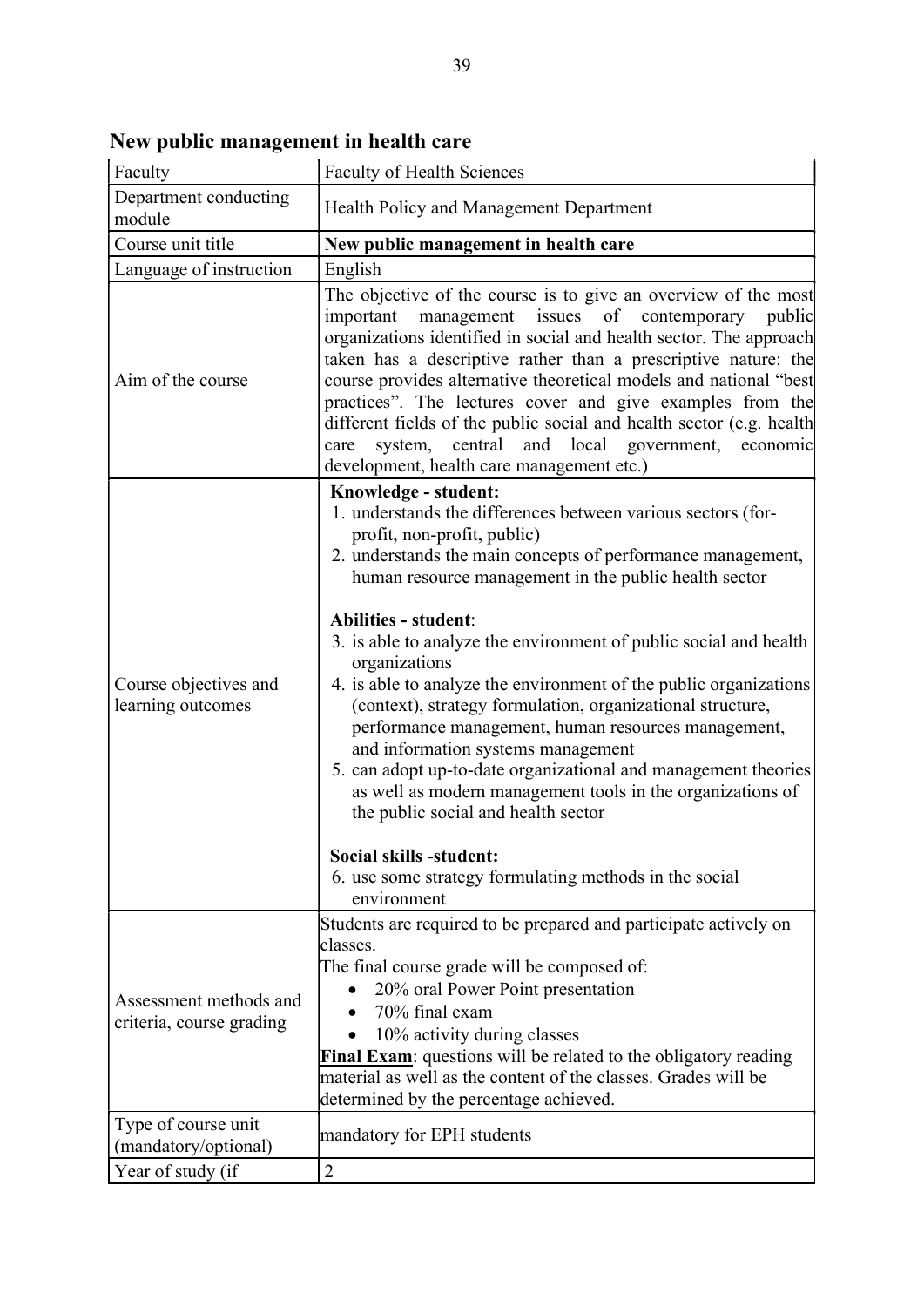| Faculty                                            | <b>Faculty of Health Sciences</b>                                                                                                                                                                                                                                                                                                                                                                                                                                                                                                                                                                                                                                                                                                                                                                                                                   |
|----------------------------------------------------|-----------------------------------------------------------------------------------------------------------------------------------------------------------------------------------------------------------------------------------------------------------------------------------------------------------------------------------------------------------------------------------------------------------------------------------------------------------------------------------------------------------------------------------------------------------------------------------------------------------------------------------------------------------------------------------------------------------------------------------------------------------------------------------------------------------------------------------------------------|
| Department conducting<br>module                    | Health Policy and Management Department                                                                                                                                                                                                                                                                                                                                                                                                                                                                                                                                                                                                                                                                                                                                                                                                             |
| Course unit title                                  | New public management in health care                                                                                                                                                                                                                                                                                                                                                                                                                                                                                                                                                                                                                                                                                                                                                                                                                |
| Language of instruction                            | English                                                                                                                                                                                                                                                                                                                                                                                                                                                                                                                                                                                                                                                                                                                                                                                                                                             |
| Aim of the course                                  | The objective of the course is to give an overview of the most<br>management issues of<br>contemporary<br>important<br>public<br>organizations identified in social and health sector. The approach<br>taken has a descriptive rather than a prescriptive nature: the<br>course provides alternative theoretical models and national "best<br>practices". The lectures cover and give examples from the<br>different fields of the public social and health sector (e.g. health<br>local<br>central<br>and<br>government,<br>care<br>system,<br>economic<br>development, health care management etc.)                                                                                                                                                                                                                                               |
|                                                    | Knowledge - student:                                                                                                                                                                                                                                                                                                                                                                                                                                                                                                                                                                                                                                                                                                                                                                                                                                |
| Course objectives and<br>learning outcomes         | 1. understands the differences between various sectors (for-<br>profit, non-profit, public)<br>2. understands the main concepts of performance management,<br>human resource management in the public health sector<br><b>Abilities - student:</b><br>3. is able to analyze the environment of public social and health<br>organizations<br>4. is able to analyze the environment of the public organizations<br>(context), strategy formulation, organizational structure,<br>performance management, human resources management,<br>and information systems management<br>5. can adopt up-to-date organizational and management theories<br>as well as modern management tools in the organizations of<br>the public social and health sector<br>Social skills -student:<br>6. use some strategy formulating methods in the social<br>environment |
| Assessment methods and<br>criteria, course grading | Students are required to be prepared and participate actively on<br>classes.<br>The final course grade will be composed of:<br>20% oral Power Point presentation<br>70% final exam<br>10% activity during classes<br><b>Final Exam:</b> questions will be related to the obligatory reading<br>material as well as the content of the classes. Grades will be<br>determined by the percentage achieved.                                                                                                                                                                                                                                                                                                                                                                                                                                             |
| Type of course unit                                | mandatory for EPH students                                                                                                                                                                                                                                                                                                                                                                                                                                                                                                                                                                                                                                                                                                                                                                                                                          |
| (mandatory/optional)<br>Year of study (if          | $\overline{2}$                                                                                                                                                                                                                                                                                                                                                                                                                                                                                                                                                                                                                                                                                                                                                                                                                                      |
|                                                    |                                                                                                                                                                                                                                                                                                                                                                                                                                                                                                                                                                                                                                                                                                                                                                                                                                                     |

New public management in health care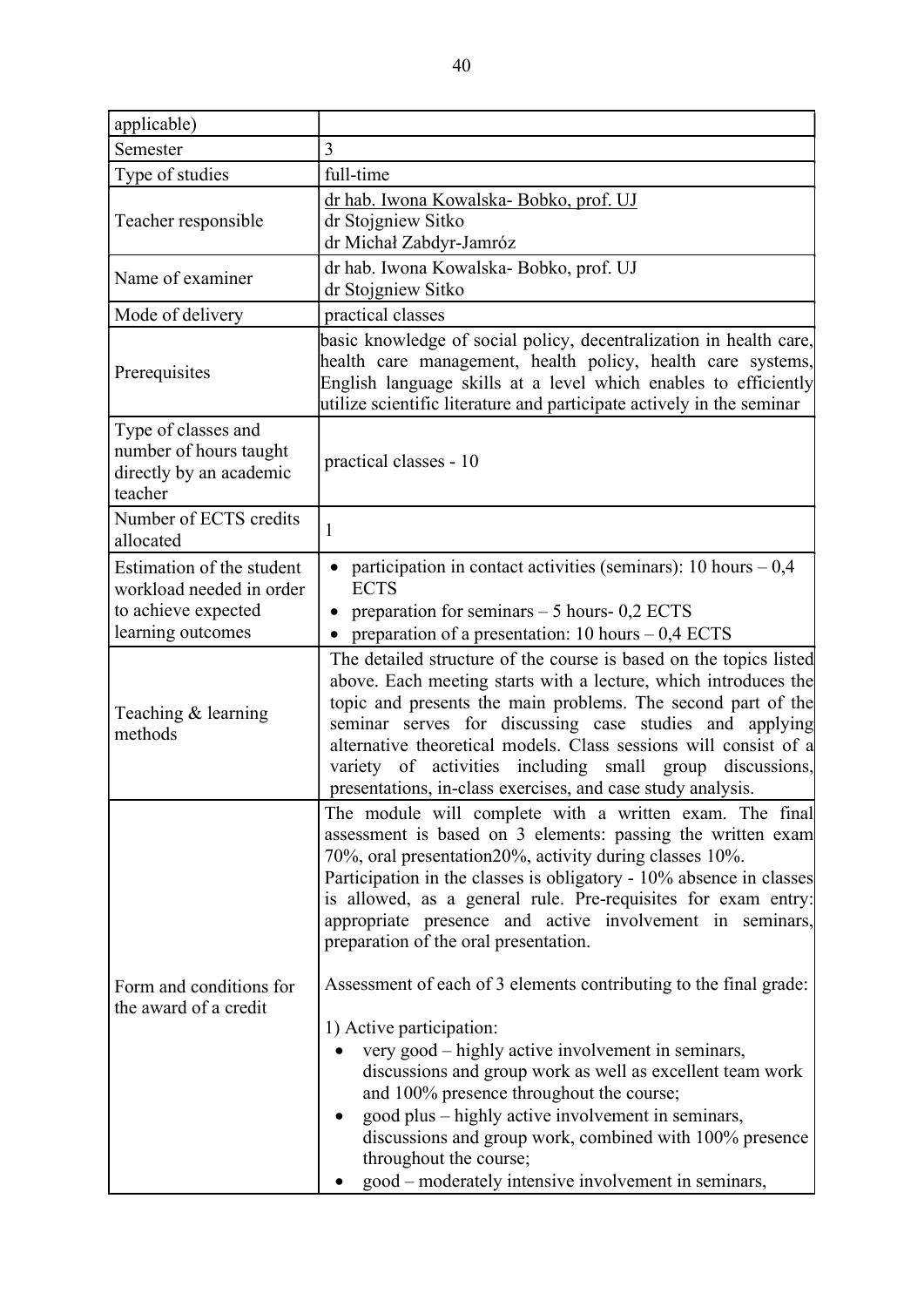| applicable)                                                                                       |                                                                                                                                                                                                                                                                                                                                                                                                                                                                                                                                                                                                                                                                                                                                                                                                                                                                                                   |
|---------------------------------------------------------------------------------------------------|---------------------------------------------------------------------------------------------------------------------------------------------------------------------------------------------------------------------------------------------------------------------------------------------------------------------------------------------------------------------------------------------------------------------------------------------------------------------------------------------------------------------------------------------------------------------------------------------------------------------------------------------------------------------------------------------------------------------------------------------------------------------------------------------------------------------------------------------------------------------------------------------------|
| Semester                                                                                          | 3                                                                                                                                                                                                                                                                                                                                                                                                                                                                                                                                                                                                                                                                                                                                                                                                                                                                                                 |
| Type of studies                                                                                   | full-time                                                                                                                                                                                                                                                                                                                                                                                                                                                                                                                                                                                                                                                                                                                                                                                                                                                                                         |
| Teacher responsible                                                                               | dr hab. Iwona Kowalska-Bobko, prof. UJ<br>dr Stojgniew Sitko<br>dr Michał Zabdyr-Jamróz                                                                                                                                                                                                                                                                                                                                                                                                                                                                                                                                                                                                                                                                                                                                                                                                           |
| Name of examiner                                                                                  | dr hab. Iwona Kowalska-Bobko, prof. UJ<br>dr Stojgniew Sitko                                                                                                                                                                                                                                                                                                                                                                                                                                                                                                                                                                                                                                                                                                                                                                                                                                      |
| Mode of delivery                                                                                  | practical classes                                                                                                                                                                                                                                                                                                                                                                                                                                                                                                                                                                                                                                                                                                                                                                                                                                                                                 |
| Prerequisites                                                                                     | basic knowledge of social policy, decentralization in health care,<br>health care management, health policy, health care systems,<br>English language skills at a level which enables to efficiently<br>utilize scientific literature and participate actively in the seminar                                                                                                                                                                                                                                                                                                                                                                                                                                                                                                                                                                                                                     |
| Type of classes and<br>number of hours taught<br>directly by an academic<br>teacher               | practical classes - 10                                                                                                                                                                                                                                                                                                                                                                                                                                                                                                                                                                                                                                                                                                                                                                                                                                                                            |
| Number of ECTS credits<br>allocated                                                               | $\mathbf{1}$                                                                                                                                                                                                                                                                                                                                                                                                                                                                                                                                                                                                                                                                                                                                                                                                                                                                                      |
| Estimation of the student<br>workload needed in order<br>to achieve expected<br>learning outcomes | participation in contact activities (seminars): 10 hours $-0.4$<br><b>ECTS</b><br>preparation for seminars $-5$ hours- 0,2 ECTS<br>preparation of a presentation: $10 \text{ hours} - 0.4 \text{ ECTS}$                                                                                                                                                                                                                                                                                                                                                                                                                                                                                                                                                                                                                                                                                           |
| Teaching & learning<br>methods                                                                    | The detailed structure of the course is based on the topics listed<br>above. Each meeting starts with a lecture, which introduces the<br>topic and presents the main problems. The second part of the<br>seminar serves for discussing case studies and applying<br>alternative theoretical models. Class sessions will consist of a<br>variety of activities including small group discussions,<br>presentations, in-class exercises, and case study analysis.                                                                                                                                                                                                                                                                                                                                                                                                                                   |
| Form and conditions for<br>the award of a credit                                                  | The module will complete with a written exam. The final<br>assessment is based on 3 elements: passing the written exam<br>70%, oral presentation20%, activity during classes 10%.<br>Participation in the classes is obligatory - 10% absence in classes<br>is allowed, as a general rule. Pre-requisites for exam entry:<br>appropriate presence and active involvement in seminars,<br>preparation of the oral presentation.<br>Assessment of each of 3 elements contributing to the final grade:<br>1) Active participation:<br>very good – highly active involvement in seminars,<br>discussions and group work as well as excellent team work<br>and 100% presence throughout the course;<br>good plus – highly active involvement in seminars,<br>discussions and group work, combined with 100% presence<br>throughout the course;<br>good – moderately intensive involvement in seminars, |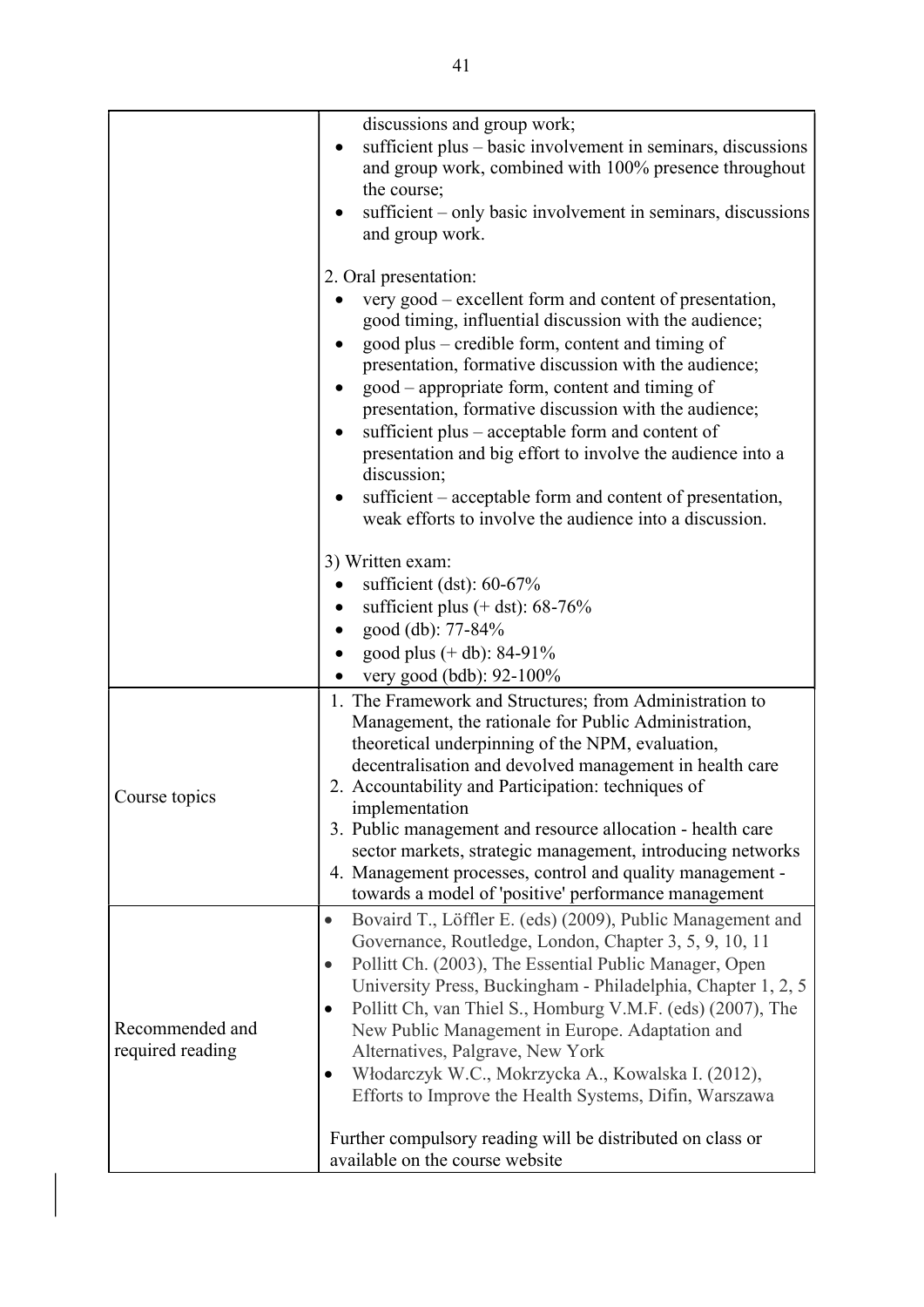|                                     | discussions and group work;<br>sufficient plus – basic involvement in seminars, discussions<br>and group work, combined with 100% presence throughout<br>the course;<br>sufficient – only basic involvement in seminars, discussions<br>and group work.                                                                                                                                                                                                                                                                                                                                                                                                                  |
|-------------------------------------|--------------------------------------------------------------------------------------------------------------------------------------------------------------------------------------------------------------------------------------------------------------------------------------------------------------------------------------------------------------------------------------------------------------------------------------------------------------------------------------------------------------------------------------------------------------------------------------------------------------------------------------------------------------------------|
|                                     | 2. Oral presentation:<br>very good – excellent form and content of presentation,<br>good timing, influential discussion with the audience;<br>good plus – credible form, content and timing of<br>presentation, formative discussion with the audience;<br>good – appropriate form, content and timing of<br>presentation, formative discussion with the audience;<br>sufficient plus – acceptable form and content of<br>presentation and big effort to involve the audience into a<br>discussion;<br>sufficient – acceptable form and content of presentation,<br>weak efforts to involve the audience into a discussion.                                              |
|                                     | 3) Written exam:<br>sufficient (dst): $60-67\%$<br>sufficient plus $(+$ dst): 68-76%<br>good (db): 77-84%<br>good plus $(+$ db): 84-91%<br>very good (bdb): 92-100%                                                                                                                                                                                                                                                                                                                                                                                                                                                                                                      |
| Course topics                       | 1. The Framework and Structures; from Administration to<br>Management, the rationale for Public Administration,<br>theoretical underpinning of the NPM, evaluation,<br>decentralisation and devolved management in health care<br>2. Accountability and Participation: techniques of<br>implementation<br>3. Public management and resource allocation - health care<br>sector markets, strategic management, introducing networks<br>4. Management processes, control and quality management -<br>towards a model of 'positive' performance management                                                                                                                  |
| Recommended and<br>required reading | Bovaird T., Löffler E. (eds) (2009), Public Management and<br>$\bullet$<br>Governance, Routledge, London, Chapter 3, 5, 9, 10, 11<br>Pollitt Ch. (2003), The Essential Public Manager, Open<br>$\bullet$<br>University Press, Buckingham - Philadelphia, Chapter 1, 2, 5<br>Pollitt Ch, van Thiel S., Homburg V.M.F. (eds) (2007), The<br>$\bullet$<br>New Public Management in Europe. Adaptation and<br>Alternatives, Palgrave, New York<br>Włodarczyk W.C., Mokrzycka A., Kowalska I. (2012),<br>$\bullet$<br>Efforts to Improve the Health Systems, Difin, Warszawa<br>Further compulsory reading will be distributed on class or<br>available on the course website |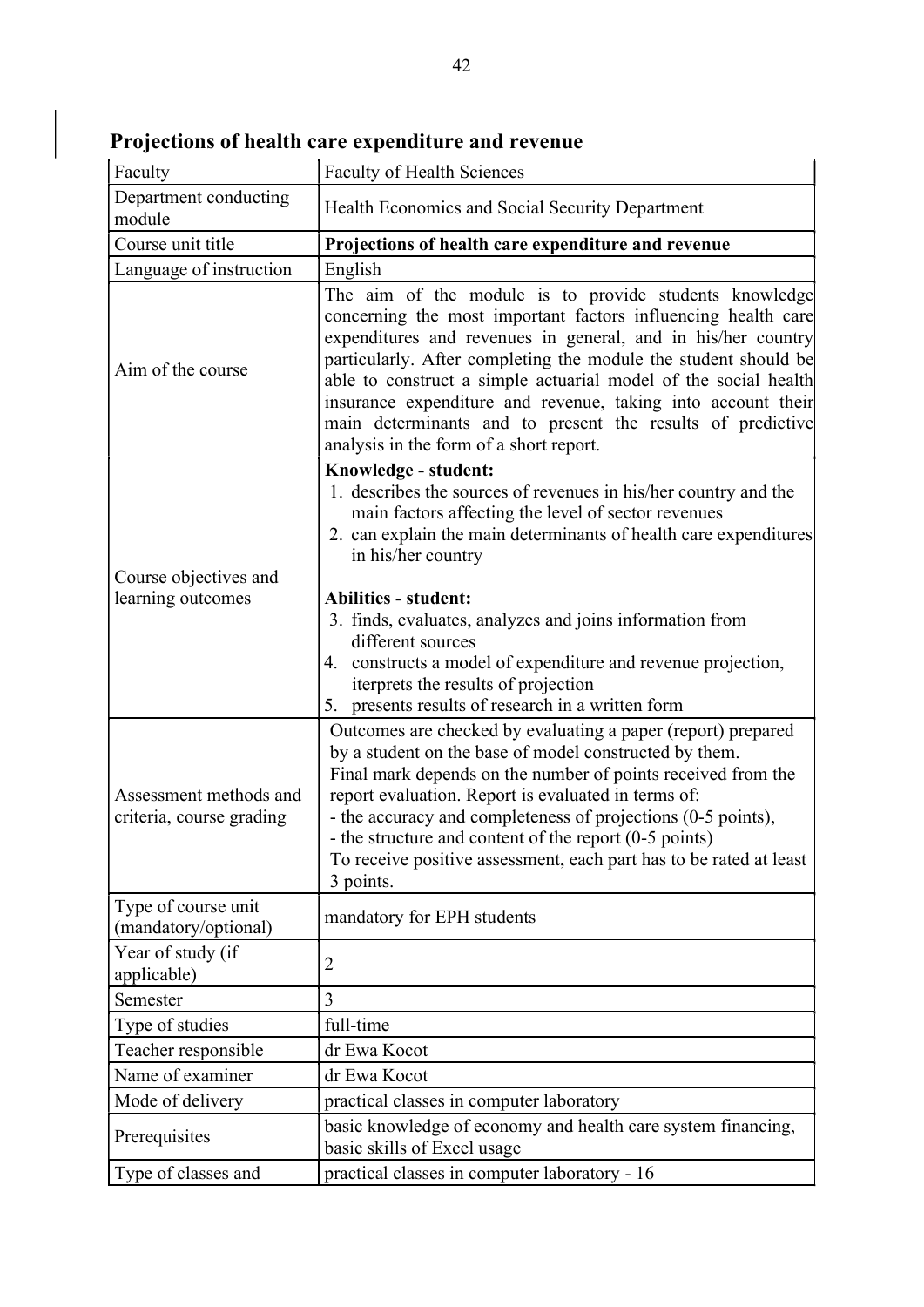| Faculty                                            | <b>Faculty of Health Sciences</b>                                                                                                                                                                                                                                                                                                                                                                                                                                                                                    |
|----------------------------------------------------|----------------------------------------------------------------------------------------------------------------------------------------------------------------------------------------------------------------------------------------------------------------------------------------------------------------------------------------------------------------------------------------------------------------------------------------------------------------------------------------------------------------------|
| Department conducting<br>module                    | Health Economics and Social Security Department                                                                                                                                                                                                                                                                                                                                                                                                                                                                      |
| Course unit title                                  | Projections of health care expenditure and revenue                                                                                                                                                                                                                                                                                                                                                                                                                                                                   |
| Language of instruction                            | English                                                                                                                                                                                                                                                                                                                                                                                                                                                                                                              |
| Aim of the course                                  | The aim of the module is to provide students knowledge<br>concerning the most important factors influencing health care<br>expenditures and revenues in general, and in his/her country<br>particularly. After completing the module the student should be<br>able to construct a simple actuarial model of the social health<br>insurance expenditure and revenue, taking into account their<br>main determinants and to present the results of predictive<br>analysis in the form of a short report.               |
| Course objectives and<br>learning outcomes         | Knowledge - student:<br>1. describes the sources of revenues in his/her country and the<br>main factors affecting the level of sector revenues<br>2. can explain the main determinants of health care expenditures<br>in his/her country<br><b>Abilities - student:</b><br>3. finds, evaluates, analyzes and joins information from<br>different sources<br>4. constructs a model of expenditure and revenue projection,<br>iterprets the results of projection<br>5. presents results of research in a written form |
| Assessment methods and<br>criteria, course grading | Outcomes are checked by evaluating a paper (report) prepared<br>by a student on the base of model constructed by them.<br>Final mark depends on the number of points received from the<br>report evaluation. Report is evaluated in terms of:<br>- the accuracy and completeness of projections (0-5 points),<br>- the structure and content of the report (0-5 points)<br>To receive positive assessment, each part has to be rated at least<br>3 points.                                                           |
| Type of course unit<br>(mandatory/optional)        | mandatory for EPH students                                                                                                                                                                                                                                                                                                                                                                                                                                                                                           |
| Year of study (if<br>applicable)                   | 2                                                                                                                                                                                                                                                                                                                                                                                                                                                                                                                    |
| Semester                                           | 3                                                                                                                                                                                                                                                                                                                                                                                                                                                                                                                    |
| Type of studies                                    | full-time                                                                                                                                                                                                                                                                                                                                                                                                                                                                                                            |
| Teacher responsible                                | dr Ewa Kocot                                                                                                                                                                                                                                                                                                                                                                                                                                                                                                         |
| Name of examiner                                   | dr Ewa Kocot                                                                                                                                                                                                                                                                                                                                                                                                                                                                                                         |
| Mode of delivery                                   | practical classes in computer laboratory                                                                                                                                                                                                                                                                                                                                                                                                                                                                             |
| Prerequisites                                      | basic knowledge of economy and health care system financing,<br>basic skills of Excel usage                                                                                                                                                                                                                                                                                                                                                                                                                          |
| Type of classes and                                | practical classes in computer laboratory - 16                                                                                                                                                                                                                                                                                                                                                                                                                                                                        |

Projections of health care expenditure and revenue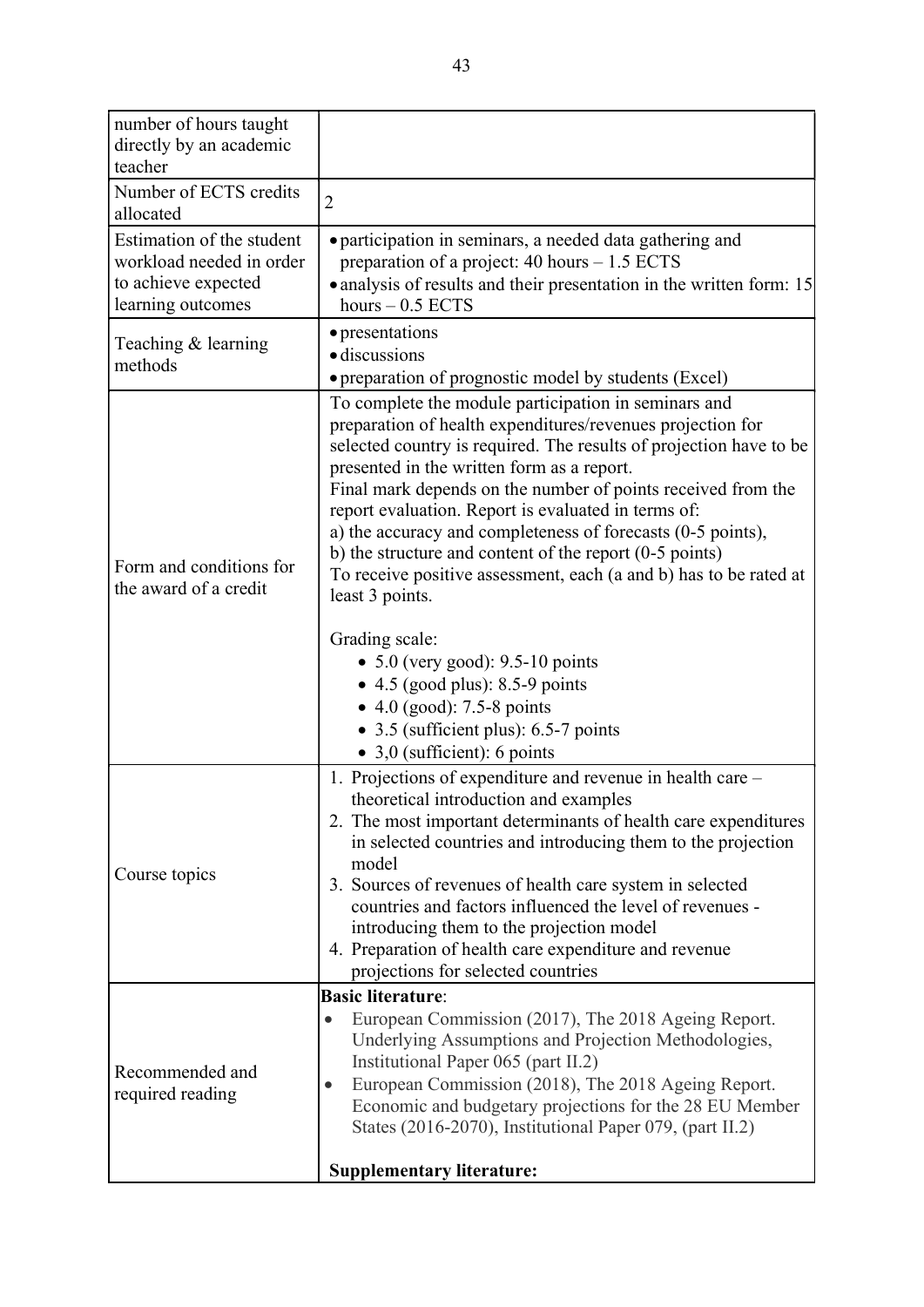| number of hours taught<br>directly by an academic<br>teacher                                      |                                                                                                                                                                                                                                                                                                                                                                                                                                                                                                                                                                                                                                                                                                                                                                                                             |
|---------------------------------------------------------------------------------------------------|-------------------------------------------------------------------------------------------------------------------------------------------------------------------------------------------------------------------------------------------------------------------------------------------------------------------------------------------------------------------------------------------------------------------------------------------------------------------------------------------------------------------------------------------------------------------------------------------------------------------------------------------------------------------------------------------------------------------------------------------------------------------------------------------------------------|
| Number of ECTS credits<br>allocated                                                               | $\overline{2}$                                                                                                                                                                                                                                                                                                                                                                                                                                                                                                                                                                                                                                                                                                                                                                                              |
| Estimation of the student<br>workload needed in order<br>to achieve expected<br>learning outcomes | • participation in seminars, a needed data gathering and<br>preparation of a project: $40$ hours $-1.5$ ECTS<br>• analysis of results and their presentation in the written form: 15<br>hours $-0.5$ ECTS                                                                                                                                                                                                                                                                                                                                                                                                                                                                                                                                                                                                   |
| Teaching & learning<br>methods                                                                    | • presentations<br>· discussions<br>• preparation of prognostic model by students (Excel)                                                                                                                                                                                                                                                                                                                                                                                                                                                                                                                                                                                                                                                                                                                   |
| Form and conditions for<br>the award of a credit                                                  | To complete the module participation in seminars and<br>preparation of health expenditures/revenues projection for<br>selected country is required. The results of projection have to be<br>presented in the written form as a report.<br>Final mark depends on the number of points received from the<br>report evaluation. Report is evaluated in terms of:<br>a) the accuracy and completeness of forecasts (0-5 points),<br>b) the structure and content of the report $(0-5 \text{ points})$<br>To receive positive assessment, each (a and b) has to be rated at<br>least 3 points.<br>Grading scale:<br>• $5.0$ (very good): 9.5-10 points<br>$\bullet$ 4.5 (good plus): 8.5-9 points<br>• 4.0 (good): $7.5 - 8$ points<br>• 3.5 (sufficient plus): $6.5\n-7$ points<br>• 3,0 (sufficient): 6 points |
| Course topics                                                                                     | 1. Projections of expenditure and revenue in health care -<br>theoretical introduction and examples<br>2. The most important determinants of health care expenditures<br>in selected countries and introducing them to the projection<br>model<br>3. Sources of revenues of health care system in selected<br>countries and factors influenced the level of revenues -<br>introducing them to the projection model<br>4. Preparation of health care expenditure and revenue<br>projections for selected countries                                                                                                                                                                                                                                                                                           |
| Recommended and<br>required reading                                                               | <b>Basic literature:</b><br>European Commission (2017), The 2018 Ageing Report.<br>Underlying Assumptions and Projection Methodologies,<br>Institutional Paper 065 (part II.2)<br>European Commission (2018), The 2018 Ageing Report.<br>Economic and budgetary projections for the 28 EU Member<br>States (2016-2070), Institutional Paper 079, (part II.2)<br><b>Supplementary literature:</b>                                                                                                                                                                                                                                                                                                                                                                                                            |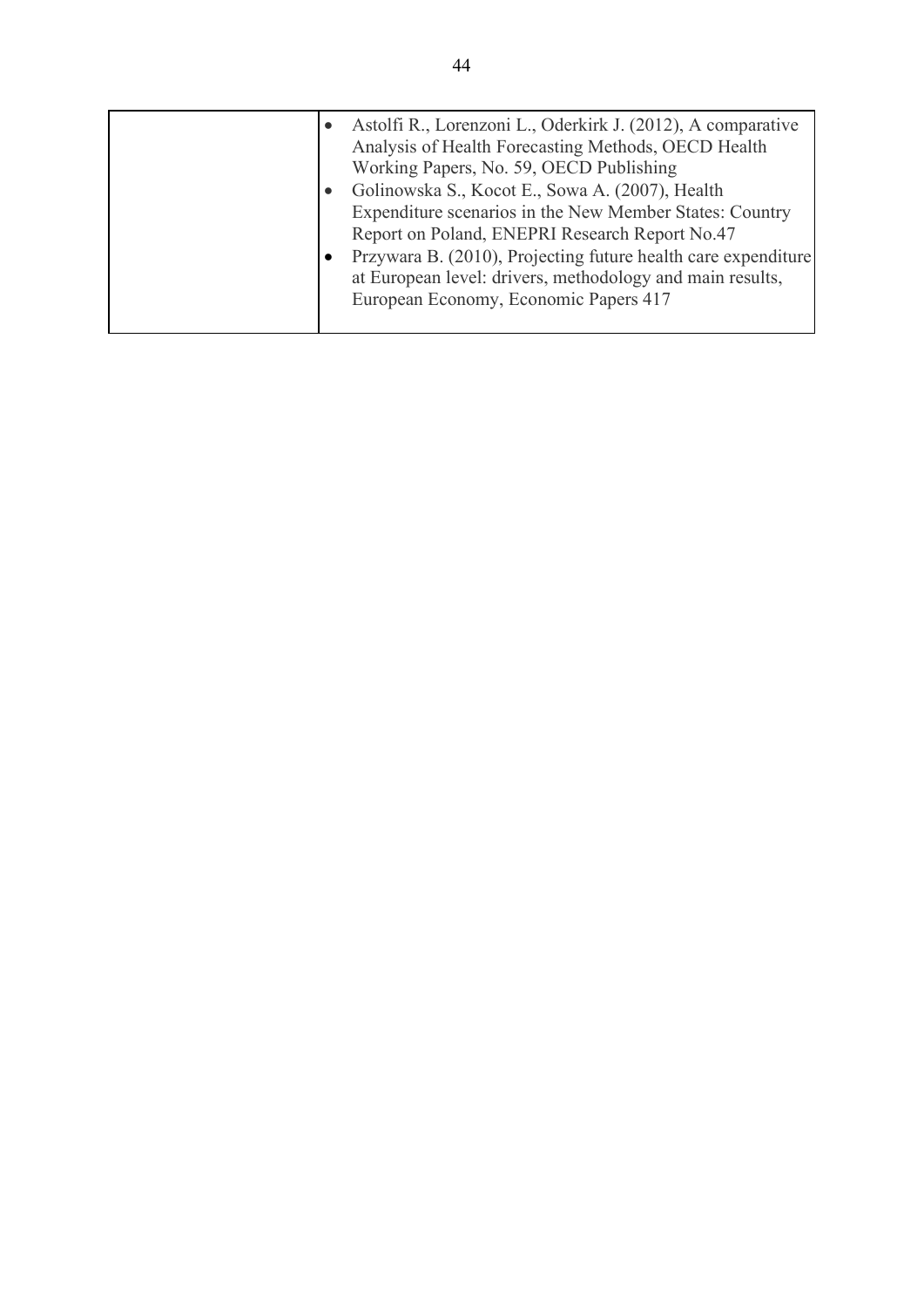|  | Astolfi R., Lorenzoni L., Oderkirk J. (2012), A comparative<br>Analysis of Health Forecasting Methods, OECD Health<br>Working Papers, No. 59, OECD Publishing |
|--|---------------------------------------------------------------------------------------------------------------------------------------------------------------|
|  |                                                                                                                                                               |
|  | Golinowska S., Kocot E., Sowa A. (2007), Health                                                                                                               |
|  | Expenditure scenarios in the New Member States: Country                                                                                                       |
|  | Report on Poland, ENEPRI Research Report No.47                                                                                                                |
|  | Przywara B. (2010), Projecting future health care expenditure<br>at European level: drivers, methodology and main results,                                    |
|  | European Economy, Economic Papers 417                                                                                                                         |
|  |                                                                                                                                                               |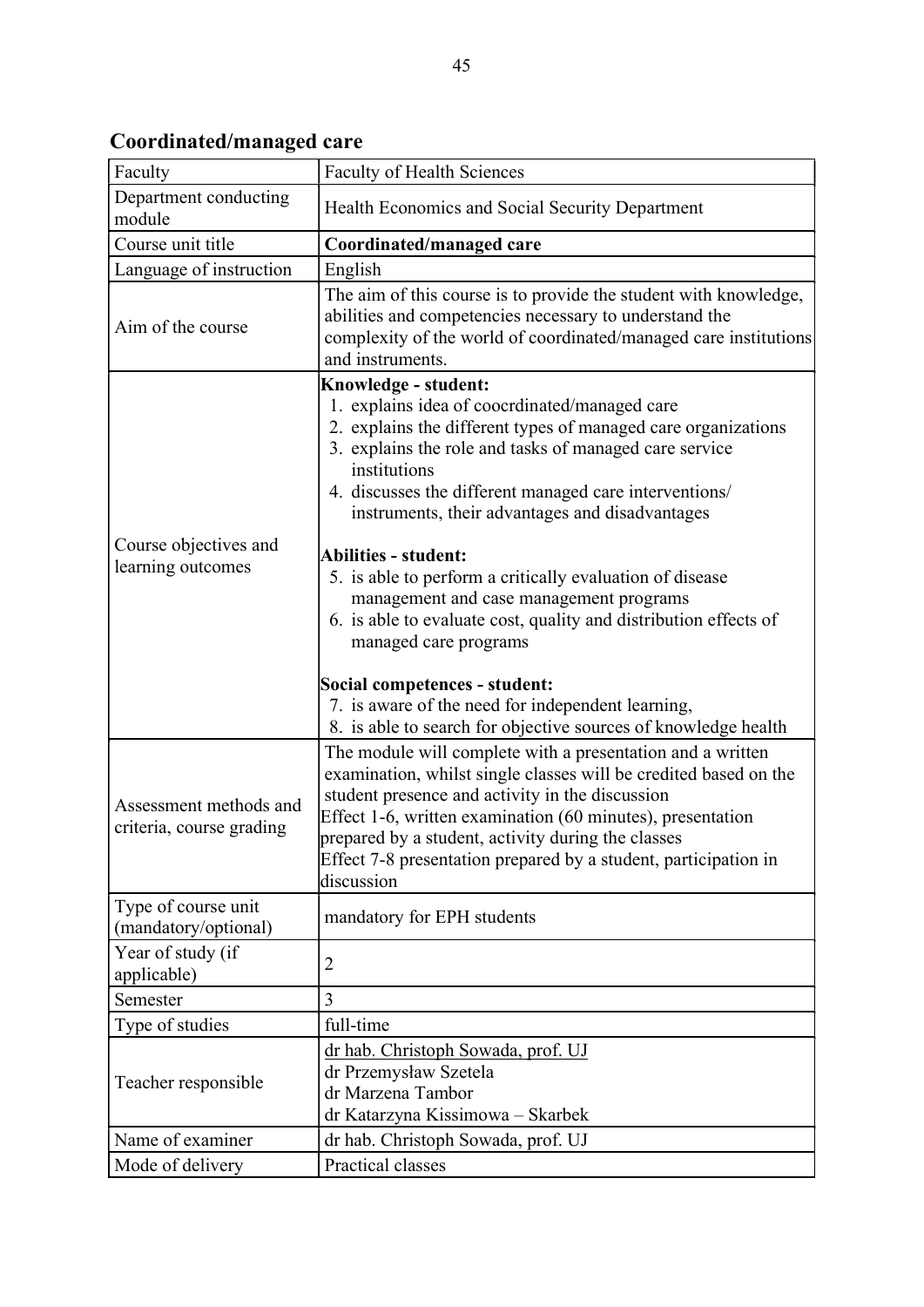Coordinated/managed care

| Faculty                                            | <b>Faculty of Health Sciences</b>                                                                                                                                                                                                                                                                                                                                                                                                                                                                                                                                                                 |
|----------------------------------------------------|---------------------------------------------------------------------------------------------------------------------------------------------------------------------------------------------------------------------------------------------------------------------------------------------------------------------------------------------------------------------------------------------------------------------------------------------------------------------------------------------------------------------------------------------------------------------------------------------------|
| Department conducting<br>module                    | Health Economics and Social Security Department                                                                                                                                                                                                                                                                                                                                                                                                                                                                                                                                                   |
| Course unit title                                  | Coordinated/managed care                                                                                                                                                                                                                                                                                                                                                                                                                                                                                                                                                                          |
| Language of instruction                            | English                                                                                                                                                                                                                                                                                                                                                                                                                                                                                                                                                                                           |
| Aim of the course                                  | The aim of this course is to provide the student with knowledge,<br>abilities and competencies necessary to understand the<br>complexity of the world of coordinated/managed care institutions<br>and instruments.                                                                                                                                                                                                                                                                                                                                                                                |
| Course objectives and<br>learning outcomes         | Knowledge - student:<br>1. explains idea of coocrdinated/managed care<br>2. explains the different types of managed care organizations<br>3. explains the role and tasks of managed care service<br>institutions<br>4. discusses the different managed care interventions/<br>instruments, their advantages and disadvantages<br><b>Abilities - student:</b><br>5. is able to perform a critically evaluation of disease<br>management and case management programs<br>6. is able to evaluate cost, quality and distribution effects of<br>managed care programs<br>Social competences - student: |
|                                                    | 7. is aware of the need for independent learning,                                                                                                                                                                                                                                                                                                                                                                                                                                                                                                                                                 |
| Assessment methods and<br>criteria, course grading | 8. is able to search for objective sources of knowledge health<br>The module will complete with a presentation and a written<br>examination, whilst single classes will be credited based on the<br>student presence and activity in the discussion<br>Effect 1-6, written examination (60 minutes), presentation<br>prepared by a student, activity during the classes<br>Effect 7-8 presentation prepared by a student, participation in<br>discussion                                                                                                                                          |
| Type of course unit<br>(mandatory/optional)        | mandatory for EPH students                                                                                                                                                                                                                                                                                                                                                                                                                                                                                                                                                                        |
| Year of study (if<br>applicable)                   | $\overline{2}$                                                                                                                                                                                                                                                                                                                                                                                                                                                                                                                                                                                    |
| Semester                                           | 3                                                                                                                                                                                                                                                                                                                                                                                                                                                                                                                                                                                                 |
| Type of studies                                    | full-time                                                                                                                                                                                                                                                                                                                                                                                                                                                                                                                                                                                         |
| Teacher responsible                                | dr hab. Christoph Sowada, prof. UJ<br>dr Przemysław Szetela<br>dr Marzena Tambor<br>dr Katarzyna Kissimowa - Skarbek                                                                                                                                                                                                                                                                                                                                                                                                                                                                              |
| Name of examiner                                   | dr hab. Christoph Sowada, prof. UJ                                                                                                                                                                                                                                                                                                                                                                                                                                                                                                                                                                |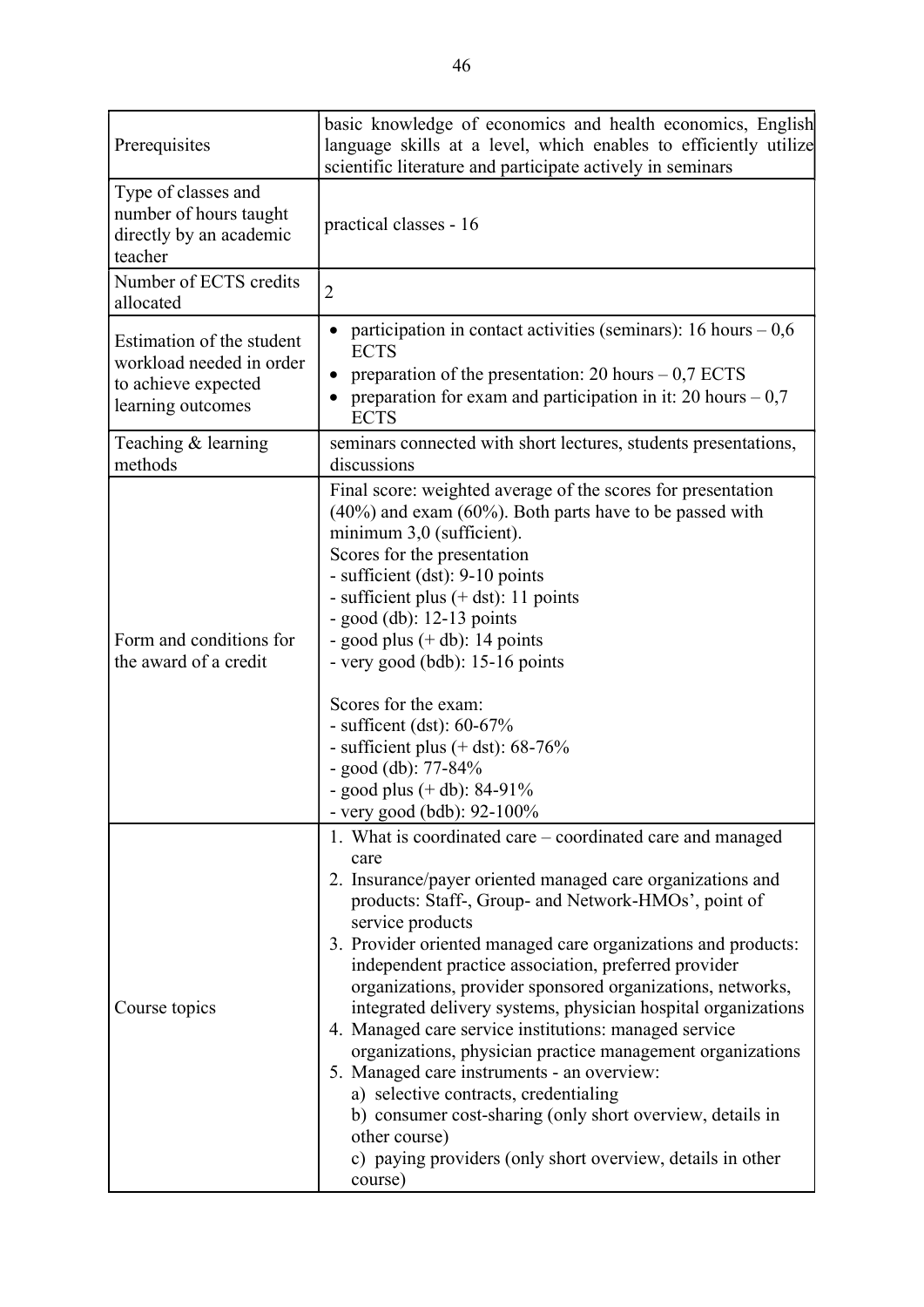| Prerequisites                                                                                     | basic knowledge of economics and health economics, English<br>language skills at a level, which enables to efficiently utilize<br>scientific literature and participate actively in seminars                                                                                                                                                                                                                                                                                                                                                                                                                                                                                                                                                                                                                                              |
|---------------------------------------------------------------------------------------------------|-------------------------------------------------------------------------------------------------------------------------------------------------------------------------------------------------------------------------------------------------------------------------------------------------------------------------------------------------------------------------------------------------------------------------------------------------------------------------------------------------------------------------------------------------------------------------------------------------------------------------------------------------------------------------------------------------------------------------------------------------------------------------------------------------------------------------------------------|
| Type of classes and<br>number of hours taught<br>directly by an academic<br>teacher               | practical classes - 16                                                                                                                                                                                                                                                                                                                                                                                                                                                                                                                                                                                                                                                                                                                                                                                                                    |
| Number of ECTS credits<br>allocated                                                               | $\overline{2}$                                                                                                                                                                                                                                                                                                                                                                                                                                                                                                                                                                                                                                                                                                                                                                                                                            |
| Estimation of the student<br>workload needed in order<br>to achieve expected<br>learning outcomes | participation in contact activities (seminars): 16 hours $-0.6$<br><b>ECTS</b><br>preparation of the presentation: 20 hours $-0.7$ ECTS<br>preparation for exam and participation in it: 20 hours $-0.7$<br><b>ECTS</b>                                                                                                                                                                                                                                                                                                                                                                                                                                                                                                                                                                                                                   |
| Teaching & learning<br>methods                                                                    | seminars connected with short lectures, students presentations,<br>discussions                                                                                                                                                                                                                                                                                                                                                                                                                                                                                                                                                                                                                                                                                                                                                            |
| Form and conditions for<br>the award of a credit                                                  | Final score: weighted average of the scores for presentation<br>$(40\%)$ and exam $(60\%)$ . Both parts have to be passed with<br>minimum 3,0 (sufficient).<br>Scores for the presentation<br>- sufficient (dst): 9-10 points<br>- sufficient plus $(+$ dst): 11 points<br>- good $(db): 12-13$ points<br>- good plus $(+$ db): 14 points<br>- very good (bdb): 15-16 points<br>Scores for the exam:<br>- sufficent (dst): $60-67\%$<br>- sufficient plus $(+$ dst): 68-76%<br>- good (db): $77-84%$<br>- good plus $(+$ db): 84-91%<br>- very good (bdb): 92-100%                                                                                                                                                                                                                                                                        |
| Course topics                                                                                     | 1. What is coordinated care – coordinated care and managed<br>care<br>2. Insurance/payer oriented managed care organizations and<br>products: Staff-, Group- and Network-HMOs', point of<br>service products<br>3. Provider oriented managed care organizations and products:<br>independent practice association, preferred provider<br>organizations, provider sponsored organizations, networks,<br>integrated delivery systems, physician hospital organizations<br>4. Managed care service institutions: managed service<br>organizations, physician practice management organizations<br>5. Managed care instruments - an overview:<br>a) selective contracts, credentialing<br>b) consumer cost-sharing (only short overview, details in<br>other course)<br>c) paying providers (only short overview, details in other<br>course) |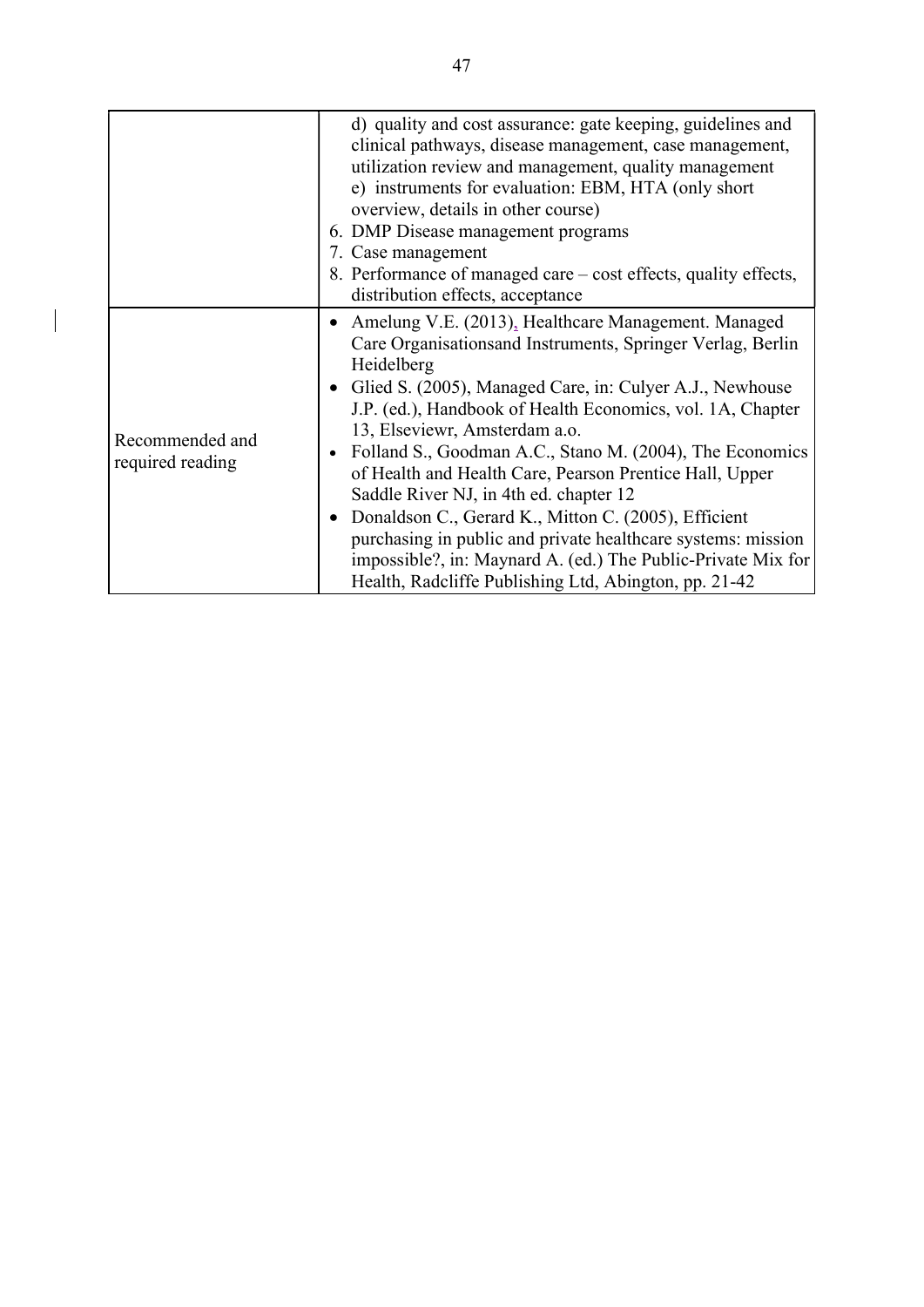|                                     | d) quality and cost assurance: gate keeping, guidelines and<br>clinical pathways, disease management, case management,<br>utilization review and management, quality management<br>e) instruments for evaluation: EBM, HTA (only short<br>overview, details in other course)<br>6. DMP Disease management programs<br>7. Case management<br>8. Performance of managed care – cost effects, quality effects,<br>distribution effects, acceptance                                                                                                                                                                                                                                                                |
|-------------------------------------|----------------------------------------------------------------------------------------------------------------------------------------------------------------------------------------------------------------------------------------------------------------------------------------------------------------------------------------------------------------------------------------------------------------------------------------------------------------------------------------------------------------------------------------------------------------------------------------------------------------------------------------------------------------------------------------------------------------|
| Recommended and<br>required reading | Amelung V.E. (2013), Healthcare Management. Managed<br>Care Organisationsand Instruments, Springer Verlag, Berlin<br>Heidelberg<br>• Glied S. (2005), Managed Care, in: Culyer A.J., Newhouse<br>J.P. (ed.), Handbook of Health Economics, vol. 1A, Chapter<br>13, Elseviewr, Amsterdam a.o.<br>Folland S., Goodman A.C., Stano M. (2004), The Economics<br>of Health and Health Care, Pearson Prentice Hall, Upper<br>Saddle River NJ, in 4th ed. chapter 12<br>Donaldson C., Gerard K., Mitton C. (2005), Efficient<br>purchasing in public and private healthcare systems: mission<br>impossible?, in: Maynard A. (ed.) The Public-Private Mix for<br>Health, Radcliffe Publishing Ltd, Abington, pp. 21-42 |

 $\overline{\phantom{a}}$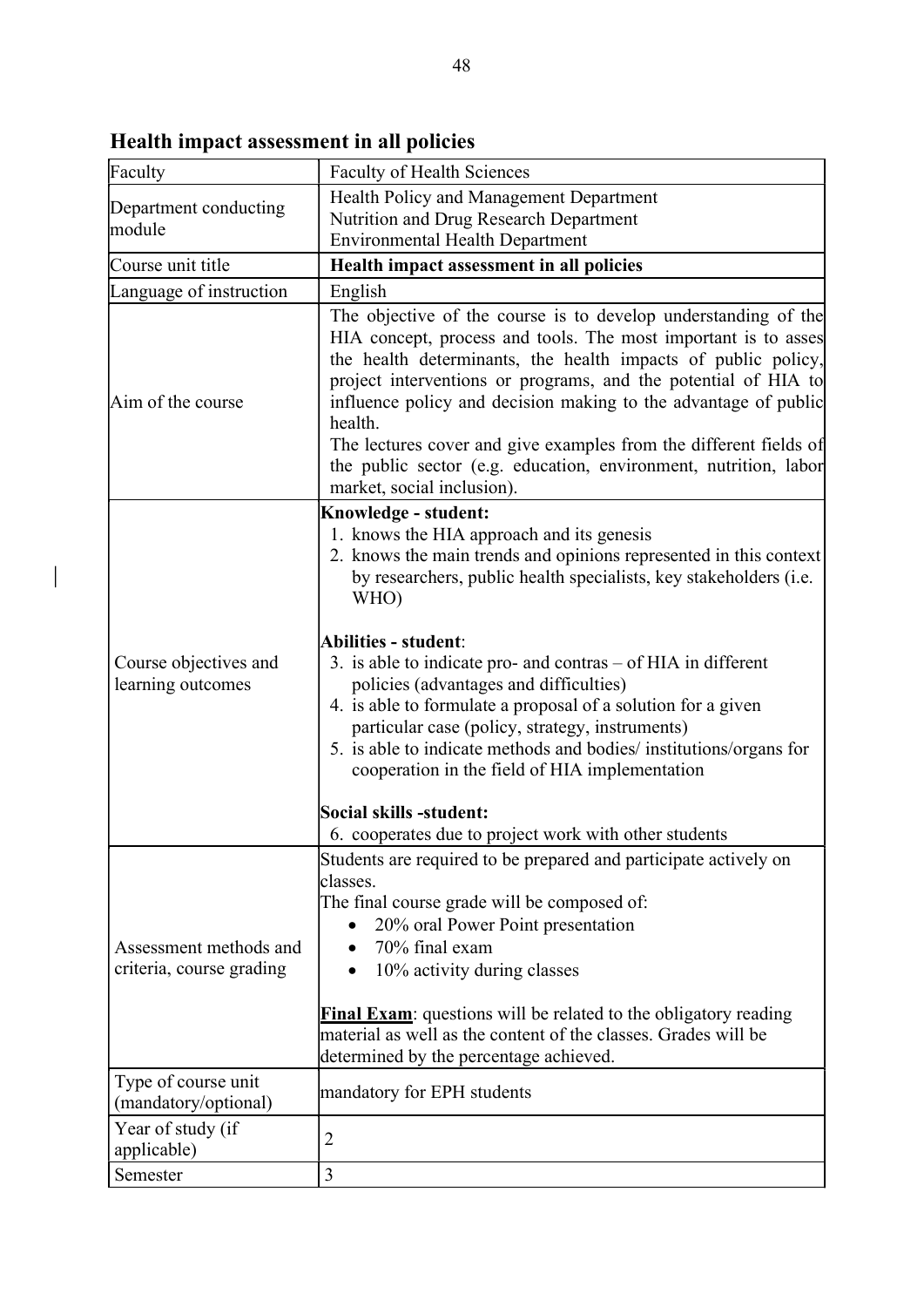| Faculty                                            | <b>Faculty of Health Sciences</b>                                                                                                                                                                                                                                                                                                                                                                                                                                                                                                                                                                                                                                                              |
|----------------------------------------------------|------------------------------------------------------------------------------------------------------------------------------------------------------------------------------------------------------------------------------------------------------------------------------------------------------------------------------------------------------------------------------------------------------------------------------------------------------------------------------------------------------------------------------------------------------------------------------------------------------------------------------------------------------------------------------------------------|
| Department conducting                              | Health Policy and Management Department                                                                                                                                                                                                                                                                                                                                                                                                                                                                                                                                                                                                                                                        |
| lmodule                                            | Nutrition and Drug Research Department<br><b>Environmental Health Department</b>                                                                                                                                                                                                                                                                                                                                                                                                                                                                                                                                                                                                               |
| Course unit title                                  | Health impact assessment in all policies                                                                                                                                                                                                                                                                                                                                                                                                                                                                                                                                                                                                                                                       |
| Language of instruction                            | English                                                                                                                                                                                                                                                                                                                                                                                                                                                                                                                                                                                                                                                                                        |
| Aim of the course                                  | The objective of the course is to develop understanding of the<br>HIA concept, process and tools. The most important is to asses<br>the health determinants, the health impacts of public policy,<br>project interventions or programs, and the potential of HIA to<br>influence policy and decision making to the advantage of public<br>health.<br>The lectures cover and give examples from the different fields of<br>the public sector (e.g. education, environment, nutrition, labor<br>market, social inclusion).                                                                                                                                                                       |
| Course objectives and<br>learning outcomes         | <b>Knowledge - student:</b><br>1. knows the HIA approach and its genesis<br>2. knows the main trends and opinions represented in this context<br>by researchers, public health specialists, key stakeholders (i.e.<br>WHO)<br>Abilities - student:<br>3. is able to indicate pro- and contras $-$ of HIA in different<br>policies (advantages and difficulties)<br>4. is able to formulate a proposal of a solution for a given<br>particular case (policy, strategy, instruments)<br>5. is able to indicate methods and bodies/ institutions/organs for<br>cooperation in the field of HIA implementation<br>Social skills -student:<br>6. cooperates due to project work with other students |
| Assessment methods and<br>criteria, course grading | Students are required to be prepared and participate actively on<br>lclasses.<br>The final course grade will be composed of:<br>20% oral Power Point presentation<br>70% final exam<br>10% activity during classes<br><b>Final Exam:</b> questions will be related to the obligatory reading<br>material as well as the content of the classes. Grades will be<br>determined by the percentage achieved.                                                                                                                                                                                                                                                                                       |
| Type of course unit<br>(mandatory/optional)        | mandatory for EPH students                                                                                                                                                                                                                                                                                                                                                                                                                                                                                                                                                                                                                                                                     |
| Year of study (if<br>applicable)                   | 2                                                                                                                                                                                                                                                                                                                                                                                                                                                                                                                                                                                                                                                                                              |
| Semester                                           | 3                                                                                                                                                                                                                                                                                                                                                                                                                                                                                                                                                                                                                                                                                              |

Health impact assessment in all policies

 $\begin{array}{c} \end{array}$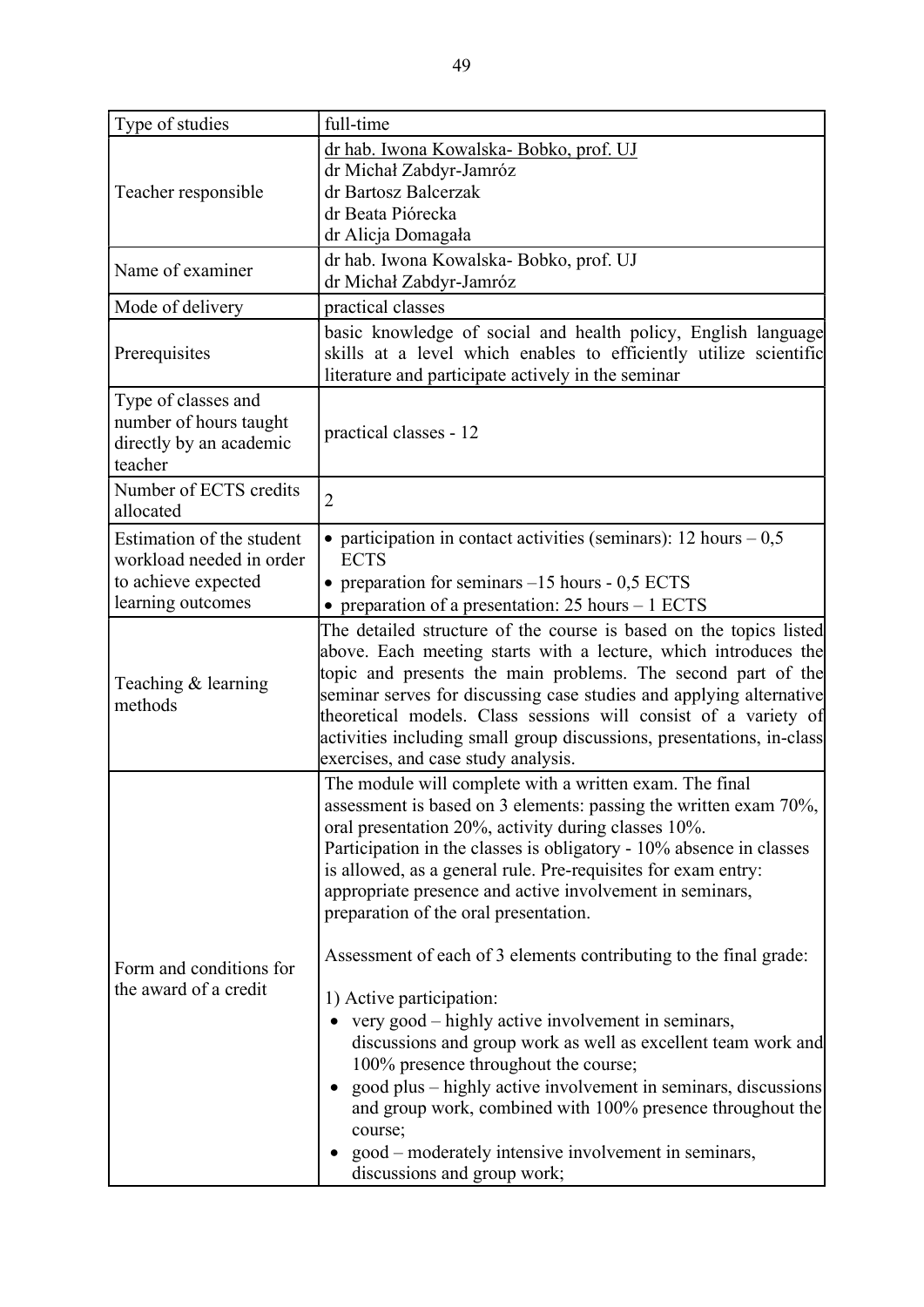| Type of studies                                                                                   | full-time                                                                                                                                                                                                                                                                                                                                                                                                                                                                                                                                                                                                                                                                                                                                                                                                                                                                                                                                      |
|---------------------------------------------------------------------------------------------------|------------------------------------------------------------------------------------------------------------------------------------------------------------------------------------------------------------------------------------------------------------------------------------------------------------------------------------------------------------------------------------------------------------------------------------------------------------------------------------------------------------------------------------------------------------------------------------------------------------------------------------------------------------------------------------------------------------------------------------------------------------------------------------------------------------------------------------------------------------------------------------------------------------------------------------------------|
| Teacher responsible                                                                               | dr hab. Iwona Kowalska- Bobko, prof. UJ<br>dr Michał Zabdyr-Jamróz<br>dr Bartosz Balcerzak<br>dr Beata Piórecka<br>dr Alicja Domagała                                                                                                                                                                                                                                                                                                                                                                                                                                                                                                                                                                                                                                                                                                                                                                                                          |
| Name of examiner                                                                                  | dr hab. Iwona Kowalska-Bobko, prof. UJ<br>dr Michał Zabdyr-Jamróz                                                                                                                                                                                                                                                                                                                                                                                                                                                                                                                                                                                                                                                                                                                                                                                                                                                                              |
| Mode of delivery                                                                                  | practical classes                                                                                                                                                                                                                                                                                                                                                                                                                                                                                                                                                                                                                                                                                                                                                                                                                                                                                                                              |
| Prerequisites                                                                                     | basic knowledge of social and health policy, English language<br>skills at a level which enables to efficiently utilize scientific<br>literature and participate actively in the seminar                                                                                                                                                                                                                                                                                                                                                                                                                                                                                                                                                                                                                                                                                                                                                       |
| Type of classes and<br>number of hours taught<br>directly by an academic<br>teacher               | practical classes - 12                                                                                                                                                                                                                                                                                                                                                                                                                                                                                                                                                                                                                                                                                                                                                                                                                                                                                                                         |
| Number of ECTS credits<br>allocated                                                               | $\overline{2}$                                                                                                                                                                                                                                                                                                                                                                                                                                                                                                                                                                                                                                                                                                                                                                                                                                                                                                                                 |
| Estimation of the student<br>workload needed in order<br>to achieve expected<br>learning outcomes | • participation in contact activities (seminars): 12 hours $-0.5$<br><b>ECTS</b><br>• preparation for seminars $-15$ hours - 0,5 ECTS<br>• preparation of a presentation: $25$ hours $-1$ ECTS                                                                                                                                                                                                                                                                                                                                                                                                                                                                                                                                                                                                                                                                                                                                                 |
| Teaching & learning<br>methods                                                                    | The detailed structure of the course is based on the topics listed<br>above. Each meeting starts with a lecture, which introduces the<br>topic and presents the main problems. The second part of the<br>seminar serves for discussing case studies and applying alternative<br>theoretical models. Class sessions will consist of a variety of<br>activities including small group discussions, presentations, in-class<br>exercises, and case study analysis.                                                                                                                                                                                                                                                                                                                                                                                                                                                                                |
| Form and conditions for<br>the award of a credit                                                  | The module will complete with a written exam. The final<br>assessment is based on 3 elements: passing the written exam 70%,<br>oral presentation 20%, activity during classes 10%.<br>Participation in the classes is obligatory - 10% absence in classes<br>is allowed, as a general rule. Pre-requisites for exam entry:<br>appropriate presence and active involvement in seminars,<br>preparation of the oral presentation.<br>Assessment of each of 3 elements contributing to the final grade:<br>1) Active participation:<br>very good - highly active involvement in seminars,<br>discussions and group work as well as excellent team work and<br>100% presence throughout the course;<br>good plus – highly active involvement in seminars, discussions<br>$\bullet$<br>and group work, combined with 100% presence throughout the<br>course;<br>good – moderately intensive involvement in seminars,<br>discussions and group work; |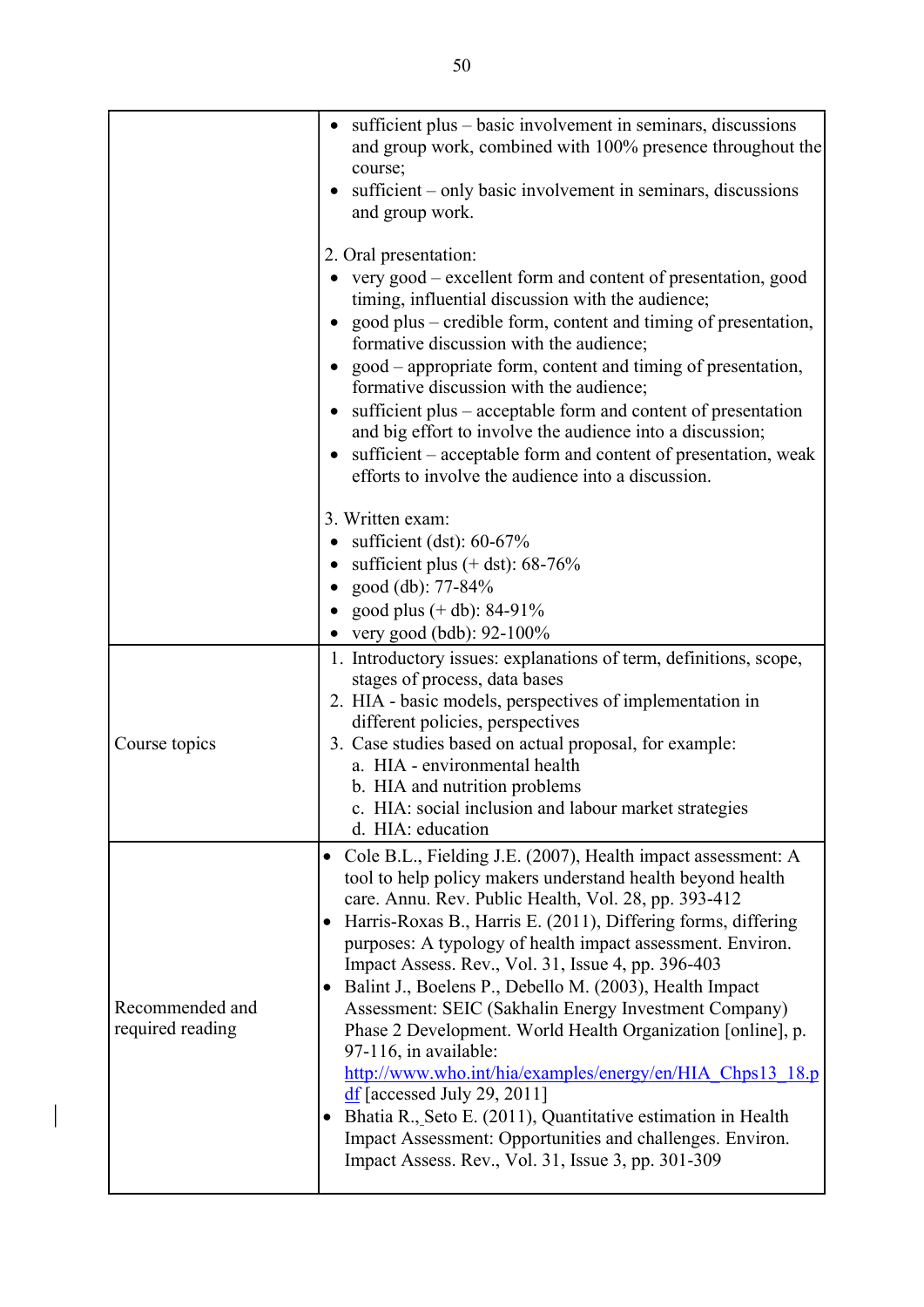|                                     | sufficient plus – basic involvement in seminars, discussions<br>and group work, combined with 100% presence throughout the                                                                                                                                                                                                                                                                                                                                                                                                                                                                                                                                                                                                                                                                                                                                                          |
|-------------------------------------|-------------------------------------------------------------------------------------------------------------------------------------------------------------------------------------------------------------------------------------------------------------------------------------------------------------------------------------------------------------------------------------------------------------------------------------------------------------------------------------------------------------------------------------------------------------------------------------------------------------------------------------------------------------------------------------------------------------------------------------------------------------------------------------------------------------------------------------------------------------------------------------|
|                                     | course;<br>sufficient – only basic involvement in seminars, discussions<br>and group work.                                                                                                                                                                                                                                                                                                                                                                                                                                                                                                                                                                                                                                                                                                                                                                                          |
|                                     | 2. Oral presentation:<br>very good – excellent form and content of presentation, good<br>timing, influential discussion with the audience;<br>good plus – credible form, content and timing of presentation,<br>$\bullet$<br>formative discussion with the audience;<br>• good – appropriate form, content and timing of presentation,<br>formative discussion with the audience;<br>sufficient plus – acceptable form and content of presentation<br>and big effort to involve the audience into a discussion;<br>• sufficient – acceptable form and content of presentation, weak<br>efforts to involve the audience into a discussion.<br>3. Written exam:<br>sufficient (dst): $60-67\%$<br>• sufficient plus $(+$ dst): 68-76%                                                                                                                                                 |
|                                     | • good (db): $77-84%$                                                                                                                                                                                                                                                                                                                                                                                                                                                                                                                                                                                                                                                                                                                                                                                                                                                               |
|                                     | • good plus $(+ db)$ : 84-91%                                                                                                                                                                                                                                                                                                                                                                                                                                                                                                                                                                                                                                                                                                                                                                                                                                                       |
|                                     | very good (bdb): 92-100%                                                                                                                                                                                                                                                                                                                                                                                                                                                                                                                                                                                                                                                                                                                                                                                                                                                            |
|                                     | 1. Introductory issues: explanations of term, definitions, scope,                                                                                                                                                                                                                                                                                                                                                                                                                                                                                                                                                                                                                                                                                                                                                                                                                   |
| Course topics                       | stages of process, data bases<br>2. HIA - basic models, perspectives of implementation in<br>different policies, perspectives<br>3. Case studies based on actual proposal, for example:<br>a. HIA - environmental health<br>b. HIA and nutrition problems<br>c. HIA: social inclusion and labour market strategies<br>d. HIA: education                                                                                                                                                                                                                                                                                                                                                                                                                                                                                                                                             |
| Recommended and<br>required reading | Cole B.L., Fielding J.E. (2007), Health impact assessment: A<br>tool to help policy makers understand health beyond health<br>care. Annu. Rev. Public Health, Vol. 28, pp. 393-412<br>• Harris-Roxas B., Harris E. (2011), Differing forms, differing<br>purposes: A typology of health impact assessment. Environ.<br>Impact Assess. Rev., Vol. 31, Issue 4, pp. 396-403<br>Balint J., Boelens P., Debello M. (2003), Health Impact<br>$\bullet$<br>Assessment: SEIC (Sakhalin Energy Investment Company)<br>Phase 2 Development. World Health Organization [online], p.<br>97-116, in available:<br>http://www.who.int/hia/examples/energy/en/HIA Chps13 18.p<br>$df$ [accessed July 29, 2011]<br>Bhatia R., Seto E. (2011), Quantitative estimation in Health<br>Impact Assessment: Opportunities and challenges. Environ.<br>Impact Assess. Rev., Vol. 31, Issue 3, pp. 301-309 |

 $\bigg| \bigg|$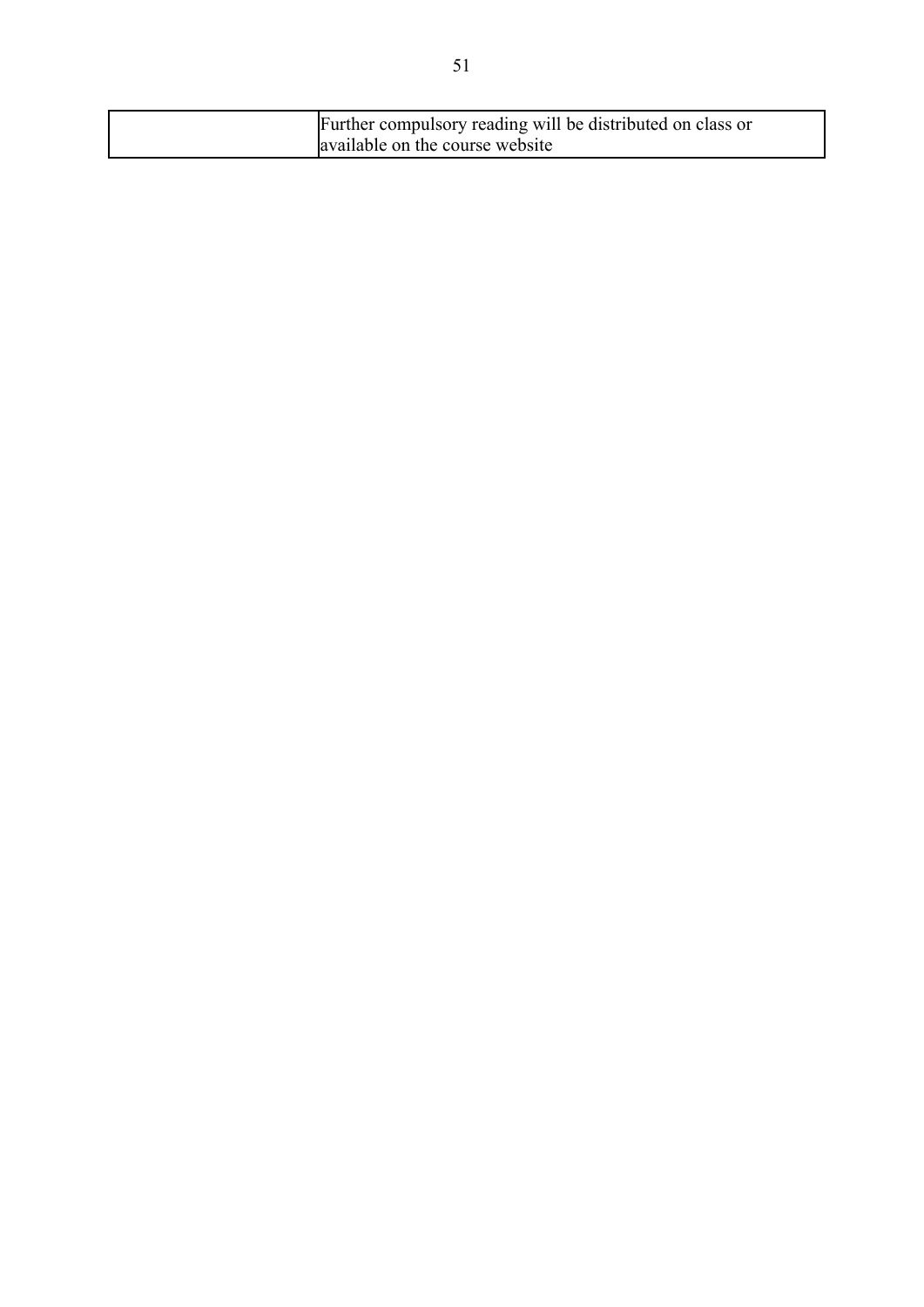| Further compulsory reading will be distributed on class or |
|------------------------------------------------------------|
| available on the course website                            |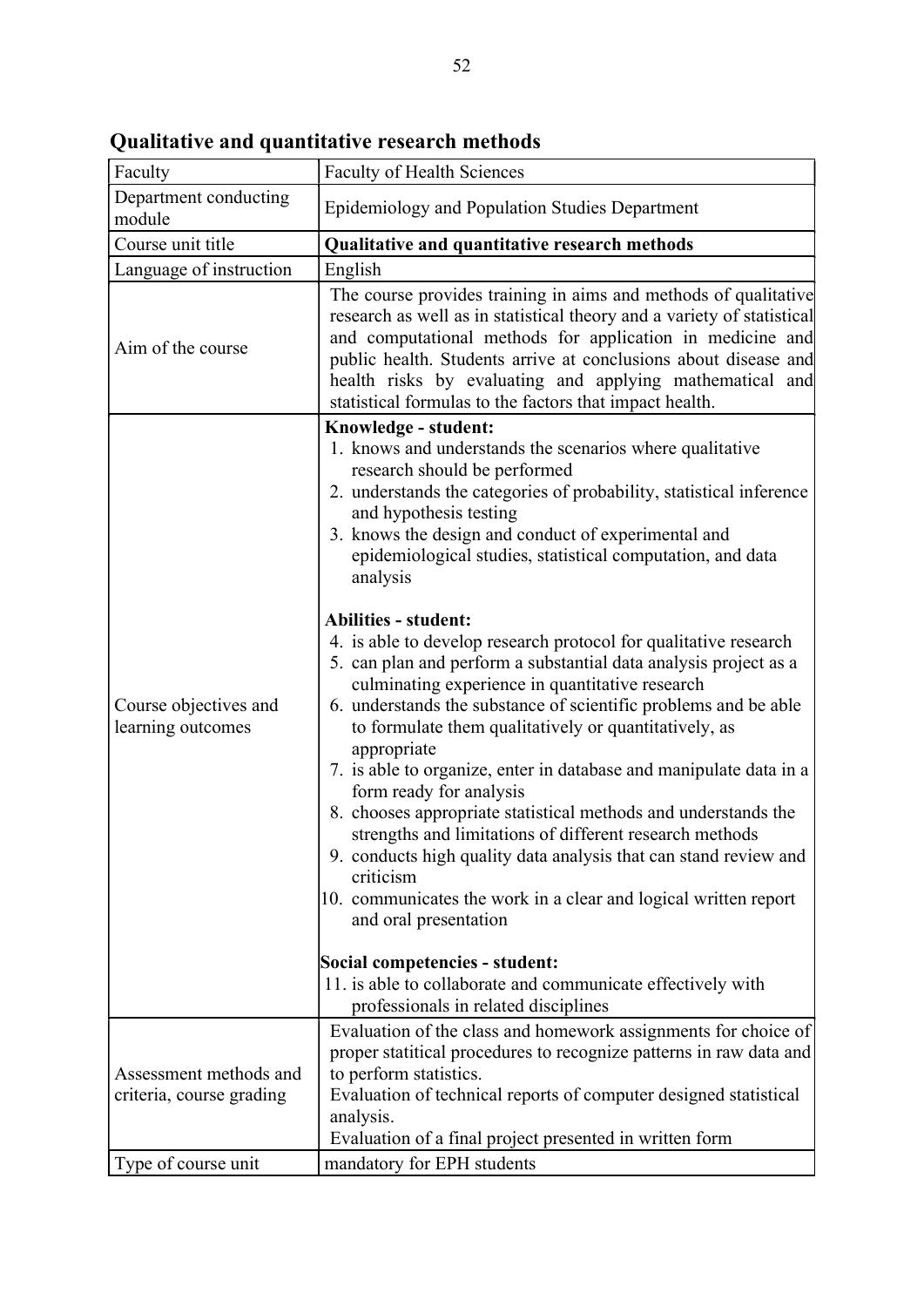| Faculty                                            | <b>Faculty of Health Sciences</b>                                                                                                                                                                                                                                                                                                                                                                                                                                                                                                                                                                                                                                                                                                                                                                                                                                                                                                                                                                                                                                                                                                                                                                                                   |
|----------------------------------------------------|-------------------------------------------------------------------------------------------------------------------------------------------------------------------------------------------------------------------------------------------------------------------------------------------------------------------------------------------------------------------------------------------------------------------------------------------------------------------------------------------------------------------------------------------------------------------------------------------------------------------------------------------------------------------------------------------------------------------------------------------------------------------------------------------------------------------------------------------------------------------------------------------------------------------------------------------------------------------------------------------------------------------------------------------------------------------------------------------------------------------------------------------------------------------------------------------------------------------------------------|
| Department conducting<br>module                    | Epidemiology and Population Studies Department                                                                                                                                                                                                                                                                                                                                                                                                                                                                                                                                                                                                                                                                                                                                                                                                                                                                                                                                                                                                                                                                                                                                                                                      |
| Course unit title                                  | Qualitative and quantitative research methods                                                                                                                                                                                                                                                                                                                                                                                                                                                                                                                                                                                                                                                                                                                                                                                                                                                                                                                                                                                                                                                                                                                                                                                       |
| Language of instruction                            | English                                                                                                                                                                                                                                                                                                                                                                                                                                                                                                                                                                                                                                                                                                                                                                                                                                                                                                                                                                                                                                                                                                                                                                                                                             |
| Aim of the course                                  | The course provides training in aims and methods of qualitative<br>research as well as in statistical theory and a variety of statistical<br>and computational methods for application in medicine and<br>public health. Students arrive at conclusions about disease and<br>health risks by evaluating and applying mathematical and<br>statistical formulas to the factors that impact health.                                                                                                                                                                                                                                                                                                                                                                                                                                                                                                                                                                                                                                                                                                                                                                                                                                    |
| Course objectives and<br>learning outcomes         | Knowledge - student:<br>1. knows and understands the scenarios where qualitative<br>research should be performed<br>2. understands the categories of probability, statistical inference<br>and hypothesis testing<br>3. knows the design and conduct of experimental and<br>epidemiological studies, statistical computation, and data<br>analysis<br><b>Abilities - student:</b><br>4. is able to develop research protocol for qualitative research<br>5. can plan and perform a substantial data analysis project as a<br>culminating experience in quantitative research<br>6. understands the substance of scientific problems and be able<br>to formulate them qualitatively or quantitatively, as<br>appropriate<br>7. is able to organize, enter in database and manipulate data in a<br>form ready for analysis<br>8. chooses appropriate statistical methods and understands the<br>strengths and limitations of different research methods<br>9. conducts high quality data analysis that can stand review and<br>criticism<br>10. communicates the work in a clear and logical written report<br>and oral presentation<br>Social competencies - student:<br>11. is able to collaborate and communicate effectively with |
| Assessment methods and<br>criteria, course grading | professionals in related disciplines<br>Evaluation of the class and homework assignments for choice of<br>proper statitical procedures to recognize patterns in raw data and<br>to perform statistics.<br>Evaluation of technical reports of computer designed statistical<br>analysis.<br>Evaluation of a final project presented in written form                                                                                                                                                                                                                                                                                                                                                                                                                                                                                                                                                                                                                                                                                                                                                                                                                                                                                  |
| Type of course unit                                | mandatory for EPH students                                                                                                                                                                                                                                                                                                                                                                                                                                                                                                                                                                                                                                                                                                                                                                                                                                                                                                                                                                                                                                                                                                                                                                                                          |

Qualitative and quantitative research methods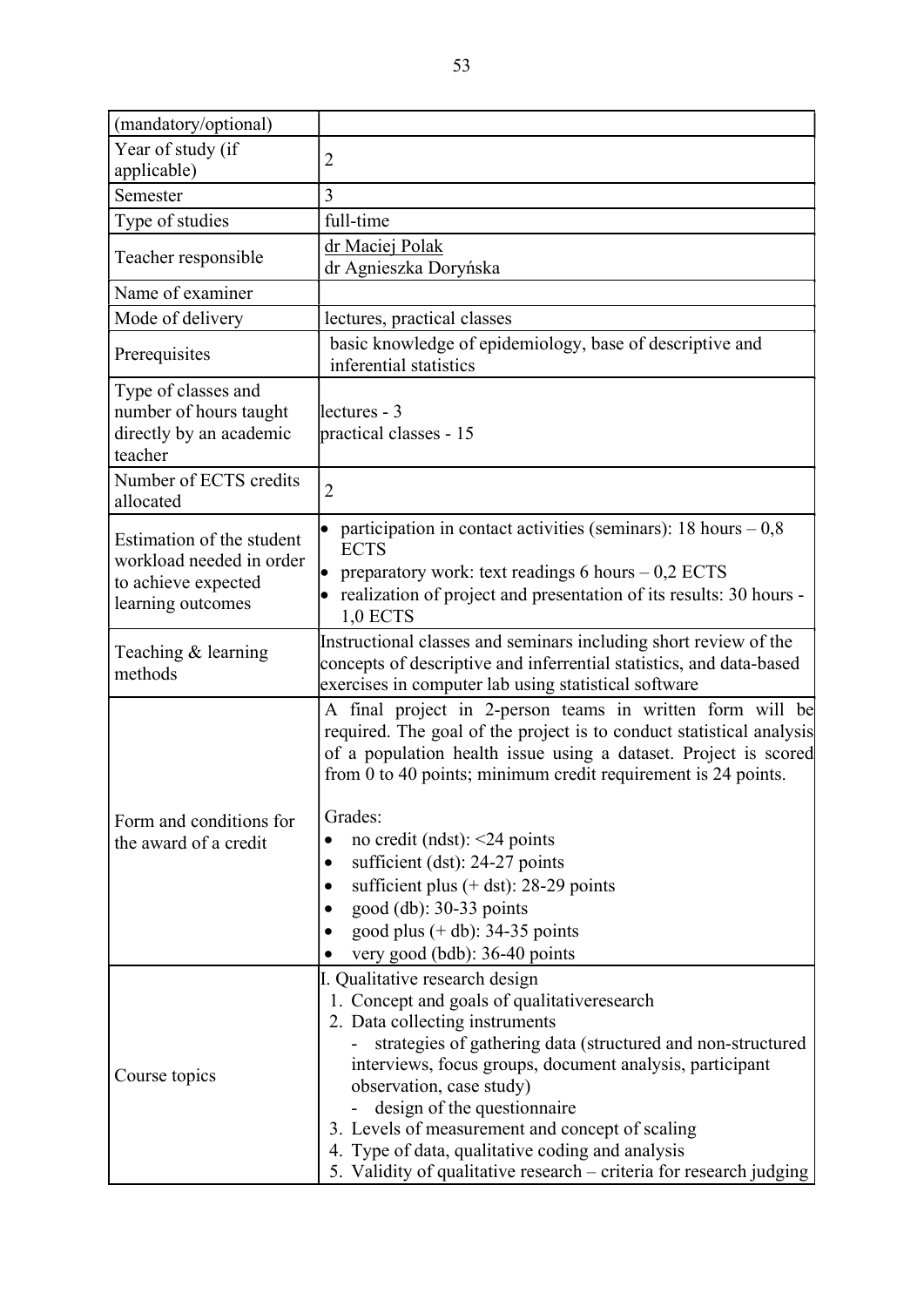| (mandatory/optional)                                                                              |                                                                                                                                                                                                                                                                                                                                                          |
|---------------------------------------------------------------------------------------------------|----------------------------------------------------------------------------------------------------------------------------------------------------------------------------------------------------------------------------------------------------------------------------------------------------------------------------------------------------------|
| Year of study (if                                                                                 | $\overline{2}$                                                                                                                                                                                                                                                                                                                                           |
| applicable)                                                                                       |                                                                                                                                                                                                                                                                                                                                                          |
| Semester                                                                                          | 3                                                                                                                                                                                                                                                                                                                                                        |
| Type of studies                                                                                   | full-time                                                                                                                                                                                                                                                                                                                                                |
| Teacher responsible                                                                               | dr Maciej Polak<br>dr Agnieszka Doryńska                                                                                                                                                                                                                                                                                                                 |
| Name of examiner                                                                                  |                                                                                                                                                                                                                                                                                                                                                          |
| Mode of delivery                                                                                  | lectures, practical classes                                                                                                                                                                                                                                                                                                                              |
| Prerequisites                                                                                     | basic knowledge of epidemiology, base of descriptive and<br>inferential statistics                                                                                                                                                                                                                                                                       |
| Type of classes and<br>number of hours taught<br>directly by an academic<br>teacher               | lectures - 3<br>practical classes - 15                                                                                                                                                                                                                                                                                                                   |
| Number of ECTS credits<br>allocated                                                               | $\overline{2}$                                                                                                                                                                                                                                                                                                                                           |
| Estimation of the student<br>workload needed in order<br>to achieve expected<br>learning outcomes | participation in contact activities (seminars): $18 \text{ hours} - 0.8$<br><b>ECTS</b><br>preparatory work: text readings 6 hours $-0.2$ ECTS<br>• realization of project and presentation of its results: 30 hours -<br>$1,0$ ECTS                                                                                                                     |
| Teaching & learning<br>methods                                                                    | Instructional classes and seminars including short review of the<br>concepts of descriptive and inferrential statistics, and data-based<br>exercises in computer lab using statistical software                                                                                                                                                          |
|                                                                                                   | A final project in 2-person teams in written form will be<br>required. The goal of the project is to conduct statistical analysis<br>of a population health issue using a dataset. Project is scored<br>from 0 to 40 points; minimum credit requirement is 24 points.                                                                                    |
| Form and conditions for                                                                           | Grades:                                                                                                                                                                                                                                                                                                                                                  |
| the award of a credit                                                                             | no credit (ndst): $\leq$ 24 points                                                                                                                                                                                                                                                                                                                       |
|                                                                                                   | sufficient (dst): 24-27 points                                                                                                                                                                                                                                                                                                                           |
|                                                                                                   | sufficient plus $(+$ dst): 28-29 points                                                                                                                                                                                                                                                                                                                  |
|                                                                                                   | good $(db): 30-33$ points                                                                                                                                                                                                                                                                                                                                |
|                                                                                                   | good plus $(+$ db): 34-35 points                                                                                                                                                                                                                                                                                                                         |
|                                                                                                   | very good (bdb): 36-40 points                                                                                                                                                                                                                                                                                                                            |
| Course topics                                                                                     | I. Qualitative research design<br>1. Concept and goals of qualitativeresearch<br>2. Data collecting instruments<br>strategies of gathering data (structured and non-structured<br>interviews, focus groups, document analysis, participant<br>observation, case study)<br>design of the questionnaire<br>3. Levels of measurement and concept of scaling |
|                                                                                                   | 4. Type of data, qualitative coding and analysis<br>5. Validity of qualitative research - criteria for research judging                                                                                                                                                                                                                                  |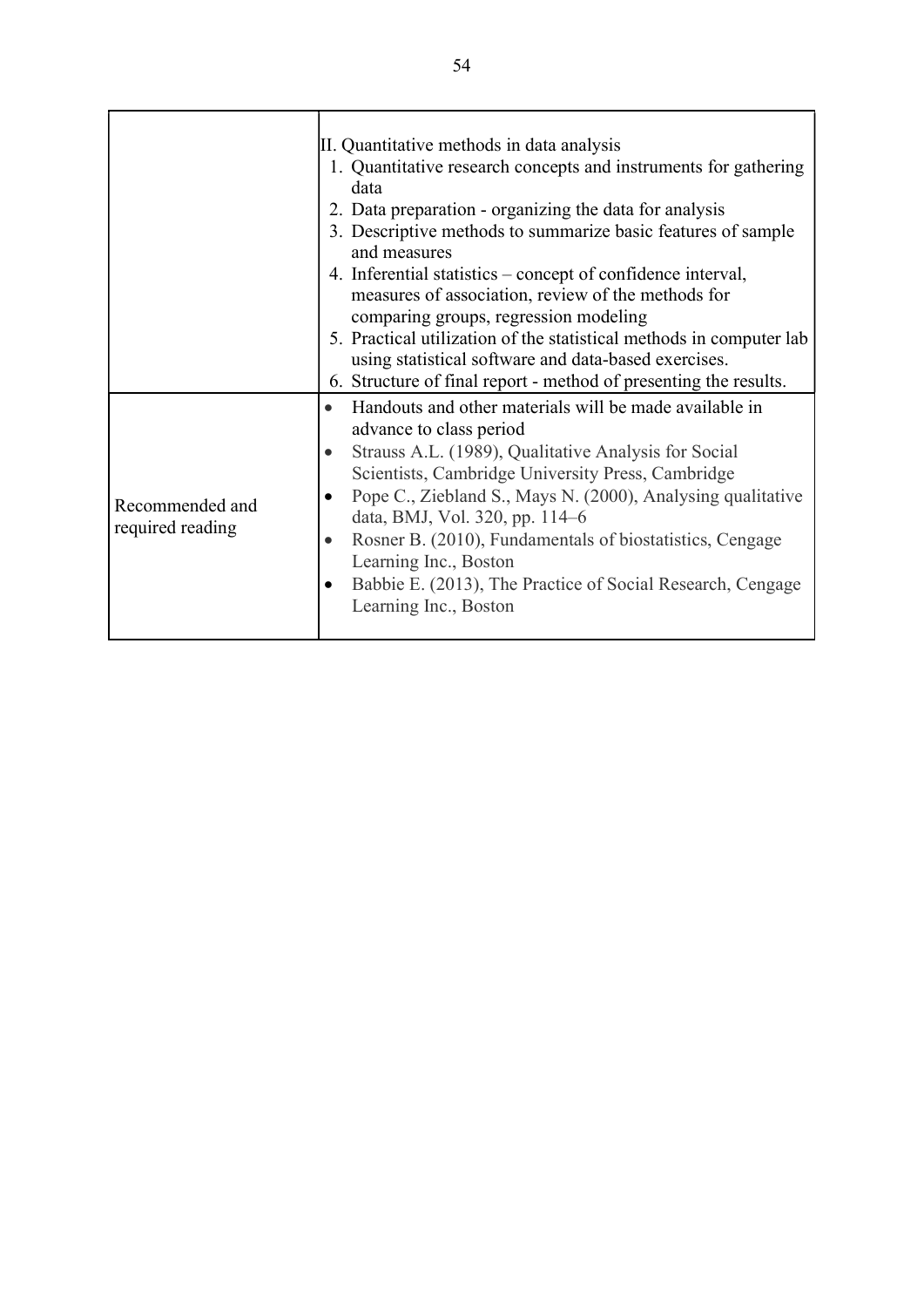|                                     | II. Quantitative methods in data analysis<br>1. Quantitative research concepts and instruments for gathering<br>data<br>2. Data preparation - organizing the data for analysis<br>3. Descriptive methods to summarize basic features of sample<br>and measures<br>4. Inferential statistics – concept of confidence interval,<br>measures of association, review of the methods for<br>comparing groups, regression modeling<br>5. Practical utilization of the statistical methods in computer lab<br>using statistical software and data-based exercises.<br>6. Structure of final report - method of presenting the results. |
|-------------------------------------|---------------------------------------------------------------------------------------------------------------------------------------------------------------------------------------------------------------------------------------------------------------------------------------------------------------------------------------------------------------------------------------------------------------------------------------------------------------------------------------------------------------------------------------------------------------------------------------------------------------------------------|
| Recommended and<br>required reading | Handouts and other materials will be made available in<br>$\bullet$<br>advance to class period<br>Strauss A.L. (1989), Qualitative Analysis for Social<br>$\bullet$<br>Scientists, Cambridge University Press, Cambridge<br>Pope C., Ziebland S., Mays N. (2000), Analysing qualitative<br>data, BMJ, Vol. 320, pp. 114–6<br>Rosner B. (2010), Fundamentals of biostatistics, Cengage<br>$\bullet$<br>Learning Inc., Boston<br>Babbie E. (2013), The Practice of Social Research, Cengage<br>Learning Inc., Boston                                                                                                              |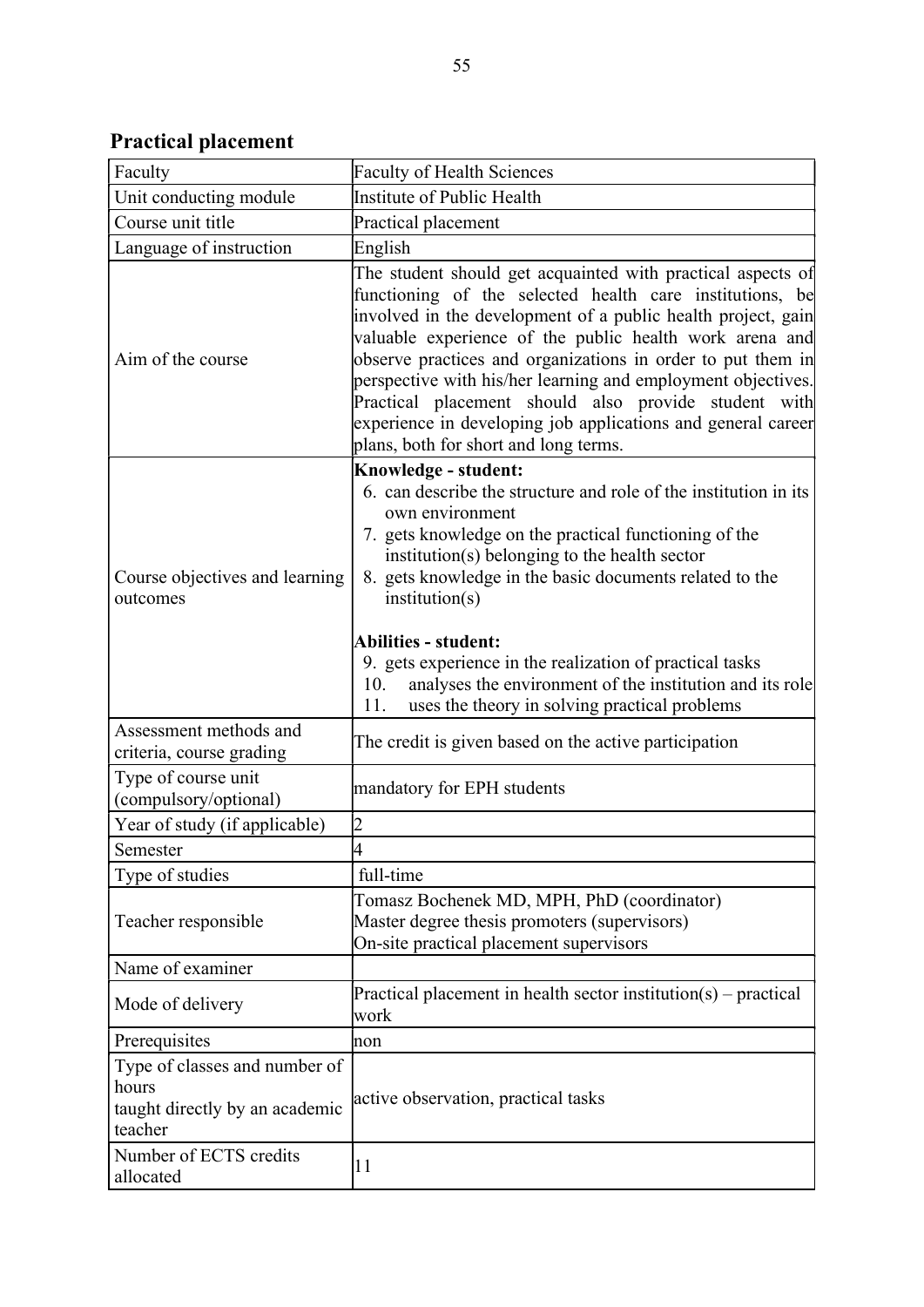Practical placement

| Faculty                                                                             | <b>Faculty of Health Sciences</b>                                                                                                                                                                                                                                                                                                                                                                                                                                                                                                                  |
|-------------------------------------------------------------------------------------|----------------------------------------------------------------------------------------------------------------------------------------------------------------------------------------------------------------------------------------------------------------------------------------------------------------------------------------------------------------------------------------------------------------------------------------------------------------------------------------------------------------------------------------------------|
| Unit conducting module                                                              | Institute of Public Health                                                                                                                                                                                                                                                                                                                                                                                                                                                                                                                         |
| Course unit title                                                                   | Practical placement                                                                                                                                                                                                                                                                                                                                                                                                                                                                                                                                |
| Language of instruction                                                             | English                                                                                                                                                                                                                                                                                                                                                                                                                                                                                                                                            |
| Aim of the course                                                                   | The student should get acquainted with practical aspects of<br>functioning of the selected health care institutions, be<br>involved in the development of a public health project, gain<br>valuable experience of the public health work arena and<br>observe practices and organizations in order to put them in<br>perspective with his/her learning and employment objectives.<br>Practical placement should also provide student with<br>experience in developing job applications and general career<br>plans, both for short and long terms. |
| Course objectives and learning<br>outcomes                                          | Knowledge - student:<br>6. can describe the structure and role of the institution in its<br>own environment<br>7. gets knowledge on the practical functioning of the<br>institution(s) belonging to the health sector<br>8. gets knowledge in the basic documents related to the<br>institution(s)<br><b>Abilities - student:</b><br>9. gets experience in the realization of practical tasks<br>analyses the environment of the institution and its role<br>10.<br>uses the theory in solving practical problems<br>11.                           |
| Assessment methods and<br>criteria, course grading                                  | The credit is given based on the active participation                                                                                                                                                                                                                                                                                                                                                                                                                                                                                              |
| Type of course unit<br>(compulsory/optional)                                        | mandatory for EPH students                                                                                                                                                                                                                                                                                                                                                                                                                                                                                                                         |
| Year of study (if applicable)                                                       | $\overline{2}$                                                                                                                                                                                                                                                                                                                                                                                                                                                                                                                                     |
| Semester                                                                            | l4                                                                                                                                                                                                                                                                                                                                                                                                                                                                                                                                                 |
| Type of studies                                                                     | full-time                                                                                                                                                                                                                                                                                                                                                                                                                                                                                                                                          |
| Teacher responsible                                                                 | Tomasz Bochenek MD, MPH, PhD (coordinator)<br>Master degree thesis promoters (supervisors)<br>On-site practical placement supervisors                                                                                                                                                                                                                                                                                                                                                                                                              |
| Name of examiner                                                                    |                                                                                                                                                                                                                                                                                                                                                                                                                                                                                                                                                    |
| Mode of delivery                                                                    | Practical placement in health sector institution(s) – practical<br>work                                                                                                                                                                                                                                                                                                                                                                                                                                                                            |
| Prerequisites                                                                       | non                                                                                                                                                                                                                                                                                                                                                                                                                                                                                                                                                |
| Type of classes and number of<br>hours<br>taught directly by an academic<br>teacher | active observation, practical tasks                                                                                                                                                                                                                                                                                                                                                                                                                                                                                                                |
| Number of ECTS credits<br>allocated                                                 | 11                                                                                                                                                                                                                                                                                                                                                                                                                                                                                                                                                 |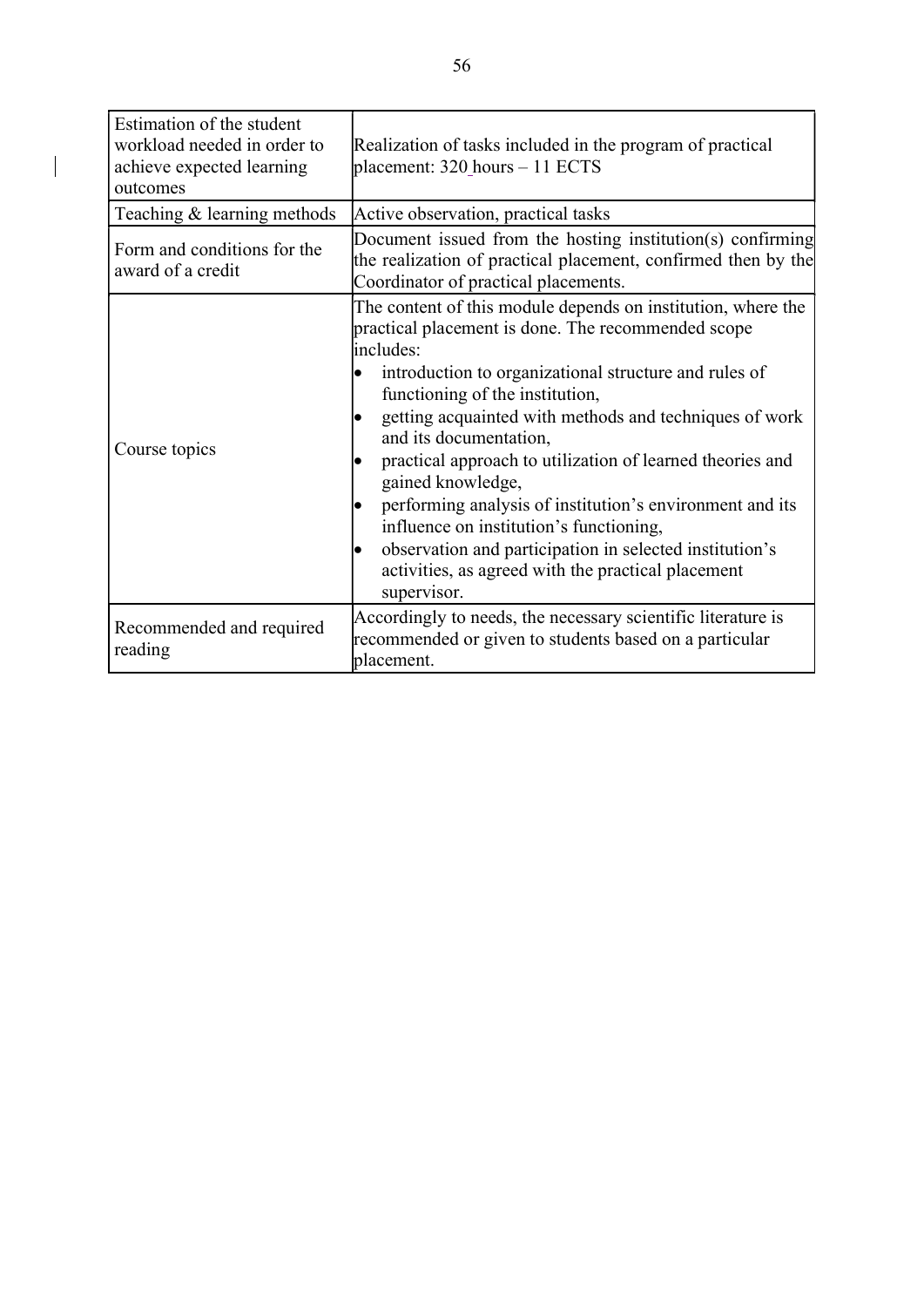| Estimation of the student<br>workload needed in order to<br>achieve expected learning<br>outcomes | Realization of tasks included in the program of practical<br>placement: 320_hours - 11 ECTS                                                                                                                                                                                                                                                                                                                                                                                                                                                                                                                                              |
|---------------------------------------------------------------------------------------------------|------------------------------------------------------------------------------------------------------------------------------------------------------------------------------------------------------------------------------------------------------------------------------------------------------------------------------------------------------------------------------------------------------------------------------------------------------------------------------------------------------------------------------------------------------------------------------------------------------------------------------------------|
| Teaching & learning methods                                                                       | Active observation, practical tasks                                                                                                                                                                                                                                                                                                                                                                                                                                                                                                                                                                                                      |
| Form and conditions for the<br>award of a credit                                                  | Document issued from the hosting institution(s) confirming<br>the realization of practical placement, confirmed then by the<br>Coordinator of practical placements.                                                                                                                                                                                                                                                                                                                                                                                                                                                                      |
| Course topics                                                                                     | The content of this module depends on institution, where the<br>practical placement is done. The recommended scope<br>includes:<br>introduction to organizational structure and rules of<br>functioning of the institution,<br>getting acquainted with methods and techniques of work<br>and its documentation,<br>practical approach to utilization of learned theories and<br>gained knowledge,<br>performing analysis of institution's environment and its<br>influence on institution's functioning,<br>observation and participation in selected institution's<br>activities, as agreed with the practical placement<br>supervisor. |
| Recommended and required<br>reading                                                               | Accordingly to needs, the necessary scientific literature is<br>recommended or given to students based on a particular<br>placement.                                                                                                                                                                                                                                                                                                                                                                                                                                                                                                     |

 $\begin{array}{c} \rule{0pt}{2ex} \rule{0pt}{2ex} \rule{0pt}{2ex} \rule{0pt}{2ex} \rule{0pt}{2ex} \rule{0pt}{2ex} \rule{0pt}{2ex} \rule{0pt}{2ex} \rule{0pt}{2ex} \rule{0pt}{2ex} \rule{0pt}{2ex} \rule{0pt}{2ex} \rule{0pt}{2ex} \rule{0pt}{2ex} \rule{0pt}{2ex} \rule{0pt}{2ex} \rule{0pt}{2ex} \rule{0pt}{2ex} \rule{0pt}{2ex} \rule{0pt}{2ex} \rule{0pt}{2ex} \rule{0pt}{2ex} \rule{0pt}{2ex} \rule{0pt}{$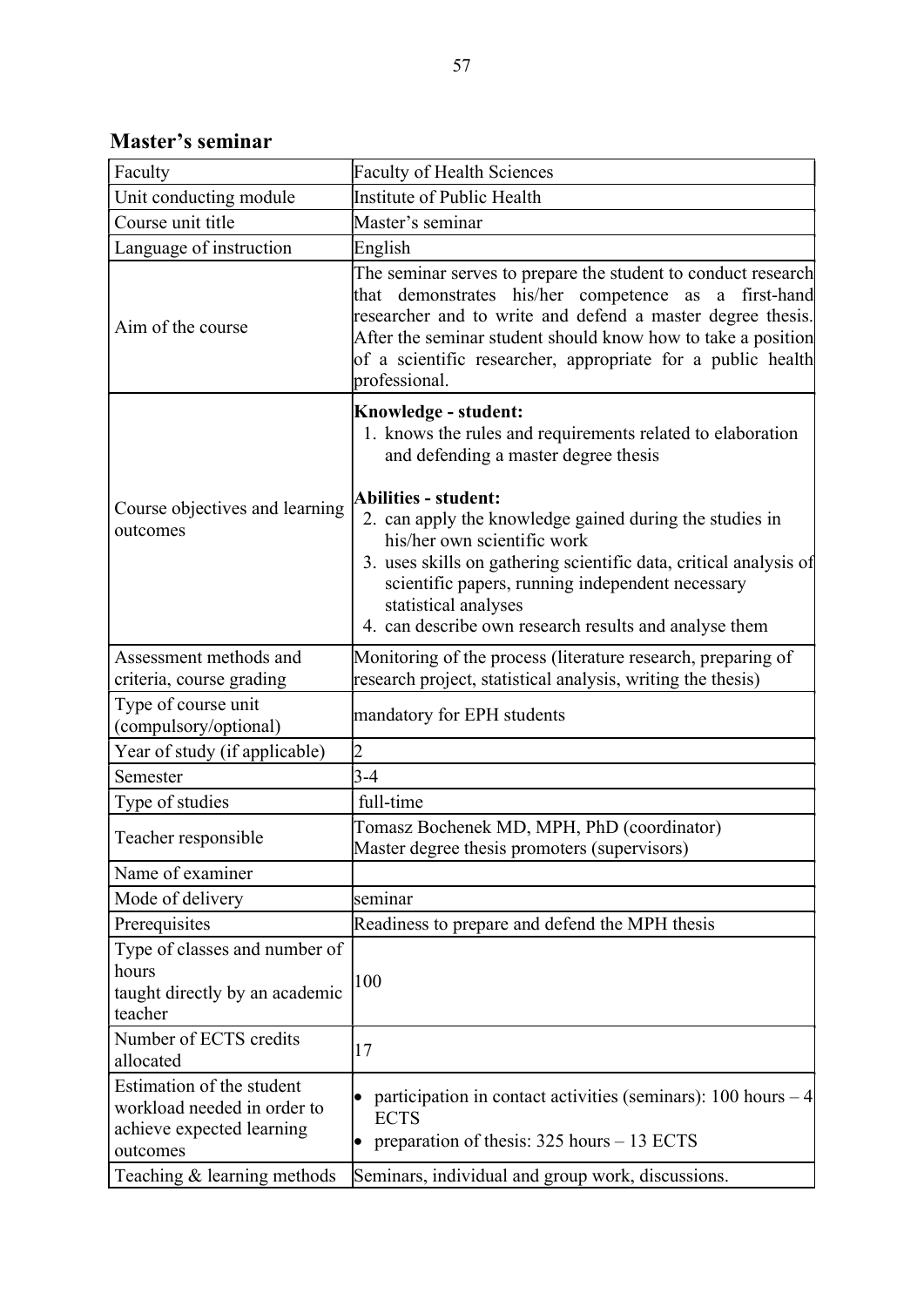Master's seminar

| Faculty                                                                                           | <b>Faculty of Health Sciences</b>                                                                                                                                                                                                                                                                                                   |
|---------------------------------------------------------------------------------------------------|-------------------------------------------------------------------------------------------------------------------------------------------------------------------------------------------------------------------------------------------------------------------------------------------------------------------------------------|
| Unit conducting module                                                                            | Institute of Public Health                                                                                                                                                                                                                                                                                                          |
| Course unit title                                                                                 | Master's seminar                                                                                                                                                                                                                                                                                                                    |
| Language of instruction                                                                           | English                                                                                                                                                                                                                                                                                                                             |
| Aim of the course                                                                                 | The seminar serves to prepare the student to conduct research<br>that demonstrates his/her competence as a first-hand<br>researcher and to write and defend a master degree thesis.<br>After the seminar student should know how to take a position<br>of a scientific researcher, appropriate for a public health<br>professional. |
| Course objectives and learning<br>outcomes                                                        | Knowledge - student:<br>1. knows the rules and requirements related to elaboration<br>and defending a master degree thesis                                                                                                                                                                                                          |
|                                                                                                   | <b>Abilities - student:</b><br>2. can apply the knowledge gained during the studies in<br>his/her own scientific work<br>3. uses skills on gathering scientific data, critical analysis of<br>scientific papers, running independent necessary<br>statistical analyses<br>4. can describe own research results and analyse them     |
| Assessment methods and                                                                            | Monitoring of the process (literature research, preparing of                                                                                                                                                                                                                                                                        |
| criteria, course grading                                                                          | research project, statistical analysis, writing the thesis)                                                                                                                                                                                                                                                                         |
| Type of course unit<br>(compulsory/optional)                                                      | mandatory for EPH students                                                                                                                                                                                                                                                                                                          |
| Year of study (if applicable)                                                                     | $\overline{2}$                                                                                                                                                                                                                                                                                                                      |
| Semester                                                                                          | $3-4$                                                                                                                                                                                                                                                                                                                               |
| Type of studies                                                                                   | full-time                                                                                                                                                                                                                                                                                                                           |
| Teacher responsible                                                                               | Tomasz Bochenek MD, MPH, PhD (coordinator)<br>Master degree thesis promoters (supervisors)                                                                                                                                                                                                                                          |
| Name of examiner                                                                                  |                                                                                                                                                                                                                                                                                                                                     |
| Mode of delivery                                                                                  | seminar                                                                                                                                                                                                                                                                                                                             |
| Prerequisites                                                                                     | Readiness to prepare and defend the MPH thesis                                                                                                                                                                                                                                                                                      |
| Type of classes and number of<br>hours<br>taught directly by an academic<br>teacher               | 100                                                                                                                                                                                                                                                                                                                                 |
| Number of ECTS credits<br>allocated                                                               | 17                                                                                                                                                                                                                                                                                                                                  |
| Estimation of the student<br>workload needed in order to<br>achieve expected learning<br>outcomes | participation in contact activities (seminars): $100$ hours $-4$<br><b>ECTS</b><br>preparation of thesis: $325$ hours $-13$ ECTS<br>$\bullet$                                                                                                                                                                                       |
| Teaching & learning methods                                                                       | Seminars, individual and group work, discussions.                                                                                                                                                                                                                                                                                   |